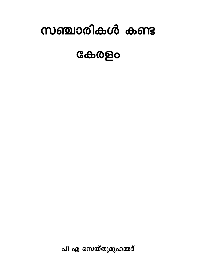# സഞ്ചാരികൾ കണ്ട

## **கே@ஜ்**

പി എ സെയ്തുമുഹമ്മദ്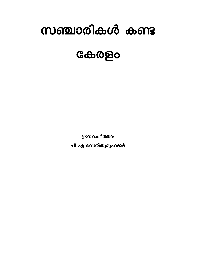# സഞ്ചാരികൾ കണ്ട

## **கே@ஜ்**

ഗ്രന്ഥകർത്താ:

പി എ സെയ്തുമുഹമ്മദ്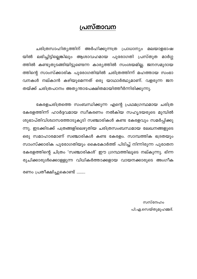#### പ്രസ്താവന

ചരിത്രസാഹിത്യത്തിന് അർഹിക്കുന്നത്ര പ്രാധാന്യം മലയാളഭാഷ ലഭിച്ചിട്ടില്ലെങ്കിലും ആശാവഹമായ പുരോഗതി പ്രസ്തുത മാർഗ്ഗ യിൽ ത്തിൽ കണ്ടുതുടങ്ങിയിട്ടുണ്ടെന്ന കാര്യത്തിൽ സംശയമില്ല. ജനസമുദായ ത്തിന്റെ സാംസ്ക്കാരിക പുരോഗതിയിൽ ചരിത്രത്തിന്ന് മഹത്തായ സംഭാ വനകൾ നല്കാൻ കഴിയുമെന്നത് ഒരു യാഥാർത്ഥ്യമാണ്. വളരുന്ന ജന തയ്ക്ക് ചരിത്രപഠനം അതൃന്താപേക്ഷിതമായിത്തീർന്നിരിക്കുന്നു.

കേരളചരിത്രത്തെ സംബന്ധിക്കുന്ന എന്റെ പ്രഥമഗ്രന്ഥമായ ചരിത്ര കേരളത്തിന്ന് ഹാർദ്ദവമായ സ്വീകരണം നൽകിയ സഹൃദയരുടെ മുമ്പിൽ ശുഭാപ്തിവിശ്വാസത്തോടുകൂടി സഞ്ചാരികൾ കണ്ട കേരളവും സമർപ്പിക്കു ന്നു. ഇടക്കിടക്ക് പത്രങ്ങളിലെഴുതിയ ചരിത്രസംബന്ധമായ ലേഖനങ്ങളുടെ ഒരു സമാഹാരമാണ് സഞ്ചാരികൾ കണ്ട കേരളം. സാമ്പത്തിക ഭദ്രതയും സാംസ്ക്കാരിക പുരോഗതിയും കൈകോർത്ത് പിടിച്ച് നിന്നിരുന്ന പുരാതന കേരളത്തിന്റെ ചിത്രം 'സഞ്ചാരികൾ' ഈ ഗ്രന്ഥത്തിലൂടെ നല്കുന്നു. ഭിന്ന രുചിക്കാരുൾക്കൊള്ളുന്ന വിധികർത്താക്കളായ വായനക്കാരുടെ അംഗീക

രണം പ്രതീക്ഷിച്ചുകൊണ്ട് ........

സസ്നേഹം പി.ഏ.സെയ്തുമുഹമ്മദ്.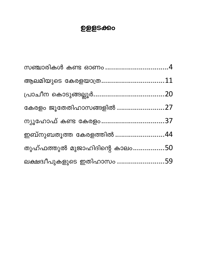### **ഉളളടക്കം**

| സഞ്ചാരികൾ കണ്ട ഓണം 4           |  |
|--------------------------------|--|
| ആലമിയുടെ കേരളയാത്ര11           |  |
|                                |  |
| കേരളം ജൂതേതിഹാസങ്ങളിൽ 27       |  |
| ന്യൂഹോഫ് കണ്ട കേരളം37          |  |
| ഇബ്നുബതൂത്ത കേരളത്തിൽ 44       |  |
| തുഹ്ഫത്തുൽ മുജാഹിദിന്റെ കാലം50 |  |
| ലക്ഷദ്വീപുകളുടെ ഇതിഹാസം 59     |  |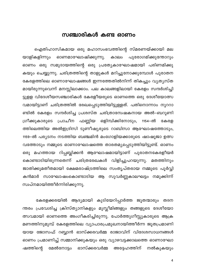#### സഞ്ചാരികൾ കണ്ട ഓണം

<span id="page-4-0"></span>ഐതിഹാസികമായ ഒരു മഹാസംഭവത്തിന്റെ സ്മരണയ്ക്കായി മല ഓണമാഘോഷിക്കുന്നു. യാളികളിന്നും കാലം പുരോഗമിക്കുന്തോറും ഓണം ഒരു സമുദായത്തിന്റെ ഒരു പ്രത്യേകാഘോഷമായി പരിണമിക്കു കയും ചെയ്യുന്നു. ചരിത്രത്തിന്റെ താളുകൾ മറിച്ചുനോക്കുമ്പോൾ പുരാതന കേരളത്തിലെ ഓണാഘോഷങ്ങൾ ഇന്നത്തേതിൽനിന്ന് തികച്ചും വ്യത്യസ്ത മായിരുന്നുവെന്ന് മനസ്സിലാക്കാം. പല കാലങ്ങളിലായി കേരളം സന്ദർശിച്ചി ട്ടുളള വിദേശീയസഞ്ചാരികൾ കേരളീയരുടെ ഓണത്തെ ഒരു ദേശീയോത്സ വമായിട്ടാണ് ചരിത്രത്തിൽ രേഖപ്പെടുത്തിയിട്ടുള്ളത്. പതിനൊന്നാം നൂററാ ണ്ടിൽ കേരളം സന്ദർശിച്ച പ്രശസ്ത ചരിത്രാന്വേഷകനായ അൽ–ബറൂണി ഒളിമ്പിക്കിനോടും, ഗ്രീക്കുകാരുടെ പ്രാചീന ഫണ്ണിയ 1154—ൽ കേരള ത്തിലെത്തിയ അൽഇദ്രിസി ടുണീഷ്യരുടെ റാബിസാ ആഘോഷത്തോടും, 1159–ൽ പര്യടനം നടത്തിയ ബഞ്ചമിൻ മംഗോളിയക്കാരുടെ ഷാഷൂജാ ഉത്സ വത്തോടും നമ്മുടെ ഓണാഘോഷത്തെ താരതമ്യപ്പെടുത്തിയിട്ടുണ്ട്. ഓണം ഒരു മഹത്തായ റിപ്പബ്ലിക്കൻ ആഘോഷമായിട്ടാണ് പുരാതനകേരളീയർ കൊണ്ടാടിയിരുന്നതെന്ന് ചരിത്രരേഖകൾ വിളിച്ചുപറയുന്നു. മതത്തിനും ജാതിക്കുമതീതമായി ക്ഷേമരാഷ്ട്രത്തിലെ സംതൃപ്തരായ നമ്മുടെ പൂർവ്വി കൻമാർ സാഘോഷംകൊണ്ടാടിയ ആ സുവർണ്ണകാലഘട്ടം നമുക്കിന്ന് സ്വപ്നമായിത്തീർന്നിരിക്കുന്നു.

കേരളക്കരയിൽ ആദ്യമായി കുടിയേറിപ്പാർത്ത ജൂതന്മാരും തദന ന്തരം പ്രവേശിച്ച ക്രിസ്ത്യാനികളും മുസ്ലീമിങ്ങളും തങ്ങളുടെ ദേശീയോ ത്സവമായി ഓണത്തെ അംഗീകരിച്ചിരുന്നു. പോർത്തുഗീസ്സുകാരുടെ ആക്ര മണത്തിനുമുമ്പ് കേരളത്തിലെ വ്യാപാരപ്രമുഖനായിത്തീർന്ന ജൂതപ്രമാണി യായ ജോസഫ് റബ്ബാൻ ഭാസ്ക്കരവർമ്മ രാജാവിന് വിദേശസാധനങ്ങൾ ഓണം പ്രമാണിച്ച് സമ്മാനിക്കുകയും ഒരു വ്യാഴവട്ടക്കാലത്തെ ഓണാഘോ ഭാസ്ക്കരവർമ്മ ഷത്തിന്റെ മേൽനോട്ടം അദ്ദേഹത്തിന് നൽകുകയും

 $\overline{4}$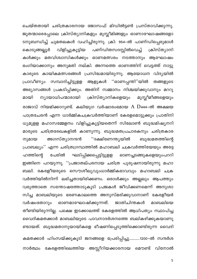ചെയ്തതായി ചരിത്രകാരനായ ജോസഫ് മിഡിൽട്ടൺ പ്രസ്താവിക്കുന്നു. ജൂതന്മാരെപ്പോലെ ക്രിസ്ത്യാനികളും മുസ്ലീമിങ്ങളും ഓണാഘോഷങ്ങളോ ടനുബന്ധിച്ച് ചുമതലകൾ വഹിച്ചിരുന്നു. ക്രി: 954–ൽ പാണ്ഡിപ്പെരുമാൾ വിളിച്ചുകൂട്ടിയ പണ്ഡിതസദസ്സിൽവെച്ച് ക്രിസ്ത്യാനി കൊടുങ്ങല്ലൂർ കൾക്കും മതവിശ്വാസികൾക്കും ഓണമത്സരം നടത്താനും ആഘോഷം ഭംഗിയാക്കാനും അനുമതി നല്കി. അന്നത്തെ ഓണത്തിന് വെട്ടത്ത് നാട്ടു കാരുടെ കായികമത്സരങ്ങൾ പ്രസിദ്ധമായിരുന്നു. ആയോധന വിദൃയിൽ സമ്പാദിച്ചിട്ടുളള ആളുകൾ ''ഓണപ്പന്തി''യിൽ പ്രാവീണ്യം തങ്ങളുടെ അഭ്യാസങ്ങൾ പ്രകടിപ്പിക്കും. അതിന് സമ്മാനം നിശ്ചയിക്കുവാനും മററു മായി ന്യായാധിപന്മാരായി ക്രിസ്ത്യാനികളെയും മുസ്സീമീങ്ങളെയും രാജാവ് നിയമിക്കാറുണ്ട്. കലിയുഗ വർഷാരംഭമായ  $A$   $D$ 444-ൽ അക്ഷയ പാത്രചേരൻ എന്ന ധാർമ്മികചകരവർത്തിയാണ് കേരളമൊട്ടുക്കും പ്രാതിനി ധ്യമുളള മഹാസമ്മേളനം വിളിച്ചുകൂട്ടിയതെന്ന് സിലോൺ ബുദ്ധമിഷ്യനറി മാരുടെ ചരിത്രരേഖകളിൽ കാണുന്നു. ബുദ്ധമതപ്രചാരകനും ചരിത്രകാര അഗസ്ത്യാനന്ദൻ ''ദക്ഷിണേന്ത്യയിൽ ബുദ്ധമതത്തിന്റെ നുമായ പ്രാബല്യം'' എന്ന ചരിത്രഗ്രന്ഥത്തിൽ മഹാബലി ചക്രവർത്തിയേയും അദ്ദേ ഘടിപ്പിക്കപ്പെട്ടിട്ടുളള പേരിൽ ഓണച്ചടങ്ങുകളെയുംപററി ഹത്തിന്റെ ഇങ്ങിനെ പറയുന്നു. ''പ്രജാതല്പരനായ ചരിത്ര പുരുഷനായിരുന്നു മഹാ ബലി. കേരളീയരുടെ സൌശീല്യവുംധാർമ്മികഭാവവും മഹാബലി ചക്ര വർത്തിയിൽനിന്ന് ലഭിച്ചതായിരിക്കണം. ഒരാൾക്കും അല്ലലും ആപത്തും വരുത്താതെ സന്തോഷത്തോടുകൂടി പ്രജകൾ ജീവിക്കണമെന്ന് അനുശാ സിച്ച മാബലിയുടെ ഭരണകാലത്തെ അനുസ്മരിക്കുവാനാണ് കേരളീയർ ഓണമാഘോഷിക്കുന്നത്. ജാതിചിന്തകൾ വർഷംതോറും മാബലിയെ തീണ്ടിയിരുന്നില്ല. പക്ഷെ ഇടക്കാലത്ത് കേരളത്തിൽ ആധിപത്യം സ്ഥാപിച്ച വൈദികമതക്കാർ മാബലിയുടെ പാവനാദർശനത്തെ ബലികഴിക്കുകയാണു ണ്ടായത്. ബുദ്ധമതാനുയായികളെ ഭീഷണിപ്പെടുത്തിക്കൊണ്ടിരുന്ന വൈദി

കമതക്കാർ ഹിംസയ്ക്കുകൂടി ജനങ്ങളെ പ്രേരിപ്പിച്ചു.............1200–ൽ സന്ദർശ കേരളത്തിലെത്തിയ അസ്സീറിയക്കാരനായ മൌണ്ട് വിനോൽ നാർത്ഥം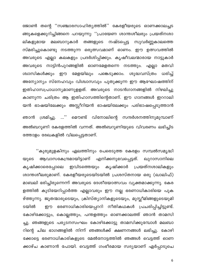ജോൺ തന്റെ ''സഞ്ചാരസാഹിത്യത്തിൽ'' കേരളീയരുടെ ഓണക്കാലച്ചട ങ്ങുകളെക്കുറിച്ചിങ്ങനെ പറയുന്നു: ''പ്രായേണ ശാന്തശീലരും പ്രയത്നശാ ലികളുമായ മലബാറുകാർ തങ്ങളുടെ നഷ്ടപ്പെട്ട സുവർണ്ണകാലത്തെ സ്മരിച്ചുകൊണ്ടു നടത്തുന്ന ഒരുത്സവമാണ് ഓണം. ഈ ഉത്സവത്തിൽ അവരുടെ എല്ലാ കലകളും പ്രദർശിപ്പിക്കും. കൃഷീവലന്മാരായ നാട്ടുകാർ അവരുടെ നാട്ടിൻപുറങ്ങളിൽ ഓണമേളതന്നെ നടത്തും. എല്ലാ മതവി ഈ മേളയിലും പങ്കെടുക്കാം. ശുദ്ധവസ്ത്രം ധരിച്ച് ശ്വാസികൾക്കും അന്യോന്യം സ്നേഹവും വിശ്വാസവും പുതുക്കുന്ന ഈ ആഘോഷത്തിന് ഇതിഹാസപ്രാധാന്യമാണുളളത്. അവരുടെ നാടൻഗാനങ്ങളിൽ നിഴലിച്ചു കാണുന്ന ചരിത്രം ആ ഇതിഹാസത്തിന്റെതാണ്. ഈ ഗാനങ്ങൾ ഇററാലി യൻ ഭാഷയിലേക്കും അസ്സീറിയൻ ഭാഷയിലേക്കും പരിഭാഷപ്പെടുത്താൻ ശ്രമിച്ചു. ....'' മൌണ്ട് വിനോലിന്റെ സന്ദർശനത്തിനുമുമ്പാണ് ഞാൻ അൽബറൂണി കേരളത്തിൽ വന്നത്. അൽബറൂണിയുടെ വിവരണം ലഭിച്ചിട ത്തോളം രേഖകളിൽ വിലപ്പെട്ടതാണ്.

''കുരുമുളകിനും ഏലത്തിനും പേരെടുത്ത കേരളം സമ്പൽസമൃദ്ധി ആവാസകേന്ദ്രമായിട്ടാണ് എനിക്കനുഭവപ്പെട്ടത്. യുടെ ഖുറാസാനിലെ കൃഷിക്കാരെപ്പോലെ ഇവിടത്തെയും കൃഷിക്കാർ പ്രയത്നശാലികളും ശാന്തശീലരുമാണ്. കേരളീയരുടെയിടയിൽ പ്രശസ്തനായ ഒരു (ഖാലിഫ്) മാബലി ഭരിച്ചിരുന്നെന്ന് അവരുടെ ദേശീയോത്സവം വ്യക്തമാക്കുന്നു. കേര ളത്തിൽ കുടിയേറിപ്പാർത്ത എല്ലാവരും ഈ നല്ല ഭരണാധികാരിയെ പുക ഴ്ത്തുന്നു. ജൂതന്മാരുടെയും, ക്രിസ്ത്യാനികളുടെയും, മുസ്സീമിങ്ങളുടെയുമി ഭരണാധികാരിയെപ്പററി നീതികഥകൾ പ്രചരിപ്പിച്ചിട്ടുണ്ട്. ടയിൽ ഈ കോഴിക്കോട്ടും, കൊല്ലത്തും, പന്തളത്തും ഓണക്കാലത്ത് ഞാൻ താമസി ച്ചു. ഞങ്ങളുടെ പര്യടനസംഘം കോഴിക്കോട്ടു താമസിക്കുമ്പോൾ മലബാ റിന്റെ ചില ഭാഗങ്ങളിൽ നിന്ന് ഞങ്ങൾക്ക് ക്ഷണനങ്ങൾ ലഭിച്ചു. കോഴി ക്കോട്ടെ ഭരണാധികാരികളുടെ മേൽനോട്ടത്തിൽ ഞങ്ങൾ വെട്ടത്ത് ഓണ ക്കാഴ്ച കാണാൻ പോയി. വെട്ടത്ത് ഗംഭീരമായ സദൃയാണ് ഏർപ്പാടുചെ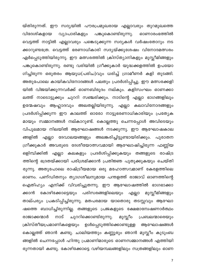യ്തിരുന്നത്. ഈ സദ്യയിൽ പൗരപ്രമുഖരായ എല്ലാവരും തുറമുഖത്തെ വിദേശികളായ വ്യാപാരികളും പങ്കുകൊണ്ടിരുന്നു. ഓണാരംഭത്തിൽ വെട്ടത്ത് നാട്ടിൽ എല്ലാവരും പങ്കെടുക്കുന്ന സദ്യകൾ വർഷംതോറും നട ക്കാറുണ്ടത്രേ. വെട്ടത്ത് ഭരണാധികാരി സദ്യയ്ക്കുശേഷം വിനോദമത്സരം ഏർപ്പെടുത്തിയിരുന്നു. ഈ മത്സരത്തിൽ ക്രിസ്ത്യാനികളും മുസ്ലീമിങ്ങളും പങ്കുകൊണ്ടിരുന്നു. രണ്ടു വരിയിൽ ഗ്രീക്കുകാർ യുദ്ധക്കളത്തിൽ ഉപയോ ഗിച്ചിരുന്ന ഒരുതരം ആയുധ(പരിച)വും ധരിച്ച് ഗ്രാമീണർ കളി തുടങ്ങി. അതുപോലെ കായികവിനോദങ്ങൾ പലതും പ്രദർശിപ്പിച്ചു. ഈ മത്സരക്കളി യിൽ വിജയിക്കുന്നവർക്ക് ഓണബിരുദം നല്കും. കളിസംഘം ഓണക്കാ ലത്ത് നാടൊട്ടുക്കും ചുററി സഞ്ചരിക്കും. നാടിന്റെ എല്ലാ ഭാഗങ്ങളിലും ഉന്മേഷവും ആഹ്ലാദവും അലതല്ലിയിരുന്നു. എല്ലാ കലാവിനോദങ്ങളും പ്രദർശിപ്പിക്കുന്ന ഈ കാലത്ത് ഓരോ നാട്ടുഭരണാധികാരിയും പ്രത്യേക മായും സമ്മാനങ്ങൾ നല്കാറുണ്ട്. കൊല്ലത്തു ചെന്നപ്പോൾ അവിടെയും വിപുലമായ നിലയിൽ ആഘോഷങ്ങൾ നടക്കുന്നു. ഈ ആഘോഷകാല ങ്ങളിൽ എല്ലാ ദേവാലയങ്ങളും അലങ്കരിച്ചിട്ടുണ്ടായിരിക്കും. പുരാതന ഗ്രീക്കുകാർ അവരുടെ ദേശീയോത്സവമായി ആഘോഷിച്ചിരുന്ന ഫണ്ണിയ ഒളിമ്പിക്കിൽ എല്ലാ കലകളും പ്രദർശിപ്പിക്കുകയും തങ്ങളുടെ രാഷ്ട്ര ത്തിന്റെ ഭദ്രതയ്ക്കായി പരിശ്രമിക്കാൻ പ്രതിജ്ഞ പുതുക്കുകയും ചെയ്തി രുന്നു. അതുപോലെ രാഷ്ട്രീയമായ ഒരു മഹോത്സവമാണ് കേരളത്തിലെ ഓണം. പണ്ഡിതനും ത്യാഗശീലനുമായ പന്തളത്ത് രാജാവ് ഓണത്തിന്റെ ഐതിഹ്യം എനിക്ക് വിവരിച്ചുതന്നു. ഈ ആഘോഷത്തിൽ ഭാഗഭാക്കാ കോഴിക്കോട്ടെയും പരിസരങ്ങളിലെയും എല്ലാ മുസ്ലീമിങ്ങളും ക്കാൻ താല്പര്യം പ്രകടിപ്പിച്ചിരുന്നു. മതപരമായ യാതൊരു തടസ്സവും ആഘോ ഷത്തെ ബാധിച്ചിരുന്നില്ല. തങ്ങളുടെ പ്രജകളുടെ ക്ഷേമാന്വേഷണാർത്ഥം ചുററിക്കൊണ്ടിരുന്നു. മുസ്ലീം രാജാക്കന്മാർ നാട് പ്രബലന്മാരെയും ക്രിസ്തീയപ്രമാണികളെയും ഉൾപ്പെടുത്തിക്കൊണ്ടുള്ള ആഘോഷങ്ങൾ കൊല്ലത്ത് ഞാൻ കണ്ടു. ചാലിയത്തും കണ്ണൂരും ഞാൻ മുസ്ലീം കുടുംബ ങ്ങളിൽ ചെന്നപ്പോൾ ഹിന്തു പ്രമാണിമാരുടെ ഓണസമ്മാനങ്ങൾ എത്തിയി രുന്നതായി കണ്ടു. കോഴിക്കോട്ടെ വഴിയമ്പലങ്ങളിലും സത്രങ്ങളിലും ഓണ

 $\overline{7}$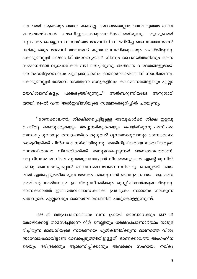ക്കാലത്ത് ആരെയും ഞാൻ കണ്ടില്ല. അവരെയെല്ലാം ഓരോരുത്തർ ഓണ ക്ഷണിച്ചുകൊണ്ടുപൊയ്ക്കഴിഞ്ഞിരുന്നു. മാഘോഷിക്കാൻ തുറമുഖത്ത് വ്യാപാരം ചെയ്യുന്ന വിദേശീയർ രാജാവിന് വിലപിടിച്ച ഓണസമ്മാനങ്ങൾ നല്കുകയും രാജാവ് അവരോട് കുശലമന്വേഷിക്കുകയും ചെയ്തിരുന്നു. കൊടുങ്ങല്ലൂർ രാജാവിന് അറേബ്യയിൽ നിന്നും ചൈനയിൽനിന്നും ഓണ സമ്മാനങ്ങൾ വ്യാപാരികൾ വഴി ലഭിച്ചിരുന്നു. അങ്ങനെ വിദേശങ്ങളുമായി സൌഹാർദ്ദഹബന്ധം പുതുക്കുവാനും ഓണാഘോഷത്തിന് സാധിക്കുന്നു. കൊടുങ്ങല്ലൂർ രാജാവ് നടത്തുന്ന സദ്യകളിലും കലാമത്സരങ്ങളിലും എല്ലാ മതവിശ്വാസികളും പങ്കെടുത്തിരുന്നു....'' അൽബറൂണിയുടെ അനുഗാമി യായി 114-ൽ വന്ന അൽഇദ്രിസിയുടെ സഞ്ചാരക്കുറിപ്പിൽ പറയുന്നു:

''ഓണക്കാലത്ത്, ശിക്ഷിക്കപ്പെട്ടിട്ടുള്ള തടവുകാർക്ക് ശിക്ഷ ഇളവു ചെയ്തു കൊടുക്കുകയും മാപ്പുനല്കുകകയും ചെയ്തിരുന്നു.പരസ്പരം ബന്ധപ്പെടുവാനും സൌഹാർദ്ദം കൂടുതൽ ദൃഢമാക്കുവാനും ഓണക്കാലം കേരളീയർക്ക് പിൻബലം നല്കിയിരുന്നു. അതിഥിപ്രിയരായ കേരളീയരുടെ മനോവിശാലത വിദേശികൾക്ക് അനുഭവപ്പെടുന്നത് ഓണക്കാലത്താണ്. ഒരു ദിവസം രാവിലെ പുറത്തുവന്നപ്പോൾ നിറഞ്ഞകുട്ടകൾ എന്റെ മുമ്പിൽ കണ്ടു അന്വേഷിച്ചപ്പോൾ ഓണസമ്മാനമാണെന്നറിഞ്ഞു. കൊല്ലത്ത് കായ ലിൽ ഏർപ്പെടുത്തിയിരുന്ന മത്സരം കാണുവാൻ ഞാനും പോയി. ആ മത്സ രത്തിന്റെ മേൽനോട്ടം ക്രിസ്ത്യാനികൾക്കും മുസ്ലീമിങ്ങൾക്കുമായിരുന്നു. ഓണക്കാലത്ത് ഇതരമതവിശ്വാസികൾക്ക് പ്രത്യേകം സമ്മാനം നല്കുന്ന പതിവുണ്ട്. എല്ലാവരും ഓണാഘോഷത്തിൽ പങ്കുകൊള്ളുന്നുണ്ട്.

1286–ൽ മതപ്രചരണാർത്ഥം വന്ന ഫ്രയർ ഓഡോറിക്കും 1347–ൽ കോഴിക്കോട്ട് താമസിച്ചിരുന്ന റീഗ് നെല്ലിയും ധർമ്മപ്രചരണാർത്ഥം നാടുഭ രിച്ചിരുന്ന മാബലിയുടെ സ്മരണയെ പുൽകിനില്ക്കുന്ന ഓണത്തെ വിശു ദ്ധാഘോഷമായിട്ടാണ് രേഖപ്പെടുത്തിയിട്ടുള്ളത്. ഓണക്കാലത്ത് അംഗഹീന ദരിദ്രരെയും ആശ്വസിപ്പിക്കാനും അവർക്കു സഹായം നല്കു രെയും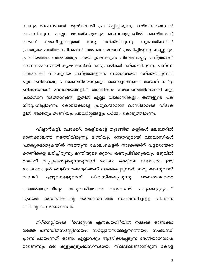വാനും രാജാക്കന്മാർ ശുഷ്ക്കാന്തി പ്രകടിപ്പിച്ചിരുന്നു. വഴിയമ്പലങ്ങളിൽ താമസിക്കുന്ന എല്ലാ അഗതികളെയും ഓണനാളുകളിൽ കോഴിക്കോട്ട് ക്ഷണിച്ചുവരുത്തി നല്കിയിരുന്നു. വ്യാപാരികൾക്ക് രാജാവ് സദ്യ പ്രത്യേകം പാരിതോഷികങ്ങൾ നൽകാൻ രാജാവ് ശ്രദ്ധിച്ചിരുന്നു. കണ്ണൂരും, ,ചാലിയത്തും ധർ<mark>മ്മ</mark>ടത്തും നെയ്തുണ്ടാക്കുന്ന വിശേഷപ്പെട്ട വസ്ത്രങ്ങൾ ഓണസമ്മാനമായി കൃഷിക്കാർക്ക് നാടുവാഴികൾ നല്കിയിരുന്നു. പണ്ഡി തൻമാർക്ക് വിലകൂടിയ വസ്ത്രങ്ങളാണ് സമ്മാനമായി നല്കിയിരുന്നത്. പുരോഹിതന്മാരുടെ അകമ്പടിയോടുകൂടി ഓണച്ചടങ്ങുകൾ രാജാവ് നിർവ്വ ഹിക്കുമ്പോൾ ദേവാലയങ്ങളിൽ ശാന്തിക്കും സമാധാനത്തിനുമായി കൂട്ട പ്രാർത്ഥന നടത്താറുണ്ട്. ഇതിൽ എല്ലാ വിശ്വാസികളും തങ്ങളുടെ പങ്ക് നിർവ്വഹിച്ചിരുന്നു. കോഴിക്കോട്ടെ പ്രമുഖന്മാരായ ഖാസിമാരുടെ വീടുക ളിൽ അരിയും തുണിയും പഴവർഗ്ഗങ്ങളും ധർമ്മം കൊടുത്തിരുന്നു.

വില്ലാൻകളി, ചേക്കേറ്, കേളികൊട്ട് തുടങ്ങിയ കളികൾ മലബാറിൽ ഓണക്കാലത്ത് നടത്തിയിരുന്നു. മന്ത്രിയും രാജാവുമായി വനവാസികൾ പ്രാകൃതമാതൃകയിൽ നടത്തുന്ന കോലംകെട്ടൽ നാടകത്തിന് വളരെയേറെ കാണികളെ ലഭിച്ചിരുന്നു. മന്ത്രിയുടെ കുററം കണ്ടുപിടിക്കുകയും ഒടുവിൽ രാജാവ് മാപ്പുകൊടുക്കുന്നതുമാണ് കോലം കെട്ടിലെ ഉളളടക്കം. ഈ കോലംകെട്ടൽ വെളിസ്ഥലങ്ങളിലാണ് നടത്തപ്പെടുന്നത്. ഇതു കാണുവാൻ വിശ്വസിക്കപ്പെടുന്നു. എഴുന്നെളളുമെന്ന് മാബലി ഓണക്കാലത്തെ കായൽയാത്രയിലും നാടുവാഴിയടക്കം വളരെപേർ പങ്കുകൊള്ളും.....'' ഒഡോറിക്കിന്റെ കലോത്സവത്തെ സംബന്ധിച്ചുളള ഫ്രെയർ വിവരണ ത്തിന്റെ ഒരു ഭാഗമാണിത്.

റീഗ്നെല്ലിയുടെ ''വെസ്റ്റേൻ എൻക്വയറി''യിൽ നമ്മുടെ ഓണക്കാ ലത്തെ പണ്ഡിതസദസ്സിനെയും സർവ്വമതസമ്മേളനത്തെയും സംബന്ധി ച്ചാണ് പറയുന്നത്. ഓണം എല്ലാവരും ആദരിക്കപ്പെടുന്ന ദേശീയാഘോഷ മാണെന്നും ഒരു കൂട്ടുകുടുംബസമ്പ്രദായം നിലവിലുണ്ടായിരുന്ന കേരള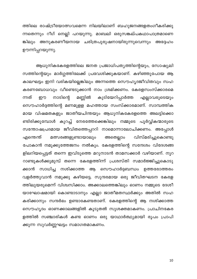ത്തിലെ രാഷ്ട്രീയോത്സവമെന്ന നിലയിലാണ് ബഹുജനങ്ങളതംഗീകരിക്കു ന്നതെന്നും റീഗ് നെല്ലി പറയുന്നു. മാബലി ഒരുസങ്കല്പകഥാപാത്രമാണെ ങ്കിലും അനുകരണീയനായ ചരിത്രപുരുഷനായിരുന്നുവെന്നും അദ്ദേഹം ഊന്നിപ്പറയുന്നു.

ആധുനികകേരളത്തിലെ ജനത പ്രജാധിപത്യത്തിന്റെയും, സോഷ്യലി സത്തിന്റെയും മാർഗ്ഗത്തിലേക്ക് പ്രവേശിക്കുകയാണ്. കഴിഞ്ഞുപോയ ആ കാലഘട്ടം ഇനി വരികയില്ലെങ്കിലും അന്നത്തെ സൌഹൃദജീവിതവും സഹ കരണബോധവും വീണ്ടെടുക്കാൻ നാം ശ്രമിക്കണം. കേരളസംസ്ക്കാരമെ നാടിന്റെ മണ്ണിൽ കുടിയേറിപ്പാർത്ത ന്നത് എല്ലാവരുടെയും றற സൌഹാർദ്ദത്തിന്റെ മണമുളള മഹത്തായ സംസ്ക്കാരമാണ്. സാമ്പത്തിക മായ വിഷമതകളും ജാതീയചിന്തയും ആധുനികകേരളത്തെ അലട്ടിക്കൊ ണ്ടിരിക്കുമ്പോൾ കുറച്ച് നേരത്തേക്കെങ്കിലും നമ്മുടെ പൂർവ്വികന്മാരുടെ സന്തോഷപ്രദമായ ജീവിതത്തെപ്പററി നാമൊന്നാലോചിക്കണം. അപ്പോൾ മത്സരങ്ങളുണ്ടായാലും വിസ്മരിച്ചുകൊണ്ടു അതെല്ലാം എന്തെന്ത് പോകാൻ നമുക്കുത്തേജനം നൽകും. കേരളത്തിന്റെ സന്ദേശം വിദേശങ്ങ ളിലറിയപ്പെട്ടത് തന്നെ ഇവിടുത്തെ മറുനാടൻ താമസക്കാർ വഴിയാണ്. നൂറ റാണ്ടുകൾക്കുമുമ്പ് തന്നെ കേരളത്തിന്ന് പ്രശസ്തി സമാർജ്ജിച്ചുകൊടു സൌഹാർദ്ദബന്ധം ഉത്തരോത്തരം ക്കാൻ സാധിച്ച നശിക്കാത്ത ആ വളർത്തുവാൻ നമുക്കു കഴിയട്ടെ. സുന്ദരമായ ഒരു ജീവിതഘടന കേരള ത്തിലുയരുമെന്ന് വിശ്വസിക്കാം. അക്കാലത്തെങ്കിലും ഓണം നമ്മുടെ ദേശീ യാഘോഷമായി കൊണ്ടാടാനും എല്ലാ ജാതീമതസ്ഥർക്കും അതിൽ സഹ കരിക്കാനും സന്ദർഭം ഉണ്ടാകേണ്ടതാണ്. കേരളത്തിന്റെ ആ നശിക്കാത്ത സൌഹൃദം ഓണക്കാലങ്ങളിൽ കൂടുതൽ സുശക്തമാകണം. പ്രാചിനകേര ളത്തിൽ സഞ്ചാരികൾ കണ്ട ഓണം ഒരു യാഥാർത്ഥ്യമായി രൂപം പ്രാപി ക്കുന്ന സുവർണ്ണഘട്ടം സമാഗതമാകണം.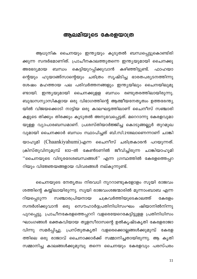#### ആലമിയുടെ കേരളയാത്ര

<span id="page-11-0"></span>ആധുനിക ചൈനയും ഇന്ത്യയും കൂടുതൽ ബന്ധപ്പെട്ടുകൊണ്ടിരി ക്കുന്ന സന്ദർഭമാണിത്. പ്രാചീനകാലത്തുതന്നെ ഇന്ത്യയുമായി ചൈനക്കു കെട്ടിയുറപ്പിക്കുവാൻ ബന്ധം കഴിഞ്ഞിട്ടുണ്ട്. അഭേദ്യമായ ഫാഹയാ ന്റെയും ഹുയാങ്ങ്സാന്റെയും ചരിത്രം സൃഷ്ടിച്ച ഭാരതപര്യടനത്തിന്നു ശേഷം മഹത്തായ പല പരിവർത്തനങ്ങളും ഇന്ത്യയിലും ചൈനയിലുമു ണ്ടായി. ഇന്ത്യയുമായി ചൈനക്കുളള ബന്ധം രണ്ടുതരത്തിലായിരുന്നു. ബുദ്ധസന്യാസികളായ ഒരു വിഭാഗത്തിന്റെ ആത്മീയനേതൃത്വം ഉത്തരേന്ത്യ യിൽ വിജയക്കൊടി നാട്ടിയ ഒരു കാലഘട്ടത്തിലാണ് ചൈനീസ് സഞ്ചാരി കളുടെ തിക്കും തിരക്കും കൂടുതൽ അനുഭവപ്പെട്ടത്. മറെറാന്നു കേരളവുമാ യുള്ള വ്യാപാരബന്ധമാണ്. പ്രശസ്തിയാർജ്ജിച്ച കൊടുങ്ങല്ലൂർ തുറമുഖ വുമായി ചൈനക്കാർ ബന്ധം സ്ഥാപിച്ചത് ബി.സി.2108ലാണെന്നാണ് ചാങ്കി യാഹൂമി (Chaankiyahumi)എന്ന ചൈനീസ് ചരിത്രകാരൻ പറയുന്നത്. ക്രിസ്തുവിനുമുമ്പ് 832–ൽ കേൺടണിൽ ജീവിച്ചിരുന്ന ചാങ്കിയാഹൂമി ''ചൈനയുടെ വിദൂരദേശബന്ധങ്ങൾ'' എന്ന ഗ്രന്ഥത്തിൽ കേരളത്തെപ്പറ റിയും വിജ്ഞേയങ്ങളായ വിവരങ്ങൾ നല്കുന്നുണ്ട്.

ചൈനയുടെ നേതൃത്വം നിരവധി നൂററാണ്ടുകളോളം സൂയി രാജവം ശത്തിന്റെ കയ്യിലായിരുന്നു. സൂയി രാജവംശജന്മാരിൽ മൂന്നാംബാബ എന്ന സഞ്ചാരപ്രിയനായ ചക്രവർത്തിയുടെകാലത്ത് റിയപ്പെടുന്ന കേരളം ഒരു സൌഹാർദ്ദപ്രതിനിധിസംഘം ഷിയാനിൽനിന്നു സന്ദർശിക്കുവാൻ പുറപ്പെട്ടു. പ്രാചീനകേരളത്തെപ്പററി വളരെയേറെകേട്ടിട്ടുളള പ്രതിനിധിസം ഘാംഗങ്ങൾ ഭക്തകവിയായ തൂളസീദാസന്റെ ഉൽകൃഷ്ടകൃതി കേരളരാജാ സമർപ്പിച്ചു. പ്രസ്തുതകൃതി വളരെക്കൊല്ലങ്ങൾക്കുമുമ്പ് വിന്നു കേരള ത്തിലെ ഒരു രാജാവ് ചൈനാക്കാർക്ക് സമ്മാനിച്ചതായിരുന്നു. ആ കൃതി സമ്മാനിച്ച കാലങ്ങൾക്കുമുമ്പു തന്നെ ചൈനയും കേരളവും പരസ്പരം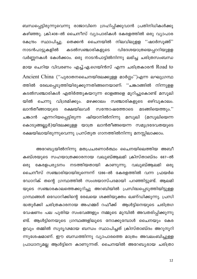ബന്ധപ്പെട്ടിരുന്നുവെന്നു രാജാവിനെ ഗ്രഹിപ്പിക്കുവാൻ പ്രതിനിധികൾക്കു കഴിഞ്ഞു. ക്രി:408–ൽ ചൈനീസ് വ്യാപാരികൾ കേരളത്തിൽ ഒരു വ്യാപാര കേന്ദ്രം സ്ഥാപിച്ചു. തെക്കൻ ചൈനയിൽ നിലവിലുളള ''ഷാർസൂങ്ങ്'' കടൽസഞ്ചാരികളുടെ നാടൻപാട്ടുകളിൽ വിദേശയാത്രയെപ്പററിയുളള വർണ്ണനകൾ കേൾക്കാം. ഒരു നാടൻപാട്ടിൽനിന്നു ലഭിച്ച ചരിത്രസംബന്ധ മായ ചെറിയ വിവരണം എച്ച്.ഏ.ഗെയിൻസ് എന്ന ചരിത്രകാരൻ Road to Ancient China ("പുരാതനചൈനയിലേക്കുള്ള മാർഗ്ഗം")എന്ന ലഘുഗ്രന്ഥ ത്തിൽ രേഖപ്പെടുത്തിയിരുക്കുന്നതിങ്ങനെയാണ്: ''ചങ്കാങ്ങിൽ നിന്നുളള കടൽസഞ്ചാരികൾ എതിർത്തുകയറുന്ന ഓളങ്ങളെ മുറിച്ചുകൊണ്ട് മസൂലി ചെന്നു വിശ്രമിക്കും. മഴക്കാലം സഞ്ചാരികളുടെ ഒഴിവുകാലം. യിൽ ലാൻതീങ്ങായുടെ രക്ഷയിലവർ സന്തോഷത്തോടെ മടങ്ങിയെത്തും.'' ചങ്കാൻ എന്നറിയപ്പെട്ടിരുന്ന ഷിയാനിൽനിന്നു മസൂലി (മസൂലിയെന്ന കൊടുങ്ങല്ലൂർ)യിലേക്കുള്ള യാത്ര ലാൻതീങ്ങയെന്ന സമുദ്രദേവതയുടെ രക്ഷയിലായിരുന്നുവെന്നു പ്രസ്തുത ഗാനത്തിൽനിന്നു മനസ്സിലാക്കാം.

അറേബ്യയിൽനിന്നു മതപ്രചരണാർത്ഥം ചൈനയിലെത്തിയ അബീ കബ്ശയുടെ സഹയാത്രക്കാരനായ വഖൂബ്ആലമി ക്രിസ്താബ്ദം 687–ൽ നടത്തിയതായി കാണുന്നു. കേരളപര്യടനം വഖൂബ്ആലമി ഒരു ഒരു ചൈനീസ് സഞ്ചാരിയായിരുന്നെന്ന് 1286–ൽ കേരളത്തിൽ വന്ന ഫ്രയർഒ ഡോറിക് തന്റെ ഗ്രന്ഥത്തിൽ സംശയാസ്പദമായി പറഞ്ഞിട്ടുണ്ട്. ആലമി യുടെ സഞ്ചാരകാലത്തെക്കുറിച്ചു അറബിയിൽ പ്രസിദ്ധപ്പെടുത്തിയിട്ടുള്ള ഗ്രന്ഥങ്ങൾ ഒഡോറിക്കിന്റെ രേഖയെ ശക്തിയുക്തം ഖണ്ഡിക്കുന്നു. പ്രസി ദ്ധതുർക്കി ചരിത്രകാരനായ അഹമ്മദ് റഫീക്ക് ആൾട്ടിനെയുടെ ചരിത്രഗ വേഷണം പല പുതിയ സംഭവങ്ങളും നമ്മുടെ മുമ്പിൽ അവതരിപ്പിക്കുന്നു ണ്ട്. ആൾട്ടിനെയുടെ ഗ്രന്ഥങ്ങളിലൂടെ നോക്കുമ്പോൾ ചൈനയും കേര ളവും തമ്മിൽ സുദൃഢമായ ബന്ധം സ്ഥാപിച്ചത് ക്രിസ്താബ്ദം അറുനൂറി ന്നുശേഷമാണ്. ഈ ബന്ധത്തിന്നു വ്യാപാരത്തെ മാത്രം അവലംബിച്ചുള്ള പ്രാധാന്യമല്ല ആൾട്ടിനെ കാണുന്നത്. ചൈനയിൽ അറേബ്യരായ ചരിത്രാ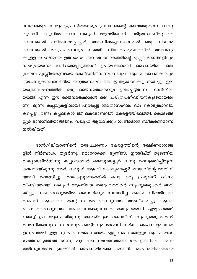മ്പേഷകരും സാമൂഹ്യപ്രവർത്തകരും പ്രവാചകന്റെ കാലത്തുതന്നെ വന്നു ് ഒടുവിൽ വന്ന വഖൂഫ് ആലമിയാണ് ചരിത്രസാഹിത്യത്തെ തുടങ്ങി. പരിപോഷിപ്പിച്ചത്. അറബിക്കച്ചവടക്കാരിൽ ഒരു ചൈനയിൽ വിഭാഗം ചൈനയിൽ മതപ്രചരണവും നടത്തി. വിദേശപര്യടനത്തിൽ അറേബ്യ ക്കുള്ള സഹജമായ ഉത്സാഹം അവരെ ലോകത്തിന്റെ എല്ലാ ഭാഗങ്ങളിലും നിഷ്പ്രയാസം പരിചയപ്പെടുത്താൻ ഉപയുക്തമായി. ചൈനയിലെ ഒരു പ്രബല മുസ്ലീംകേന്ദ്രമായ കേൻടനിൽനിന്നു വഖൂഫ് ആലമി ചൈനക്കാരും അറേബ്യക്കാരുമടങ്ങിയ യാത്രാസംഘത്തെ ഇന്ത്യയിലേക്കു നയിച്ചു. ഈ യാത്രാസംഘത്തിൽ ഒരു ജൈനമതാംഗവും ഉൾപ്പെട്ടിരുന്നു. ടാൻഗീലി യാങ്ങ് എന്ന ഈ ജൈനമതക്കാരൻ ഒരു ചരിത്രപണ്ഡിതൻകൂടിയായിരു ന്നു. മൂന്നു കപ്പലുകളിലായി പുറപ്പെട്ട യാത്രാസംഘം ഒരു കൊടുങ്കാററില കപ്പെട്ടു. രണ്ടു കപ്പലുകൾ 687 ഒക്ടോബറിൽ കേരളത്തിലെത്തി. കൊടുങ്ങ ല്ലൂർ ടാൻഗീലിയാങ്ങിനും വഖൂഫ് ആലമിക്കും ഗംഭീരമായ സ്വീകരണമാണ് നൽകിയത്.

ടാൻഗീലിയാങ്ങിന്റെ മതപ്രചരണം കേരളത്തിന്റെ ദക്ഷിണഭാഗങ്ങ ളിൽ നിർബാധം തുടർന്നു. മൊറോക്കെ, ടൂണിസ്, ഈജിപ്ത് തുടങ്ങിയ രാജ്യങ്ങളിൽനിന്നു കച്ചവടക്കാർ കൊടുങ്ങല്ലൂർ വന്നു താവളമടിച്ചിരുന്ന കാലമായിരുന്നു അത്. വഖൂഫ് ആലമി കൊടുങ്ങല്ലൂർ രാജാവിന്റെ അതിഥി താമസിച്ചു. രാജകുടുംബത്തിൽ പെട്ട ഒരു പ്രമുഖന് വിഷം യായി തീണ്ടിയതായി വഖൂഫ് ആലമിയെ അദ്ദേഹത്തിന്റെ സുഹൃത്തുക്കൾ അറി യിച്ചു. വിഷവൈദ്യത്തിൽ വൈദഗ്ദ്ധ്യം സമ്പാദിച്ച ആലമി വിഷമിറക്കി. രാജാവ് ആലമിയെ തന്റെ സ്വന്തം വൈദ്യനായി അംഗീകരിച്ചു. ആലമി കൊട്ടാരവൈദ്യനായി ജോലിനോക്കുമ്പോൾ അദ്ദേഹത്തിന് എഴുപത്തെട്ട് വയസ്സ് പ്രായമുണ്ടായിരുന്നു. ആലമിയുടെ ചൈനീസ് സുഹൃത്തുക്കൾക്ക് താമസിക്കാനുള്ള സ്ഥലവും കെട്ടിടവും രാജാവ് നല്കി. ചൈനയും കേര ളവും തമ്മിലുള്ള വ്യാപാരസംബന്ധമായ എല്ലാ ബന്ധങ്ങളും ആലമിയുടെ മേൽനോട്ടത്തിൽ നടന്നു. പന്ത്രണ്ടു സംവത്സരത്തെ കേരളത്തിലെ താമസ ത്തിന്നുശേഷം ക്രി:699ൽ ചൈനയിലേക്കു മടങ്ങി. ചൈനയിലെത്തിയ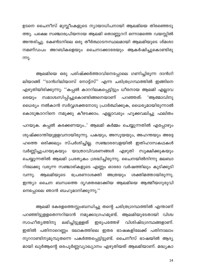ഉടനെ ചൈനീസ് മുസ്ലീംകളുടെ ന്യായാധിപനായി ആലമിയെ തിരഞ്ഞെടു ത്തു. പക്ഷെ സഞ്ചാരപ്രിയനായ ആലമി തൊണ്ണൂററി ഒന്നാമത്തെ വയസ്സിൽ അന്തരിച്ചു. കേൺടനിലെ ഒരു തീർത്ഥാടനസ്ഥലമായി ആലമിയുടെ ശ്മശാ നമണ്ഡപം അറബികളെയും ചൈനാക്കാരേയും ആകർഷിച്ചുകൊണ്ടിരു ന്നു.

ആലമിയെ ഒരു പരിഷ്ക്കർത്താവിനെപ്പോലെ ഗണിച്ചിരുന്ന ദാൻഗി ലിയാങ്ങ് ''ടാൻഗിലിയാസ് നോട്ട്സ്'' എന്ന ചരിത്രഗ്രന്ഥത്തിൽ ഇങ്ങിനെ എഴുതിയിരിക്കുന്നു: ''കപ്പൽ കാററിലകപ്പെട്ടിട്ടും ധീരനായ ആലമി എല്ലാവ സമാശ്വസിപ്പിച്ചുകൊണ്ടിങ്ങനെയാണ് പറഞ്ഞത്: 'ആത്മാവിനു രെയും ധൈര്യം നൽകാൻ സർവ്വശക്തനോടു പ്രാർത്ഥിക്കുക, ധൈര്യമായിരുന്നാൽ കൊടുങ്കാററിനെ നമുക്കു കീഴടക്കാം. എല്ലാവരും ഹൂക്കവലിച്ചു ഫലിതം പറയുക. കപ്പൽ കരക്കണയും...' ആലമി കർമ്മം ചെയ്യുന്നതിൽ എപ്പോഴും ശുഷ്ക്കാന്തിയുളളവനായിരുന്നു. പകയും, അസൂയയും, അഹന്തയും അദ്ദേ ഹത്തെ ഒരിക്കലും സ്പർശിച്ചില്ല. സഞ്ചാരവേളയിൽ ഇതിഹാസകഥകൾ വർണ്ണിച്ചുപറയുകയും യാത്രാവിവരണങ്ങൾ എഴുതി സൂക്ഷിക്കുകയും ചെയ്യുന്നതിൽ ആലമി പ്രത്യേകം ശ്രദ്ധിച്ചിരുന്നു. ചൈനയിൽനിന്നു മലബാ റിലേക്കു വരുന്ന സഞ്ചാരികളുടെ എണ്ണം ഓരോ വർഷത്തിലും കൂടിക്കൂടി ശക്തിമത്തായിരുന്നു. വന്നു. ആലമിയുടെ പ്രേരണാശക്തി അത്രയും ഇന്ത്യാ ചൈന ബന്ധത്തെ ദൃഢതരമാക്കിയ ആലമിയെ ആത്മീയഗുരുവി നെപ്പോലെ ഞാൻ ബഹുമാനിക്കുന്നു."

ആലമി കേരളത്തെസ്സംബന്ധിച്ചു തന്റെ ചരിത്രഗ്രന്ഥത്തിൽ എന്താണ് പറഞ്ഞിട്ടുളളതെന്നറിയാൻ നമുക്കാഗ്രഹമുണ്ട്. ആലമിയുടേതായി വിശ്വ ലഭിച്ചിട്ടുള്ളത് ഇരുപത്തേഴ് വിശിഷ്ടഗ്രന്ഥങ്ങളാണ്. സാഹീത്യത്തിനു ഇതിൽ പതിനാറെണ്ണം ലോകത്തിലെ ഇതര ഭാഷകളിലേക്ക് പതിനാലാം നൂററാണ്ടിനുമുമ്പുതന്നെ പകർത്തപ്പെട്ടിട്ടുണ്ട്. ചൈനീസ് ഭാഷയിൽ ആദ<mark>്</mark>യ മായി ഖുർആന്റെ ഒരപൂർണ്ണവ്യാഖ്യാനം എഴുതിയത് ആലമിയാണ്. മദ്ധ്യകാ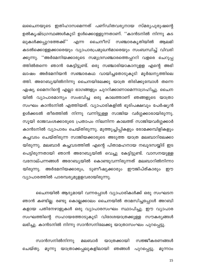ലചൈനയുടെ ഇതിഹാസമെന്നത് പണ്ഡിതവര്യനായ സ്മര്യപുരുഷന്റെ ഉൽകൃഷ്ടഗ്രന്ഥങ്ങൾകൂടി ഉൾക്കൊള്ളുന്നതാണ്. ''കാൻടനിൽ നിന്നു കട ലുകൾക്കപ്പുറത്തേക്ക്'' എന്ന ചൈനീസ് സഞ്ചാരകൃതിയിൽ ആലമി കടൽക്കൊള്ളക്കാരെയും വ്യാപാരപ്രമുഖൻമാരെയും സംബന്ധിച്ച് വിവരി ക്കുന്നു. ''അർമേനിയക്കാരുടെ സമുദ്രസഞ്ചാരത്തെപ്പററി വളരെ ചെറുപ്പ ത്തിൽതന്നെ ഞാൻ കേട്ടിട്ടുണ്ട്. ഒരു സഞ്ചാരിയാകാനുളള എന്റെ അഭി ലാഷം അർമേനിയൻ സഞ്ചാരകഥ വായിച്ചതോടുകൂടി മൂർദ്ധന്യത്തിലെ ത്തി. അറേബ്യയിൽനിന്നു ചൈനയിലേക്കു യാത്ര തിരിക്കുമ്പോൾ തന്നെ ഏഷ്യ മൈനറിന്റെ എല്ലാ ഭാഗങ്ങളും ചുററിക്കാണാമെന്നാഗ്രഹിച്ചു. ചൈന യിൽ വ്യാപാരമാന്ദ്യം സംഭവിച്ച ഒരു കാലത്താണ് ഞങ്ങളുടെ യാത്രാ സംഘം കാൻടനിൽ എത്തിയത്. വ്യാപാരികളിൽ ഭൂരിപക്ഷവും പേർഷ്യൻ ഉൾക്കടൽ തീരത്തിൽ നിന്നു വന്നിട്ടുള്ള സാജിയ വർഗ്ഗക്കാരായിരുന്നു. സൂയി രാജവംശക്കാരുടെ പ്രതാപം നിലനിന്ന കാലത്ത് സാജിയവർഗ്ഗക്കാർ കാൻടനിൽ വ്യാപാരം ചെയ്തിരുന്നു. മുത്തുച്ചിപ്പികളും രോമക്കമ്പിളികളും കച്ചവടം ചെയ്തിരുന്ന സാജിയക്കാരുടെ അടുത്ത യാത്ര മലബാറിലേക്കാ യിരുന്നു. മലബാർ കച്ചവടത്തിൽ എന്റെ പിതാമഹനായ നഖൂദസയ്യിദ് ഇട പെട്ടിരുന്നതായി ഞാൻ അറേബ്യയിൽ വെച്ചു കേട്ടിട്ടുണ്ട്. വാസനയുള്ള വനോല്പന്നങ്ങൾ അറേബ്യയിൽ കൊണ്ടുവന്നിരുന്നത് മലബാറിൽനിന്നാ അർമേനിയക്കാരും, ടുണീഷ്യക്കാരും ഈജിപ്ത്കാരും യിരുന്നു. றற വ്യാപാരത്തിൽ പാരമ്പര്യമുളളവരായിരുന്നു.

ചൈനയിൽ ആദ്യമായി വന്നപ്പോൾ വ്യാപാരികൾക്ക് ഒരു സംഘടന ഞാൻ കണ്ടില്ല. രണ്ടു കൊല്ലക്കാലം ചൈനയിൽ താമസിച്ചപ്പോൾ അറബി കളായ പതിനേഴാളുകൾ ഒരു വ്യാപാരസംഘം സ്ഥാപിച്ചു. ഈ വ്യാപാര സംഘത്തിന്റെ സഹായത്തോടുകൂടി വിദേശയാത്രക്കുള്ള സൗകര്യങ്ങൾ ലഭിച്ചു. കാൻടനിൽ നിന്നു സാൻസനിലേക്കു യാത്രാസംഘം പുറപ്പെട്ടു.

സാൻസനിൽനിന്നു മലബാർ യാത്രക്കായി സജ്ജീകരണങ്ങൾ മൂന്നു യാത്രാക്കപ്പലുകളിലായി ഞങ്ങൾ പുറപ്പെട്ടു. ചെയ്തു. മൂന്നാം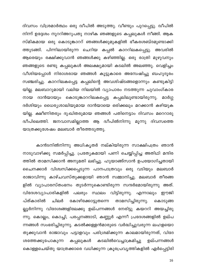ദിവസം വിശ്രമാർത്ഥം ഒരു ദ്വീപിൽ അടുത്തു. വീണ്ടും പുറപ്പെട്ടു. ദ്വീപിൽ നിന്ന് ഉദ്ദേശം നൂററിഅറുപതു നാഴിക ഞങ്ങളുടെ കപ്പലുകൾ നീങ്ങി. ആക സ്മികമായ ഒരു കൊടുങ്കാററ് ഞങ്ങൾക്കുമുകളിൽ ഭീകരശബ്ദമുണ്ടാക്കി ത്തുടങ്ങി. പിന്നിലായിരുന്ന ചെറിയ കപ്പൽ കാററിലകപ്പെട്ടു. അവരിൽ ആരെയും രക്ഷിക്കുവാൻ ഞങ്ങൾക്കു കഴിഞ്ഞില്ല. ഒരു രാത്രി മുഴുവനും ഞങ്ങളുടെ രണ്ടു കപ്പലുകൾ അലക്ഷ്യമായി കടലിൽ അലഞ്ഞു. വെളിച്ചം വീശിയപ്പോൾ നിരാശരായ ഞങ്ങൾ കൂട്ടുകാരെ അന്വേഷിച്ചു ബഹുദൂരം സഞ്ചരിച്ചു. കാററിലകപ്പെട്ട കപ്പലിന്റെ അവശിഷ്ടങ്ങളൊന്നും കണ്ടുകിട്ടി യില്ല. മലബാറുമായി വലിയ നിലയിൽ വ്യാപാരം നടത്തുന്ന ചുവാംഗ്കാര നായ ദാൻയായും കൊടുങ്കാററിലകപ്പെട്ട കപ്പലിലുണ്ടായിരുന്നു. മാർഗ്ഗ ദർശിയും ധൈര്യശാലിയുമായ ദാൻയായെ ഒരിക്കലും മറക്കാൻ കഴിയുക യില്ല. ക്ഷീണിതരും ദു:ഖിതരുമായ ഞങ്ങൾ പതിനെട്ടാം ദിവസം മറെറാരു ദ്വീപിലെത്തി. ജനവാസമില്ലാത്ത ആ ദ്വീപിൽനിന്നു മൂന്നു ദിവസത്തെ യാത്രക്കുശേഷം മലബാർ തീരത്തടുത്തു.

കാൻടനിൽനിന്നു അധി:കൃതർ നല്കിയിരുന്ന സാക്ഷിപത്രം ഞാൻ നാടുവാഴിക്കു സമർപ്പിച്ചു. പ്രത്യേകമായി പണി ചെയ്യിപ്പിച്ച അതിഥി മന്ദിര ത്തിൽ താമസിക്കാൻ അനുമതി ലഭിച്ചു. ഹുയാങ്ങ്സാൻ ഉപയോഗിച്ചതായി ചൈനക്കാർ വിശ്വസിക്കപ്പെടുന്ന പാനപാത്രവും ഒരു വടിയും മലബാർ രാജാവിന്നു കാഴ്ചവസ്തുക്കളായി ഞാൻ സമ്മാനിച്ചു. മലബാർ തീരങ്ങ ളിൽ വ്യാപാരസ്തംഭനം തുടർന്നുകൊണ്ടിരുന്ന സന്ദർഭമായിരുന്നു അത്. വിദേശവ്യാപാരികളിൽ പലരും സ്ഥലം വിട്ടിരുന്നു. എന്നാലും ഈജി പ്ത്കാരിൽ കോഴിക്കോട്ടുതന്നെ താമസിച്ചിരുന്നു. ചിലർ കൊടുങ്ങ ല്ലൂർനിന്നു വിദേശങ്ങളിലേക്കു ഉല്പന്നങ്ങൾ നേരിട്ടു കയററി അയച്ചിരു ന്നു. കൊല്ലം, കൊച്ചി, പരപ്പനങ്ങാടി, കണ്ണൂർ എന്നീ പ്രദേശങ്ങളിൽ ഉല്പ ന്നങ്ങൾ സംഭരിച്ചിരുന്നു. കടൽക്കള്ളൻമാരുടെ വർദ്ധിച്ചുവരുന്ന ലഹളയൊ തുക്കുവാൻ രാജാവും പട്ടാളവും പരിശ്രമിക്കുന്ന കാലമായിരുന്നത്, വിദേ കടലിൽവെച്ചാക്രമിച്ചു ശത്തേക്കുപോകുന്ന കപ്പലുകൾ ഉല്പന്നങ്ങൾ കൊള്ളചെയ്തു യാത്രക്കാരെ വധിക്കുന്ന ക്രൂരപ്രവൃത്തികളിൽ ഏർപ്പെട്ടിരി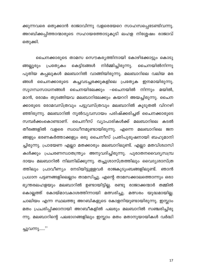ക്കുന്നവരെ ഒതുക്കാൻ രാജാവിന്നു വളരെയേറെ സാഹസപ്പെടേണ്ടിവന്നു. അറബിക്കപ്പിത്താന്മാരുടെ സഹായത്തോടുകൂടി ലഹള നിശ്ശേഷം രാജാവ് ഒതുക്കി.

ചൈനക്കാരുടെ താമസ സൌകര്യത്തിനായി കോഴിക്കോട്ടും കൊടു കെട്ടിടങ്ങൾ നിർമ്മിച്ചിരുന്നു. ങ്ങല്ലൂരും പ്രത്യേകാ ചൈനയിൽനിന്നു പുതിയ കപ്പലുകൾ മലബാറിൽ വാങ്ങിയിരുന്നു. മലബാറിലെ വലിയ മര ങ്ങൾ ചൈനക്കാരുടെ കച്ചവടച്ചരക്കുകളിലെ പ്രത്യേക ഇനമായിരുന്നു. നിന്നും സുഗന്ധസാധനങ്ങൾ ചൈനയിലേക്കും –ചൈനയിൽ മയിൽ, മാൻ, രോമം തുടങ്ങിയവ മലബാറിലേക്കും കയററി അയച്ചിരുന്നു. ചൈന ക്കാരുടെ രോമവസ്ത്രവും പട്ടുവസ്ത്രവും മലബാറിൽ കൂടുതൽ വിററഴി ഞ്ഞിരുന്നു. മലബാറിൽ നൂൽവ്യവസായം പരിഷ്ക്കരിച്ചത് ചൈനക്കാരുടെ സമ്പർക്കംകൊണ്ടാണ്. ചൈനീസ് വ്യാപാരികൾക്ക് മലബാറിലെ കടൽ തീരങ്ങളിൽ വളരെ സ്വാധീനമുണ്ടായിരുന്നു. എന്നെ മലബാറിലെ ജന ങ്ങളും ഭരണകർത്താക്കളും ഒരു ചൈനീസ് പ്രതിപുരുഷനായി ബഹുമാനി ച്ചിരുന്നു. പ്രായേണ എല്ലാ മതക്കാരും മലബാറിലുണ്ട്. എല്ലാ മതവിശ്വാസി കൾക്കും പ്രചരണസ്വാതന്ത്ര്യം അനുവദിച്ചിരുന്നു. പുരാതനവൈദ്യസമ്പ്ര ദായം മലബാറിൽ നിലനില്ക്കുന്നു. തച്ചുശാസ്ത്രത്തിലും വൈദ്യശാസ്ത്ര ത്തിലും പ്രാവീണ്യം നേടിയിട്ടുള്ളവർ രാജകുടുംബങ്ങളിലുണ്ട്. ഞാൻ പ്രധാന പട്ടണങ്ങളിലെല്ലാം താമസിച്ചു. എന്റെ താമസക്കാലത്തൊന്നും ഒരാ ഭൃന്തരലഹളയും മലബാറിൽ ഉണ്ടായിട്ടില്ല. രണ്ടു രാജാക്കന്മാർ തമ്മിൽ കൊല്ലത്ത് കോയ്മാവകാശത്തിന്നായി മത്സരിച്ചു. മത്സരം യുദ്ധമായില്ല. ചാലിയം എന്ന സ്ഥലത്തു അറബികളുടെ കോളനിയുണ്ടായിരുന്നു. ഇസ്ലാം മതം പ്രചരിപ്പിക്കാനായി അറബീകളിൽ പലരും മലബാറിൽ സഞ്ചരിച്ചിരു ന്നു. മലബാറിന്റെ പലഭാഗങ്ങളിലും ഇസ്ലാം മതം മതാനുയായികൾ വർദ്ധി

ച്ചുവന്നു.......''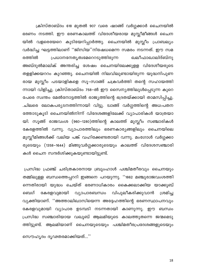ക്രിസ്താബ്ദം 618 മുതൽ 907 വരെ ഷാങ്ങ് വർഗ്ഗക്കാർ ചൈനയിൽ ഭരണം നടത്തി. ഈ ഭരണകാലത്ത് വിദേശീയരായ മുസ്ലീമീങ്ങൾ ചൈന യിൽ വളരെയേറെ കുടിയേറിപ്പാർത്തു. ചൈനയിൽ മുസ്ലീം പ്രാബല്യം വർദ്ധിച്ച ഘട്ടത്തിലാണ് ''ജിസിയ''നിഷേധമെന്ന സമരം നടന്നത്. ഈ സമ പ്രധാനനേതൃത്വമേറെറടുത്തിരുന്ന രത്തിൽ ഖലീഫാഖാലിദ്ബ്നു അബ്ദുൽമാലിക് അന്തരിച്ച ശേഷം ചൈനയിലേക്കുളള വിദേശീയരുടെ തളളിക്കയററം കുറഞ്ഞു. ചൈനയിൽ നിലവിലുണ്ടായിരുന്ന യുദ്ധനിപുണ രായ മുസ്ലീം പടയാളികളെ സൂ–സാങ്ങ് ചക്രവർത്തി തന്റെ സഹായത്തി ന്നായി വിളിച്ചു. ക്രിസ്താബ്ദം 758–ൽ ഈ സൈന്യത്തിലുൾപ്പെടുന്ന കുറെ പേരെ സ്വന്തം മേൽനോട്ടത്തിൽ രാജ്യത്തിന്റെ ഭദ്രതയ്ക്കായി താമസിപ്പിച്ചു. .ചിലരെ ലോകപര്യടനത്തിന്നായി വിട്ടു. ട്വാങ്ങ് വർഗ്ഗത്തിന്റെ അധ:പതന ത്തോടുകൂടി ചൈനയിൽനിന്ന് വിദേശങ്ങളിലേക്ക് വ്യാപാരികൾ യാത്രയാ യി. സൂങ്ങ് രാജവംശ (960–1280)ത്തിന്റെ കാലത്ത് മുസ്ലീം സഞ്ചാരികൾ കേരളത്തിൽ വന്നു. വ്യാപാരത്തിലും ഭരണകാര്യങ്ങളിലും ചൈനയിലെ മുസ്ലീമിങ്ങൾക്ക് വലിയ പങ്ക് വഹിക്കേണ്ടതായി വന്നു. മംഗോൾ വർഗ്ഗക്കാ രുടെയും (1358–1644) മിങ്ങുവർഗ്ഗക്കാരുടെയും കാലത്ത് വിദേശസഞ്ചാരി കൾ ചൈന സന്ദർശിക്കുകയുണ്ടായിട്ടുണ്ട്.

പ്രസിദ്ധ ഫ്രഞ്ച് ചരിത്രകാരനായ ബ്രൂംഹാൾ പശ്ചിമതീരവും ചൈനയും തമ്മിലുള്ള ബന്ധത്തെപ്പററി ഇങ്ങനെ പറയുന്നു. ''1862 മഞ്ചുരാജവംശത്തി ന്നെതിരായി യുദ്ധം ചെയ്ത് ഭരണാധികാരം കൈക്കലാക്കിയ യാക്കൂബ് വ്യാപാരബന്ധം വിപുലീകരിക്കുവാൻ ബെഗ് കേരളവുമായി ശ്രമിച്ച വ്യക്തിയാണ്. ''അത്താലിഖാസിയെന്ന അദ്ദേഹത്തിന്റെ ഭരണസ്ഥാപനവും കേരളവുമായി വ്യാപാര ഉടമ്പടി നടന്നതായി കാണുന്നു. ഈ ബന്ധം പ്രസിദ്ധ സഞ്ചാരിയായ വഖൂബ് ആലമിയുടെ കാലത്തുതന്നെ ജന്മമെടു ത്തിട്ടുണ്ട്. ആലമിയാണ് ചൈനയുടെയും പശ്ചിമതീരപ്രദേശങ്ങളുടെയും

സൌഹൃദം ദൃഢതരമാക്കിയത്....''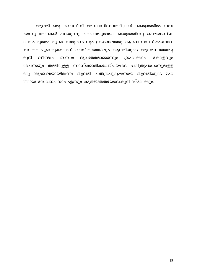ആലമി ഒരു ചൈനീസ് അമ്പാസിഡറായിട്ടാണ് കേരളത്തിൽ വന്ന തെന്നു രേഖകൾ പറയുന്നു. ചൈനയുമായി കേരളത്തിന്നു പൌരാണിക കാലം മുതൽക്കു ബന്ധമുണ്ടെന്നും ഇടക്കാലത്തു ആ ബന്ധം സ്തംഭനാവ സ്ഥയെ പുണരുകയാണ് ചെയ്തതെങ്കിലും ആലമിയുടെ ആഗമനത്തോടു കൂടി വീണ്ടും ബന്ധം ദൃഢതരമായെന്നും ഗ്രഹിക്കാം. കേരളവും ചൈനയും തമ്മിലുള്ള സാസ്ക്കാരികവേഴ്ചയുടെ ചരിത്രപ്രാധാന്യമുള്ള ഒരു ശൃംഖലയായിരുന്നു ആലമി. ചരിത്രപുരുഷനായ ആലമിയുടെ മഹ ത്തായ സേവനം നാം എന്നും കൃതജ്ഞതയോടുകൂടി സ്മരിക്കും.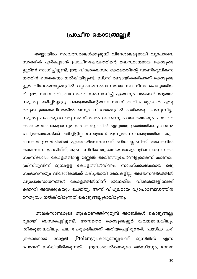#### പ്രാചീന കൊടുങ്ങല്ലൂർ

<span id="page-20-0"></span>അയ്യായിരം സംവത്സരങ്ങൾക്കുമുമ്പ് വിദേശങ്ങളുമായി വ്യാപാരബ ന്ധത്തിൽ ഏർപ്പെടാൻ പ്രാചീനകേരളത്തിന്റെ തലസ്ഥാനമായ കൊടുങ്ങ ല്ലൂരിന്ന് സാധിച്ചിട്ടുണ്ട്. ഈ വിദേശബന്ധം കേരളത്തിന്റെ വാണിജ്യവികസ നത്തിന് ഉത്തേജനം നൽകിയിട്ടുണ്ട്. ബി.സി.രണ്ടായിരത്തിലാണ് കൊടുങ്ങ ല്ലൂർ വിദേശരാജ്യങ്ങളിൽ വ്യാപാരസംബന്ധമായ സ്വാധീനം ചെലുത്തിയ ത്. ഈ സാമ്പത്തികബന്ധത്തെ സംബന്ധിച്ച് ഏതാനും രേഖകൾ മാത്രമേ നമുക്കു ലഭിച്ചിട്ടുള്ളു. കേരളത്തിന്റെതായ സാസ്ക്കാരിക മുദ്രകൾ എടു ത്തുകാട്ടത്തക്കവിധത്തിൽ ഒന്നും വിദേശങ്ങളിൽ പതിഞ്ഞു കാണുന്നില്ല. നമുക്കു പഴക്കമുള്ള ഒരു സംസ്ക്കാരം ഉണ്ടെന്നു പറയാമെങ്കിലും പറയത്ത ക്കതായ രേഖകളൊന്നും ഈ കാര്യത്തിൽ എടുത്തു ഉയർത്തികാട്ടുവാനും ചരിത്രകാരന്മാർക്ക് ലഭിച്ചിട്ടില്ല. സോളമന്ന് മുമ്പുതന്നെ കേരളത്തിലെ കുര ങ്ങുകൾ ഈജിപ്തിൽ എത്തിയിരുന്നുവെന്ന് ഹിരോഗ്ലിഫിക്ക് രേഖകളിൽ കാണുന്നു. ഈജിപ്ത്, കൂഫ, സിറിയ തുടങ്ങിയ രാജ്യങ്ങളിലെ ഒരു സങ്കര സംസ്ക്കാരം കേരളത്തിന്റെ മണ്ണിൽ അലിഞ്ഞുചേർന്നിട്ടുണ്ടെന്ന് കാണാം. ക്രിസ്തുവിന്ന് മുമ്പുളള കേരളത്തിൽനിന്നും സാംസ്ക്കാരികമായ ഒരു സംഭാവനയും വിദേശികൾക്ക് ലഭിച്ചതായി രേഖകളില്ല. അതേസന്ദർഭത്തിൽ വ്യാപാരസാധനങ്ങൾ കേരളത്തിൽനിന്ന് യഥേഷ്ടം വിദേശങ്ങളിലേക്ക് കയററി അയക്കുകയും ചെയ്തു. അന്ന് വിപുലമായ വ്യാപാരബന്ധത്തിന് നേതൃത്വം നൽകിയിരുന്നത് കൊടുങ്ങല്ലൂരായിരുന്നു.

അലക്സാണ്ടരുടെ ആക്രമണത്തിനുമുമ്പ് അറബികൾ കൊടുങ്ങല്ലൂ രുമായി ബന്ധപ്പെട്ടിട്ടുണ്ട്. അന്നത്തെ കൊടുങ്ങല്ലൂർ യവനഭാഷയിലും ഗ്രീക്കുഭാഷയിലും പല പേരുകളിലാണ് അറിയപ്പെട്ടിരുന്നത്. പ്രസിദ്ധ ചരി (Ptolemy)കൊടുങ്ങല്ലൂരിന്ന് മുസിരിസ് ത്രകാരനായ ടോളമി എന്ന പേരാണ് നല്കിയിരിക്കുന്നത്. ഇസ്രായേൽക്കാരുടെ തർസീസും, റോമാ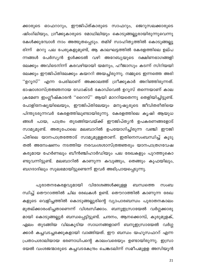ക്കാരുടെ ഓഫറാറും, ഈജിപ്ത്കാരുടെ സാഫറും, ജെറുസലക്കാരുടെ ഷിംഗ്ലിയും, ഗ്രീക്കുകാരുടെ മോഥിലിയും കൊടുങ്ങല്ലൂരായിരുന്നുവെന്നു കേൾക്കുമ്പോൾ നാം അത്ഭുതപ്പെടും. തമിഴ് സാഹിത്യത്തിൽ കൊടുങ്ങല്ലൂ രിന്ന് മററു പല പേരുകളുമുണ്ട്, ആ കാലഘട്ടത്തിൽ കേരളത്തിലെ ഉല്പ ന്നങ്ങൾ പേർസ്യൻ ഉൾക്കടൽ വഴി അറേബ്യയുടെ ദക്ഷിണഭാഗങ്ങളി ലേക്കും അവിടെനിന്ന് കരവഴിയായി യമനും, ഹീജാസും കടന്ന് സിറിയയി ലേക്കും ഈജിപ്തിലേക്കും കയററി അയച്ചിരുന്നു. നമ്മുടെ ഇന്നത്തെ അരി ''ഉറൂസ്'' എന്ന പേരിലാണ് അക്കാലത്ത് ഗ്രീക്കുകാർ അറിഞ്ഞിരുന്നത്. ഭാഷാശാസ്ത്രജ്ഞനായ ഡോക്ടർ കോഡ്വെൽ ഉറൂസ് തന്നെയാണ് കാല ക്രമേണ ഇംഗ്ലീഷ്കാരൻ ''റൈസ്'' ആയി മാററിയതെന്നു തെളിയിച്ചിട്ടുണ്ട്. പോളിനേഷ്യയിലെയും, ഈജിപ്തിലേയും മനുഷ്യരുടെ ജീവിതരീതിയെ പിന്തുടരുന്നവർ കേരളത്തിലുണ്ടായിരുന്നു. കേരളത്തിലെ കൃഷി ആയുധ ങ്ങൾ പായ, പാത്രം തുടങ്ങിയവയ്ക്ക് ഈജിപ്തൃൻ ഉപകരണങ്ങളോട് സാമ്യമുണ്ട്. അതുപോലെ മലബാറിൽ ഉപയോഗിച്ചിരുന്ന വഞ്ചി ഈജി പ്തിലെ യാനപാത്രത്തോട് സാമ്യമുള്ളതാണ്. ഇതിനെസംബന്ധിച്ച് കൂടു തൽ അന്വേഷണം നടത്തിയ നരവംശശാസ്ത്രജ്ഞരും യാനപാത്രഗവേഷ കരുമായ ഹേർണലും ബീൻഞ്ചിഹാർഡിയും പല രേഖകളും പുറത്തുകൊ ണ്ടുവന്നിട്ടുണ്ട്. മലബാറിൽ കാണുന്ന കവുങ്ങും, തെങ്ങും കൂഫയിലും, ബഗദാദിലും സുലഭമായിട്ടുണ്ടെന്ന് ഇവർ അഭിപ്രായപ്പെടുന്നു.

പുരാതനകേരളവുമായി വിദേശങ്ങൾക്കുള്ള ബന്ധത്തെ സംബ ന്ധിച്ച് തൌറാത്തിൽ ചില രേഖകൾ ഉണ്ട്. തൌറാത്തിൽ കാണുന്ന രേഖ കളുടെ വെളിച്ചത്തിൽ കൊടുങ്ങല്ലൂരിന്റെ വ്യാപാരബന്ധം പുരാതനകാലം മുതല്ക്കാരംഭിച്ചതാണെന്ന് വിശ്വസിക്കാം. ബനൂഇസ്രായേൽ വർഗ്ഗക്കാരു മായി കൊടുങ്ങല്ലൂർ ബന്ധപ്പെട്ടിട്ടുണ്ട്. ചന്ദനം, ആനക്കൊമ്പ്, കുരുമുളക്, ഏലം തുടങ്ങിയ വിലകൂടിയ സാധനങ്ങളാണ് ബനൂഇസ്രായേൽ വർഗ്ഗ ക്കാർ കച്ചവടച്ചരക്കുകളായി വാങ്ങിയത്. ഈ ബന്ധം യഹൂസഫററ് എന്ന പ്രതാപശാലിയായ ഭരണാധിപന്റെ കാലംവരെയും ഉണ്ടായിരുന്നു. ഇസ്രാ യേൽ വംശജന്മാരുടെ കച്ചവടകേന്ദ്രം ചെങ്കടലിന്ന് സമീപമുളള അസിയൂൻ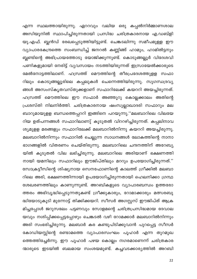എന്ന സ്ഥലത്തായിരുന്നു. ഏററവും വലിയ ഒരു കപ്പൽനിർമ്മാണശാല അസിയൂനിൽ സ്ഥാപിച്ചിരുന്നതായി പ്രസിദ്ധ ചരിത്രകാരനായ എ.ഡബ്ളി യു.എഫ്. ബ്ലൻഡ് രേഖപ്പെടുത്തിയിട്ടുണ്ട്. ചെങ്കടലിന്നു സമീപമുള്ള ഈ വ്യാപാരകേന്ദ്രത്തെ സംബന്ധിച്ച് ജനറൽ കണ്ണിങ്ങ് ഹാമും, ഹാമിൽട്ടനും ബ്ലണ്ടിന്റെ അഭിപ്രായത്തോടു യോജിക്കുന്നുണ്ട്. കൊടുങ്ങല്ലൂർ വിദേശവി പണികളുമായി നേരിട്ട് വ്യവസായം നടത്തിയിരുന്നത് ഇസ്രായേൽക്കാരുടെ മേൽനോട്ടത്തിലാണ്. ഹസ്രത്ത് മൌത്തിന്റെ തീരപ്രദേശത്തുളള സഫാ റിലും കൊടുങ്ങല്ലൂരിലെ കപ്പലുകൾ ചെന്നെത്തിയിരുന്നു. സുഗന്ധദ്രവ്യ ങ്ങൾ അസംസ്കൃതവസ്തുക്കളാണ് സഫാറിലേക്ക് കയററി അയച്ചിരുന്നത്. ഹസ്രത്ത് മൌത്തിലെ ഈ സഫാർ അഞ്ഞൂറു കൊല്ലക്കാലം അതിന്റെ പ്രശസ്തി നിലനിർത്തി. ചരിത്രകാരനായ ഷംസുല്ലാഖാദരി സഫാറും മല ബാറുമായുളള ബന്ധത്തെപ്പററി ഇങ്ങിനെ പറയുന്നു.''മലബാറിലെ വിലയേ റിയ ഉത്പന്നങ്ങൾ സഫാറിലാണു് കൂടുതൽ വിററഴിച്ചിരുന്നത്. കപ്പലിനാവ ശ്യമുളള മരങ്ങളും സഫാറിലേക്ക് മലബാറിൽനിന്നു കയററി അയച്ചിരുന്നു. മലബാറിൽനിന്നും സഫാറിൽ ചെല്ലുന്ന സാധനങ്ങൾ ലോകത്തിന്റെ നാനാ ഭാഗങ്ങളിൽ വിതരണം ചെയ്തിരുന്നു. മലബാറിലെ ചന്ദനത്തിന് അറേബ്യ യിൽ കൂടുതൽ വില ലഭിച്ചിരുന്നു. മലബാറിലെ അരിയാണ് ഭക്ഷണത്തി നായി യമനിലും സഫാറിലും ഈജിപ്തിലും മററും ഉപയോഗിച്ചിരുന്നത്.'' സോക്രട്ടീസിന്റെ ശിഷ്യനായ സെനഫോണിന്റെ കാലത്ത് ഗ്രീക്കിൽ മലബാ റിലെ അരി, ഭക്ഷണത്തിന്നായി ഉപയോഗിച്ചിരുന്നതായി ഹെലനിക്കാ ഗ്രന്ഥ ശേഖരണത്തിലും കാണുന്നുണ്ട്. അറബികളുടെ വ്യാപാരബന്ധം ഉത്തരോ ത്തരം അഭിവൃദ്ധിപ്പെടുന്നതുകണ്ട് ഗ്രീക്കുകാരും, റോമാക്കാരും മത്സരബു ദ്ധിയോടുകൂടി മുന്നോട്ട് തിക്കിക്കയറി. സീസർ അഗസ്റ്റസ് ഈജിപ്ത് ആക്ര മിച്ചപ്പോൾ ജറുസലേം പട്ടണവും സോളമന്റെ ചരിത്രപ്രസിദ്ധമായ ദേവാല യവും നശിപ്പിക്കപ്പെട്ടപ്പോഴും ചെങ്കടൽ വഴി റോമക്കാർ മലബാറിൽനിന്നും അരി സംഭരിച്ചിരുന്നു. മലബാർ കര കണ്ടുപിടിക്കുവാൻ പുറപ്പെട്ട സീസർ കോഡിയസ്സിന്റെ രണ്ടാമത്തെ വ്യാപാരസംഘം പൂഹാർ എന്ന തുറമുഖ ത്തെത്തിച്ചേർന്നു. ഈ പൂഹാർ പഴയ കൊല്ലം നഗരമാണെന്ന് ചരിത്രകാര ന്മാരുടെ ഇടയിൽ ബലമായ സംശയമുണ്ട്. കച്ചവടക്കാര്യത്തിൽ അറബി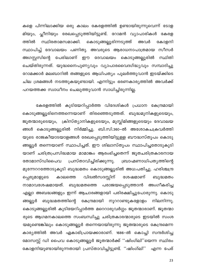കളെ പിന്നിലാക്കിയ ഒരു കാലം കേരളത്തിൽ ഉണ്ടായിരുന്നുവെന്ന് ടോള മിയും, പ്ലീനിയും രേഖപ്പെടുത്തിയിട്ടുണ്ട്. റോമൻ വ്യാപാരികൾ കേരള കൊടുങ്ങല്ലൂരിന്നടുത്ത് സ്ഥിരതാമസമാക്കി. ത്തിൽ അവർ കോളനി സ്ഥാപിച്ച് ദേവാലയം പണിതു. അവരുടെ ആരാധനാപാത്രമായ സീസർ അഗസ്റ്റസിന്റെ പേരിലാണ് ഈ ദേവാലയം കൊടുങ്ങല്ലൂരിൽ സ്ഥിതി ചെയ്തിരുന്നത്. യുദ്ധനൈപുണ്യവും വ്യാപാരവൈദഗ്ദ്ധ്യവും സമ്പാദിച്ചു റോമക്കാർ മലബാറിൽ തങ്ങളുടെ ആധിപത്യം പുലർത്തുവാൻ ഇടയ്ക്കിടെ ചില ശ്രമങ്ങൾ നടത്തുകയുണ്ടായി. എന്നിട്ടും ഭരണകാര്യത്തിൽ അവർക്ക് പറയത്തക്ക സ്വാധീനം ചെലുത്തുവാൻ സാധിച്ചിരുന്നില്ല.

കേരളത്തിൽ കുടിയേറിപ്പാർത്ത വിദേശികൾ പ്രധാന കേന്ദ്രമായി കൊടുങ്ങല്ലൂരിനെത്തന്നെയാണ് തിരഞ്ഞെടുത്തത്. ബുദ്ധമുനികളുടെയും, ജൂതന്മാരുടെയും, ക്രിസ്ത്യാനികളുടെയും, മുസ്ലിമിങ്ങളുടെയും ദേവാലയ ങ്ങൾ കൊടുങ്ങല്ലൂരിൽ നിർമ്മിച്ചു. ബി.സി.360–ൽ അശോകചക്രവർത്തി യുടെ രാജകീയാടയാളങ്ങൾ രേഖപ്പെടുത്തിയിട്ടുള്ള ബൗദ്ധസ്തൂപം കൊടു ങ്ങല്ലൂർ തന്നെയാണ് സ്ഥാപിച്ചത്. ഈ ശിലാസ്തൂപം സ്ഥാപിച്ചതോടുകൂടി യാണ് ചരിത്രപ്രസിദ്ധമായ മാമാങ്കം ആരംഭിച്ചതെന്ന് ജൂതചരിത്രകാരനായ പ്രസ്താവിച്ചിരിക്കുന്നു. തോമാസ്ഡിപൈവ ബ്രാഹ്മണാധിപത്യത്തിന്റെ മുന്നേററത്തോടുകൂടി ബുദ്ധമതം കൊടുങ്ങല്ലൂരിൽ അധ:പതിച്ചു. ഹരിശ്ചന്ദ്ര വിദ്വൽസദസ്സിന് കാലത്തെ ശേഷമാണ് പ്പെരുമാളുടെ ബുദ്ധമതം നാമാവശേഷമായത്. ബുദ്ധമതത്തെ പരാജയപ്പെടുത്താൻ അംഗീകരിച്ച എല്ലാ അബദ്ധങ്ങളും ഇന്ന് ആചാരങ്ങളായി പരിരക്ഷിച്ചുപോരുന്നു. കൊടു ബുദ്ധമതത്തിന്റെ ങ്ങല്ലൂർ കേന്ദ്രമായി നൂററാണ്ടുകളോളം നിലനിന്നു. കൊടുങ്ങല്ലൂരിൽ കുടിയേറിപ്പാർത്ത മറെറാരുവർഗ്ഗം ജൂതന്മാരാണ്. ജൂതന്മാ രുടെ ആഗമനകാലത്തെ സംബന്ധിച്ചു ചരിത്രകാരന്മാരുടെ ഇടയിൽ സംശ യമുണ്ടെങ്കിലും കൊടുങ്ങല്ലൂർ തന്നെയായിരുന്നു ജൂതന്മാരുടെ കേന്ദ്രമെന്ന കാര്യത്തിൽ അവർ ഏകാഭിപ്രായക്കാരാണ്. 1686–ൽ കൊച്ചി സന്ദർശിച്ച മോസസ്സ് ഡി പൈവ കൊടുങ്ങല്ലൂർ ജൂതന്മാർക്ക് ''ഷിംഗ്ലി''യെന്ന സ്ഥിരം കോളനിയുണ്ടായിരുന്നതായി പ്രസ്താവിച്ചിട്ടുണ്ട്. ''ഷിംഗ്ലി'' എന്ന പേര്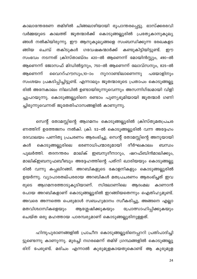കാലാന്തേരേണ തമിഴിൽ ചിങ്ങലാഴിയായി രൂപാന്തരപ്പെട്ടു. ഭാസ്ക്കരരവി വർമ്മയുടെ കാലത്ത് ജൂതന്മാർക്ക് കൊടുങ്ങല്ലൂരിൽ പ്രത്യേകാനുകൂല്യ ങ്ങൾ നൽകിയിരുന്നു. ഈ ആനുകൂല്യങ്ങളെ സംബന്ധിക്കുന്ന രേഖകളട ചെമ്പ് തകിടുകൾ ഗവേഷകന്മാർക്ക് കണ്ടുകിട്ടിയിട്ടുണ്ട്. ങ്ങിയ றற സംഭവം നടന്നത് ക്രിസ്താബ്ദം 420–ൽ ആണെന്ന് മോയിൻസ്സും, 490–ൽ ആണെന്ന് ജോസഫ് മിഡിൽട്ടനും, 750–ൽ ആണെന്ന് ലോവ്സനും, 825–ൽ വൈററ്ഹൗസും,10–ാം നൂററാണ്ടിലാണെന്നു പയോളിനും ആണെന്ന് സംശയം പ്രകടിപ്പിച്ചിട്ടുണ്ട്. എന്നാലും ജൂതന്മാരുടെ പ്രതാപം കൊടുങ്ങല്ലൂ രിൽ അനേകാലം നിലവിൽ ഉണ്ടായിരുന്നുവെന്നും അസന്നിഗ്ദ്ധമായി വിളി ച്ചുപറയുന്നു. കൊടുങ്ങല്ലൂരിനെ രണ്ടാം പുണ്യഭൂമിയായി ജൂതന്മാർ ഗണി ച്ചിരുന്നുവെന്നത് ജൂതേതിഹാസങ്ങളിൽ കാണുന്നു.

സെന്റ് തോമസ്സിന്റെ ആഗമനം കൊടുങ്ങല്ലൂരിൽ ക്രിസ്തുമതപ്രചര ണത്തിന് ഉത്തേജനം നൽകി. ക്രി: 52–ൽ കൊടുങ്ങല്ലൂരിൽ വന്ന അദ്ദേഹം ദേവാലയം പണിതു പ്രചരണം ആരംഭിച്ചു. സെന്റ് തോമസ്സിന്റെ അനുയായി കൊടുങ്ങല്ലൂരിലെ ഭരണാധിപന്മാരുമായി ദീർഘകാലം കൾ ബന്ധം പുലർത്തി. തദനന്തരം മാലിക് ഇബനുദീനാറും, ഷറഫ്ബിൻമാലിക്കും, മാലിക്ഇബനുഫബീബും അദ്ദേഹത്തിന്റെ പത്നി ഖാരിയയും കൊടുങ്ങല്ലൂ രിൽ വന്നു കപ്പലിറങ്ങി. അറബികളുടെ കോളനികളും കൊടുങ്ങല്ലൂരിൽ ഉയർന്നു. വ്യാപാരതല്പരരായ അറബികൾ മതപ്രചരണം ആരംഭിച്ചത് ഇവ ആഗമനത്തോടുകൂടിയാണ്. സിലോണിലെ ആദംമല കാണാൻ രുടെ പോയ അറബികളാണ് കൊടുങ്ങല്ലൂരിൽ ഇറങ്ങിയതെന്നും ഐതിഹ്യമുണ്ട്. അവരെ അന്നത്തെ പെരുമാൾ സബഹുമാനം സ്വീകരിച്ചു, അങ്ങനെ എല്ലാ ആശ്ലേഷിക്കുകയും പ്രോത്സാഹിപ്പിക്കുകയും മതവിശ്വാസികളെയും ചെയ്ത ഒരു മഹത്തായ പാരമ്പര്യമാണ് കൊടുങ്ങല്ലൂരിനുള്ളത്.

ഹിന്ദുപുരാണങ്ങളിൽ പ്രാചീന കൊടുങ്ങല്ലൂരിനെപ്പററി പ്രതിപാദിച്ചി ട്ടുണ്ടെന്നു കാണുന്നു. മുരച്ചി നഗരമെന്ന് തമിഴ് ഗ്രന്ഥങ്ങളിൽ കൊടുങ്ങല്ലൂ രിന് പേരുണ്ട്. മരിചം എന്നാൽ കുരുമുളകായതുകൊണ്ട് ആ കുരുമുള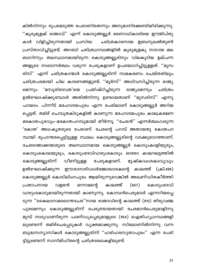കിൽനിന്നും രൂപമെടുത്ത പേരാണിതെന്നും അനുമാനിക്കേണ്ടിയിരിക്കുന്നു. ''കുരുമുളക് രാജാവ്'' എന്ന് കൊടുങ്ങല്ലൂർ ഭരണാധികാരിയെ ഈജിപ്തു ചരിത്രകാരനായ ഇബനുഖൽതൂൺ കാർ വിളിച്ചിരുന്നതായി പ്രസിദ്ധ പ്രസ്താവിച്ചിട്ടുണ്ട്. അറബി ചരിത്രഗ്രന്ഥങ്ങളിൽ കുരുമുളകു നാടായ മല ബാറിന്നും തലസ്ഥാനമായിരുന്ന കൊടുങ്ങല്ലൂരിനും വിലകൂടിയ ഉല്പന്ന ങ്ങളുടെ നാടെന്നർത്ഥം വരുന്ന പേരുകളാണ് ഉപയോഗിച്ചിട്ടുള്ളത്. ''മുസ രിസ്'' എന്ന് ചരിത്രകാന്മാർ കൊടുങ്ങല്ലൂരിന്ന് നാമകരണം ചെയ്തതിലും ചരിത്രപരമായി ചില കാരണങ്ങളുണ്ട്. ''മൂർസ്'' അധിവസിച്ചിരുന്ന രാജ്യ 'മസൂരിദേവത'യെ പ്രതിഷ്ഠിച്ചിരുന്ന ചരിത്രം മെന്നും രാജ്യമെന്നും ഉൽഘോഷിക്കുമ്പോൾ അതിൽനിന്നു ഉണ്ടായതാണ് ''മുസരിസ്'' എന്നു പറയാം. പിന്നീട് മഹോദയപുരം എന്ന പേരിലാണ് കൊടുങ്ങല്ലൂർ അറിയ പ്പെട്ടത്. തമിഴ് ചെമ്പുതകിടുകളിൽ കാണുന്ന മഹോദയപുരം കാലക്രമേണ മകോതപുരവും–മകോതപറമ്പുമായി തീർന്നു. ''ചേരൻ'' എന്നർത്ഥംവരുന്ന 'കോത' അധ:കൃതരുടെ പേരാണ്. ചേരന്റെ പറമ്പ് അതായതു കോതപറ മ്പായി രൂപാന്തരപ്പെട്ടിട്ടുള്ള സ്ഥലം കൊടുങ്ങല്ലൂരിന്റെ വടക്കുഭാഗത്താണ്. ചേരരാജാക്കന്മാരുടെ തലസ്ഥാനമായ കൊടുങ്ങല്ലൂർ കൊടുംകാളിയൂരും, കൊടുംകൊലയൂരും, കൊടുംദേവിവാഴുംകോടും ഓരോ കാലഘട്ടത്തിൽ വീണിട്ടുള്ള മൂഷികവംശകാവ്യവും കൊടുങ്ങല്ലൂരിന്ന് പേരുകളാണ്. ഉൽഘോഷിക്കുന്ന ഈശാനശിവധർമ്മോദ്ധാരകന്റെ കാലത്ത് (ക്രി:499) കൊടുങ്ങല്ലൂർ കൊടിലിംഗപുരം ആയിരുന്നുവെങ്കിൽ അഖണ്ഡിതകീർത്തി ഒന്നാമന്റെ കാലത്ത്  $(657)$ പ്രതാപനായ വളഭൻ കൊടുംദേവി വാഴുംകോടുമായിരുന്നതായി കാണുന്നു. കൊമ്പൻപെരുമാൾ എന്നറിയപ്പെ ടുന്ന ''കൈലാസമടൈന്തചേര''നായ രാജാവിന്റെ കാലത്ത് (810) തിരുവഞ്ച പുരമെന്നും കൊടുങ്ങല്ലൂരിന്ന് പേരുണ്ടായതായി ചേരമാൻപെരുമാളിന്നു മുമ്പ് നാടുവാണിരുന്ന പാണ്ഡ്യപ്പെരുമാളുടെ (954) ഐതിഹ്യഗ്രന്ഥങ്ങളി ലുണ്ടെന്ന് തമിഴ്ചെപ്പേടുകൾ വ്യക്തമാക്കുന്നു. സിലോണിൽനിന്നു വന്ന ബുദ്ധസന്യാസികൾ കൊടുങ്ങല്ലൂരിന്ന് ''ഹരിഹരസുതാപുരം'' എന്ന പേരി ട്ടിട്ടുണ്ടെന്ന് സാനിമിഹിരന്റെ ചരിത്രരേഖകളിലുണ്ട്.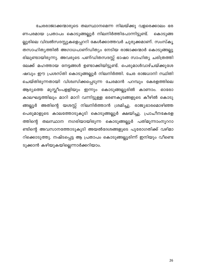ചേരരാജാക്കന്മാരുടെ തലസ്ഥാനമെന്ന നിലയ്ക്കു വളരെക്കാലം ഭര ണപരമായ പ്രതാപം കൊടുങ്ങല്ലൂർ നിലനിർത്തിപോന്നിട്ടുണ്ട്. കൊടുങ്ങ ല്ലൂരിലെ വിദ്വൽസദസ്സുകളെപ്പററി കേൾക്കാത്തവർ ചുരുക്കമാണ്. സംസ്കൃ തസാഹിത്യത്തിൽ അഗാധപാണ്ഡിത്യം നേടിയ രാജാക്കന്മാർ കൊടുങ്ങല്ലൂ രിലുണ്ടായിരുന്നു. അവരുടെ പണ്ഡിതസദസ്സ് ഭാഷാ സാഹിത്യ ചരിത്രത്തി ലേക്ക് മഹത്തായ നേട്ടങ്ങൾ ഉണ്ടാക്കിയിട്ടുണ്ട്. പെരുമാൾവാഴ്ചയ്ക്കുശേ ഷവും ഈ പ്രശസ്തി കൊടുങ്ങല്ലൂർ നിലനിർത്തി. ചേര രാജധാനി സ്ഥിതി ചെയ്തിരുന്നതായി വിശ്വസിക്കപ്പെടുന്ന ചേരമാൻ പറമ്പും കേരളത്തിലെ ആദ്യത്തെ മുസ്ലീംപളളിയും ഇന്നും കൊടുങ്ങല്ലൂരിൽ കാണാം. ഓരോ കാലഘട്ടത്തിലും മാറി മാറി വന്നിട്ടുള്ള ഭരണകൂടങ്ങളുടെ കീഴിൽ കൊടു ങ്ങല്ലൂർ അതിന്റെ യശസ്സ് നിലനിർത്താൻ ശ്രമിച്ചു. രാജ്യഭാരമൊഴിഞ്ഞ പെരുമാളുടെ കാലത്തോടുകൂടി കൊടുങ്ങല്ലൂർ ക്ഷയിച്ചു. പ്രാചീനകേരള ത്തിന്റെ തലസ്ഥാന നഗരിയായിരുന്ന കൊടുങ്ങല്ലൂർ പതിമൂന്നാംനൂററാ ണ്ടിന്റെ അവസാനത്തോടുകൂടി അയൽദേശങ്ങളുടെ പുരോഗതിക്ക് വഴിമാ റിക്കൊടുത്തു. നഷ്ടപ്പെട്ട ആ പ്രതാപം കൊടുങ്ങല്ലൂരിന്ന് ഇനിയും വീണ്ടെ ടുക്കാൻ കഴിയുകയില്ലെന്നാർക്കറിയാം.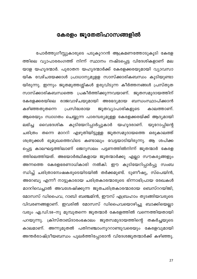#### കേരളം ജൂതേതിഹാസങ്ങളിൽ

<span id="page-27-0"></span>പോർത്തുഗീസ്സുകാരുടെ പടുകൂററൻ ആക്രമണത്തോടുകൂടി കേരള ത്തിലെ വ്യാപാരരംഗത്ത് നിന്ന് സ്ഥാനം നഷ്ടപ്പെട്ട വിദേശികളാണ് മല യാള യഹൂദന്മാർ. പുരാതന യഹൂദന്മാർക്ക് കേരളക്കരയുമായി വ്യാവസാ യിക വേഴ്ചയേക്കാൾ പ്രാധാന്യമുളള സാസ്ക്കാരികബന്ധം കൂടിയുണ്ടാ യിരുന്നു. ഇന്നും ജൂതമുത്തശ്ശികൾ ഉരുവിടുന്ന കീർത്തനങ്ങൾ പ്രസ്തുത സാസ്ക്കാരികബന്ധത്തെ പ്രകീർത്തിക്കുന്നവയാണ്. ജൂതസമുദായത്തിന് കേരളക്കരയിലെ രാജവാഴ്ചയുമായി അഭേദ്യമായ ബന്ധംസ്ഥാപിക്കാൻ ജൂതവ്യാപാരികളുടെ കഴിഞ്ഞതുതന്നെ പ്രസിദ്ധരായ കാലത്താണ്. ആരെയും സ്വാഗതം ചെയ്യുന്ന പാരമ്പര്യമുള്ള കേരളക്കരയ്ക്ക് ആദ്യമായി കുടിയേറിപ്പാർപ്പുകാർ യഹൂദരാണ്. വൈദേശിക യൂറോപ്പിന്റെ ലഭിച്ച ചരിത്രം തന്നെ മാററി എഴുതിയിട്ടുള്ള ജൂതസമുദായത്തെ ഒരുകാലത്ത് ശത്രുക്കൾ ഭൂമുഖത്തെവിടെ കണ്ടാലും വേട്ടയാടിയിരുന്നു. ആ ശപിക്ക പ്പെട്ട കാലഘട്ടത്തിലാണ് ജെറുസലം പട്ടണത്തിൽനിന്ന് ജൂതന്മാർ കേരള ത്തിലെത്തിയത്. അഭയാർത്ഥികളായ ജൂതന്മാർക്കു എല്ലാ സൗകര്യങ്ങളും അന്നത്തെ കേരളഭരണാധികാരി നൽകി. ഈ കുടിയേറിപ്പാർപ്പു സംബ ന്ധിച്ച് ചരിത്രാന്വേഷകരുടെയിടയിൽ തർക്കമുണ്ട്. ടുണീഷ്യ, സ്പെയിൻ, അറേബ്യ എന്നീ നാട്ടുകാരായ ചരിത്രകാരന്മാരുടെ ഭിന്നാഭിപ്രായ രേഖകൾ മാററിവെച്ചാൽ അവശേഷിക്കുന്ന ജൂതചരിത്രകാരന്മാരായ ബെസ്ററയിജി, മോസസ് ഡിപൈവ, റാബി ബഞ്ചമിൻ, ഈസ് എബ്രഹാം തുടങ്ങിയവരുടെ വിവരണങ്ങളാണ്. ഇവരിൽ മോസസ് ഡിപൈവയൊഴിച്ചു ബാക്കിയെല്ലാ വരും ഏ.ഡി.58–നു മുമ്പുതന്നെ ജൂതന്മാർ കേരളത്തിൽ വന്നെത്തിയതായി ക്രിസ്താബ്ദാരംഭകാലം ജൂതസമുദായത്തിന്റെ തകർച്ചയുടെ പറയുന്നു. കാലമാണ്. അന്നുമുതൽ പതിനഞ്ചാംനൂററാണ്ടുവരെയും കേരളവുമായി അന്തർരാഷ്ട്രീയബന്ധം പുലർത്തിപ്പോരാൻ വിദേശജൂതന്മാർക്ക് കഴിഞ്ഞു.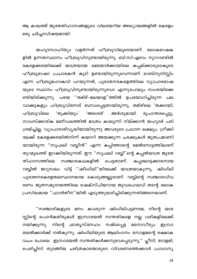ആ കാലത്ത് ജൂതേതിഹാസങ്ങളുടെ വിലയേറിയ അദ്ധ്യായങ്ങളിൽ കേരളം ഒരു ചർച്ചാവിഷയമായി.

യഹൂദസാഹിത്യം വളർന്നത് ഹീബ്രുവിലൂടെയാണ്. ലോകഭാഷക ളിൽ ഉന്നതസ്ഥാനം ഹീബ്രുവിനുണ്ടായിരുന്നു. ബി.സി.ഏഴാം നൂററാണ്ടിൽ കേരളക്കരയിലേക്ക് യാത്രയായ മെയോർക്കായിലെ കപ്പല്ക്കാരുടെകൂടെ ഹീബ്രൂഭാഷാ പ്രചാരകൻ കൂടി ഉണ്ടായിരുന്നുവെന്നാണ് റെബ്നുനിസ്സിം എന്ന ഹീബ്രൂമഹാകവി പറയുന്നത്, പുരാതനകേരളത്തിലെ വ്യാപാരഭാഷ യുടെ സ്ഥാനം ഹീബ്രുവിനുണ്ടായിരുന്നുവോ എന്നുപോലും സംശയിക്കേ ണ്ടിയിരിക്കുന്നു. പഴയ ''തമിഴ്–മലയാള''ത്തിൽ ഉപയോഗിച്ചിരുന്ന പല വാക്കുകളും ഹിബ്രുവിനോട് ബന്ധപ്പെട്ടതായിരുന്നു. തമിഴിലെ 'തക്കായി, ഹിബ്രുവിലെ 'തുക്കിയും' 'അരശർ' അർശുമായി രൂപാന്തരപ്പെട്ടു. സാംസ്ക്കാരിക മണ്ഡലത്തിൽ മാത്രം കാലൂന്നി നില്ക്കാൻ യഹൂദർ പരി ശ്രമിച്ചില്ല. വ്യാപാരാഭിവൃദ്ധിയായിരുന്നു അവരുടെ പ്രധാന ലക്ഷ്യം. ഗ്രീക്കി ലേക്ക് കേരളക്കരയിൽനിന്ന് കയററി അയക്കുന്ന ചരക്കുകൾ ജൂതപ്രമാണി യായിരുന്ന ''സൂഫലി റബ്ബീൻ'' എന്ന കപ്പിത്താന്റെ മേൽനോട്ടത്തിലാണ് തുറമുഖത്ത് ഇറക്കിയിരുന്നത്. ഈ ''സൂഫലി റബ്ബി''ന്റെ കപ്പൽയാത്ര ജൂതേ പെട്ടതാണ്. സഞ്ചാരകഥകളിൽ തിഹാസത്തിലെ കപ്പലോട്ടക്കാരനായ റബ്ബിൽ ജറുസലം വിട്ട് ''ഷീംഗ്ലി''യിലേക്ക് യാത്രയാകുന്നു. ഷിംഗ്ലി പുരാതനകേരളതലസ്ഥാനമായ കൊടുങ്ങല്ലൂരാണ്. റബ്ബിന്റെ സഞ്ചാരവിവ രണം ജൂതസമുദായത്തിലെ ഷേക്സ്പിയറായ ജൂഡഹെലവി തന്റെ ലോക പ്രസിദ്ധമായ ''ഫാൻതീന''യിൽ എടുത്തുദ്ധരിച്ചിരിക്കുന്നതിങ്ങനെയാണ്.

''സഞ്ചാരികളുടെ മനം കവരുന്ന ഷിംഗ്ലിപട്ടണമേ, നിന്റെ യശ സ്സിന്റെ പൊൻകതിരുകൾ ഇസ്രായേൽ സന്തതികളെ നല്ല വഴികളിലേക്ക് നിന്റെ ഭ്രാതൃസ്നേഹം നഷ്ടപ്പെട്ട നയിക്കുന്നു. മനോവീര്യം ഇസ്രാ യേൽക്കാർക്ക് നൽകുന്നു. ഷിംഗ്ലിയുടെ ആലിംഗനം സോളമന്റെ രക്ഷാക വചം പോലെ ഇസ്രായേൽ സന്തതികൾക്കനുഭവപ്പെടുന്നു.'' പ്ലീനി, ടോളമി, പെരിപ്ലിസ് തുടങ്ങിയ ചരിത്രകാരന്മാരുടെ വിവരണത്തെക്കാൾ പ്രാധാന്യ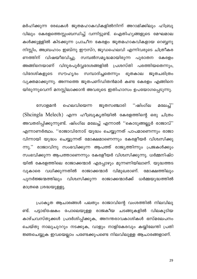മർഹിക്കുന്ന രേഖകൾ ജൂതമഹാകവികളിൽനിന്ന് അറാമിക്കിലും ഹിബ്രു വിലും കേരളത്തെസ്സംബന്ധിച്ച് വന്നിട്ടുണ്ട്. ഐതിഹ്യങ്ങളുടെ മേഘമാല കൾക്കുള്ളിൽ കിടക്കുന്ന പ്രാചീന കേരളം ജൂതമഹാകവികളായ റെബ്ബനു നിസ്സിം, അബ്രഹാം ഇബ്നു ഈസ്റ, ജൂഡഹെലവി എന്നിവരുടെ ചിത്രീകര ണത്തിന് വിഷയീഭവിച്ചു. സമ്പൽസമൃദ്ധമായിരുന്ന പുരാതന കേരളം വിദൂരപൂർവ്വദേശങ്ങളിൽ പ്രശസ്തി പരത്തിയതെന്നും, അങ്ങിനെയാണ് സൗഹൃദം സമ്പാദിച്ചതെന്നും വിദേശികളുടെ ഭൂതകാല ജൂതചരിത്രം വ്യക്തമാക്കുന്നു. അന്നത്തെ ജൂതപണ്ഡിതൻമാർ കണ്ട കേരളം എങ്ങിനെ യിരുന്നുവെന്ന് മനസ്സിലാക്കാൻ അവരുടെ ഇതിഹാസം ഉപയോഗപ്പെടുന്നു.

ഹെലവിയെന്ന ജൂതസഞ്ചാരി ''ഷിംഗ്ല മലേച്ച്'' സോളമൻ (Shcingla Melech) എന്ന ഹീബ്രൂകൃതിയിൽ കേരളത്തിന്റെ ഒരു ചിത്രം അവതരിപ്പിക്കുന്നുണ്ട്. ഷിംഗ്ല മലേച്ച് എന്നാൽ ''കൊടുങ്ങല്ലൂർ രാജാവ്'' എന്നാണർത്ഥം. ''രാജാവിനോട് യുദ്ധം ചെയ്യുന്നത് പാപമാണെന്നും രാജാ വിന്നായി യുദ്ധം ചെയ്യുന്നത് മോക്ഷമാണെന്നും കേരളീയർ വിശ്വസിക്കു ന്നു.'' രാജാവിനു സംഭവിക്കുന്ന ആപത്ത് രാജ്യത്തിന്നും പ്രജകൾക്കും സംഭവിക്കുന്ന ആപത്താണെന്നും കേരളീയർ വിശ<mark>്</mark>വസിക്കുന്നു. ധർമ്മനിഷ്ഠ യിൽ കേരളത്തിലെ രാജാക്കന്മാർ എപ്പോഴും മുന്നണിയിലാണ്. യുദ്ധത്തട വധിക്കുന്നതിൽ രാജാക്കന്മാർ വിമുഖരാണ്. മോക്ഷത്തിലും വുകാരെ പുനർജ്ജന്മത്തിലും വിശ്വസിക്കുന്ന രാജാക്കന്മാർക്ക് ധർമ്മയുദ്ധത്തിൽ മാത്രമെ ശ്രദ്ധയുള്ളു.

പ്രാകൃത ആചാരങ്ങൾ പലതും രാജാവിന്റെ വംശത്തിൽ നിലവിലു പട്ടാഭിഷേകം പോലെയുള്ള രാജകീയ ചടങ്ങുകളിൽ വിലകൂടിയ ണ്ട്. കാഴ്ചവസ്തുക്കൾ പ്രദർശിപ്പിക്കുക, അനന്തരാവകാശികൾ ഭസ്മലേപനം ചെയ്തു നാലുചുററും നടക്കുക, വാളും നാളികേരവും കയ്യിലേന്തി പ്രതി ജ്ഞചെയ്യുക ഇവയെല്ലാം പണ്ടേക്കുപണ്ടെ നിലവിലുള്ള ആചാരങ്ങളാണ്.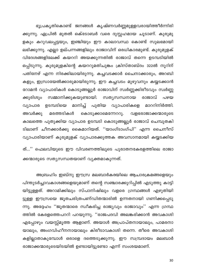ഭൂപ്രകൃതികൊണ്ട് ജനങ്ങൾ കൃഷ്ണവർണ്ണമുള്ളവരായിത്തീർന്നിരി ക്കുന്നു. ഏപ്രിൽ മുതൽ ഒക്ടോബർ വരെ ദുസ്സഹമായ ചൂടാണ്. കുരുമു ളകും കറുവലപ്പട്ടയും, ഇഞ്ചിയും ഈ കാലാവസ്ഥ കൊണ്ട് സുലഭമായി ലഭിക്കുന്നു. എല്ലാ ഉല്പന്നങ്ങളിലും രാജാവിന് ഒരധികാരമുണ്ട്. കുരുമുളക് വിദേശങ്ങളിലേക്ക് കയററി അയക്കുന്നതിൽ രാജാവ് തന്നെ ഉടമ്പടിയിൽ ഒപ്പിടുന്നു. കുരുമുളകിന്റെ കയററുമതിചുങ്കം ക്രിസ്താബ്ദം 322ൽ നൂറിന് പതിനേഴ് എന്ന നിരക്കിലായിരുന്നു. കച്ചവടക്കാർ ചൈനാക്കാരും, അറബി കളും, ഇസ്രായേൽക്കാരുമായിരുന്നു. ഈ കച്ചവടം മുഴുവനും കയ്യടക്കാൻ റോമൻ വ്യാപാരികൾ കൊടുങ്ങല്ലൂർ രാജാവിന് സ്വർണ്ണക്കിരീടവും സ്വർണ്ണ ക്കുരിശും സമ്മാനിക്കുകയുണ്ടായി. സതൃസന്ധനായ രാജാവ് പഴയ മാനിച്ച് പുതിയ വ്യാപാരികളെ മാററിനിർത്തി. വ്യാപാര ഉടമ്പടിയെ മരത്തടികൾ അവർക്കു കൊടുക്കാമെന്നേററു. വളഭരാജാക്കന്മാരുടെ കാലത്തെ പുതുക്കിയ വ്യാപാര ഉടമ്പടി കൊടുങ്ങല്ലൂർ രാജാവ് ചെമ്പുതകി ടിലാണ് ചീനക്കാർക്കു കൈമാറിയത്. ''യാംഗ്ടാംഗ്പി'' എന്ന ചൈനീസ് വ്യാപാരിയാണ് കുരുമുളക് വ്യാപാരക്കുത്തക അവസാനമായി കയ്യടക്കിയ ത്....'' ഫെലവിയുടെ ഈ വിവരണത്തിലൂടെ പുരാതനകേരളത്തിലെ രാജാ

ക്കന്മാരുടെ സതൃസന്ധതയാണ് വൃക്തമാകുന്നത്.

അബ്രഹിം ഇബ്നു ഈസ്ര മലബാർകരയിലെ ആചാരക്രമങ്ങളെയും പിന്തുടർച്ചാവകാശങ്ങളെയുമാണ് തന്റെ സഞ്ചാരക്കുറിപ്പിൽ എടുത്തു കാട്ടി യിട്ടുള്ളത്. അറാമിക്കിലും സ്പാനിഷിലും വളരെ ഗ്രന്ഥങ്ങൾ എഴുതിയി ട്ടുള്ള ഈസ്രയെ ജൂതചരിത്രപണ്ഡിതന്മാരിൽ ഉന്നതനായി ഗണിക്കപ്പെടു ന്നു. അദ്ദേഹം ''ജൂതന്മാരെ സ്വീകരിച്ച രാജ്യവും രാജാവും'' എന്ന ഗ്രന്ഥ ത്തിൽ കേരളത്തെപററി പറയുന്നു. ''രാജപദവി അലങ്കരിക്കാൻ അവകാശി എപ്പോഴും വയസ്സ്മൂത്ത ആളാണ്. അയാൾ അപ്രാപ്തനായാലും, പാമരനാ യാലും, അംഗവിഹീനനായാലും കിരീടാവകാശി തന്നെ. തീരെ അവകാശി കളില്ലാതാകുമ്പോൾ ഒരാളെ ദത്തെടുക്കുന്നു. ഈ സമ്പ്രദായം മലബാർ രാജാക്കന്മാരുടെയിടയിൽ ഉണ്ടായിട്ടുണ്ടോ എന്ന് സംശയമാണ്.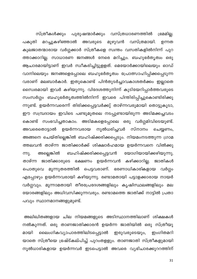സ്ത്രീകൾക്കും ഭ്രമമില്ല. പുരുഷന്മാർക്കും വസ്ത്രധാരണത്തിൽ മറച്ചുകഴിഞ്ഞാൽ മുഴുവൻ വസ്ത്രമായി. പകുതി അവരുടെ ഉന്നത കുലജാതന്മാരായ വർഗ്ഗക്കാർ സ്ത്രീകളെ സ്വന്തം വസതികളിൽനിന്ന് പുറ ത്താക്കാറില്ല. സാധാരണ ജനങ്ങൾ നേരെ മറിച്ചും. ബഹുഭർതൃത്വം ഒരു ആചാരമായിട്ടാണ് ഇവർ സ്വീകരിച്ചിട്ടുളളത്. മെയോർക്കായിലെയും ഓഡ് വാനിലെയും ജനങ്ങളെപ്പോലെ ബഹുഭർതൃത്വം പ്രോത്സാഹിപ്പിക്കപ്പെടുന്ന വരാണ് മലബാർകാർ. ഇതുകൊണ്ട് പിൻതുടർച്ചാവകാശതർക്കം ഇല്ലാതെ സൈശമായി ഇവർ കഴിയുന്നു. വിദേശത്തുനിന്ന് കുടിയേറിപ്പാർത്തവരുടെ സംസർഗ്ഗം ബഹുഭർതൃത്വത്തിൽനിന്ന് ഇവരെ പിന്തിരിപ്പിച്ചുകൊണ്ടിരിക്കു ന്നുണ്ട്. ഉയർന്നവരെന്ന് തിരിക്കപ്പെട്ടവർക്കു് താഴ്ന്നവരുമായി തൊട്ടുകൂടാ, ഈ സമ്പ്രദായം ഇവിടെ പണ്ടുമുതലെ നടപ്പുണ്ടായിരുന്ന അടിമക്കച്ചവടം കൊണ്ട് സംഭവിച്ചതാകാം. അടിമകളെപ്പോലെ ഒരു വർഗ്ഗമിവിടെയുണ്ട്. സ്നാനം ചെയ്യണം, അവരെതൊട്ടാൽ ഉയർന്നവരായ നൂൽധരിച്ചവർ അങ്ങനെ ചെയ്തില്ലെങ്കിൽ ബഹിഷ്ക്കരിക്കപ്പെടും. നിയമംനടത്തുന്ന ഗ്രാമ ത്തലവൻ താഴ്ന്ന ജാതിക്കാർക്ക് ശിക്ഷാർഹമായ ഉയർന്നവനെ വിൽക്കു ബഹിഷ്ക്കരിക്കപ്പെട്ടവൻ അല്ലെങ്കിൽ യോഗിയായിക്കഴിയുന്നു. ന്നു. താഴ്ന്ന ജാതിക്കാരുടെ ഭക്ഷണം ഉയർന്നവൻ കഴിക്കാറില്ല. ജാതികൾ പൊതുവെ മൂന്നുതരത്തിൽ പെട്ടവരാണ്. ഭരണാധികാരികളായ വർഗ്ഗം എപ്പോഴും ഉയർന്നവരായി കഴിയുന്നു. രണ്ടാമതായി പട്ടാളക്കാരായ നായർ വർഗ്ഗവും. മൂന്നാമതായി തീരപ്രേദേശങ്ങളിലും കൃഷിസ്ഥലങ്ങളിലും മല യോരങ്ങളിലും അധിവസിക്കുന്നവരും. രണ്ടാമത്തെ ജാതിക്ക് നാട്ടിൽ പ്രതാ പവും സ്ഥാനമാനങ്ങളുമുണ്ട്.

അലിഖിതങ്ങളായ ചില നിയമങ്ങളുടെ അടിസ്ഥാനത്തിലാണ് ശിക്ഷകൾ നൽകുന്നത്. ഒരു താണജാതിക്കാരൻ ഉയർന്ന ജാതിയിൽ ഒരു സ്ത്രീയു ലൈംഗികവ്യാപാരത്തിലിടപ്പെട്ടാൽ മായി ഇരുവരുടെയും, ഇംഗിതമറി യാതെ സ്ത്രീയെ ഭ്രഷ്ട്കല്പിച്ച് പുറംതളളും. താണജാതി സ്ത്രീകളുമായി നൂൽധാരികളായ ഉയർന്നവർ ഇടപെട്ടാൽ അവരെ വ്യഭിചാരക്കുററത്തിന്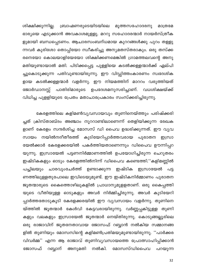ശിക്ഷിക്കുന്നില്ല. ബ്രാഹ്മണരുടെയിടയിലെ മൂത്തസഹോദരനു മാത്രമേ ഭാര്യയെ എടുക്കാൻ അവകാശമുള്ളു. മററു സഹോദരന്മാർ നായർസ്ത്രീക ളുമായി ബന്ധപ്പെടണം. ആചാരസംബന്ധമായ കുററങ്ങൾക്കു പുറം തള്ളു ന്നവർ കുരിശോ തൊപ്പിയോ സ്വീകരിച്ചു അന്യമതസ്തരാകും. ഒരു തസ്ക്ക രനെയോ കൊലയാളിയേയോ ശിക്ഷിക്കണമെങ്കിൽ ഗ്രാമത്തലവന്റെ അനു മതിയുണ്ടായാൽ മതി. പിടിക്കപ്പെട്ട പുള്ളിയെ കടൽക്കള്ളന്മാർക്ക് ഏല്പി ച്ചുകൊടുക്കുന്ന പതിവുണ്ടായിരുന്നു. ഈ വിഡ്ഡിത്തംകാരണം സ്വദേശിക ളായ കടൽക്കള്ളന്മാർ വളർന്നു. ഈ നിയമത്തിന് മാററം വരുത്തിയത് ജോർഡാനസ്സ് പാതിരിമാരുടെ ഉപദേശമനുസരിച്ചാണ്. വധശിക്ഷയ്ക്ക് വിധിച്ച പുളളിയുടെ പ്രേതം മതാചാരപ്രകാരം സംസ്ക്കരിച്ചിരുന്നു.

കേരളത്തിലെ കളിമൺവ്യവസായവും തുണിനെയ്ത്തും പരിഷ്ക്കരി ച്ചത് ക്രിസ്താബ്ദം അഞ്ചാം നൂററാണ്ടിലാണെന്ന് തെളിയിക്കുന്ന രേഖക ളാണ് കേരളം സന്ദർശിച്ച മോസസ് ഡി പൈവ ഉദ്ധരിക്കുന്നത്. ഈ വൃവ സായം നയിൽനദീതീരത്ത് കുടിയേറിപ്പാർത്തവരായ പുരാതന ഇസ്രാ യേൽക്കാർ കേരളക്കരയിൽ പകർത്തിയതാണെന്നും ഡിപൈവ ഊന്നിപ്പറ യുന്നു. ഇസ്രായേൽ പട്ടണനിർമ്മാണത്തിൽ ഉപയോഗിച്ചിരുന്ന ചെറുതരം ഇഷ്ടികകളും ഓടും കേരളത്തിൽനിന്ന് ഡിപൈവ കണ്ടെത്തി.''കളിമണ്ണിൽ പച്ചിലയും ചാരവുംചേർത്ത് ഉണ്ടാക്കുന്ന ഇഷ്ടിക ഇസ്രായേൽ പട്ട ണത്തിലുള്ളതുപോലെ ഇവിടെയുമുണ്ട്. ഈ ഇഷ്ടികനിർമ്മാണം പുരാതന ജൂതന്മാരുടെ കൈത്തൊഴിലുകളിൽ പ്രാധാന്യമുളളതാണ്. ഒരു കൈപ്പത്തി യുടെ വീതിയുള്ള ഓടുകളും അവർ നിർമ്മിച്ചിരുന്നു. അവർ കുടിയേറി പ്പാർത്തതോടുകൂടി കേരളക്കരയിൽ ഈ വ്യവസായം വളർന്നു. തുണിനെ യ്ത്തിൽ ജൂതന്മാർ കേൾവി കേട്ടവരായിരുന്നു. വർണ്ണപ്പകിട്ടുള്ള തുണി കളും വലകളും ഇസ്രായേൽ ജൂതന്മാർ നെയ്തിരുന്നു. കൊടുങ്ങല്ലൂരിലെ ഒരു രാജാവിന് ജൂതനേതാവായ ജോസഫ് റബ്ബാൻ നൽകിയ സമ്മാനങ്ങ ളിൽ തുണിയും മോസസിന്റെ കളിമൺപ്രതിമയുമുണ്ടായിരുന്നു. ''പാർക്കര വിവർമ്മു എന്ന ആ രാജാവ് തുണിവൃവസായത്തെ പ്രോത്സാഹിപ്പിക്കാൻ റബ്ബാന് അനുമതി നൽകി. ജോസഫ് മോസസ്ഡിപൈവ പറയുന്ന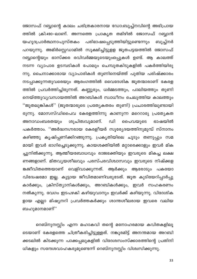ജോസഫ് റബ്ബാന്റെ കാലം ചരിത്രകാരനായ ഡോ:ബൂച്ച്നവിന്റെ അഭിപ്രായ ത്തിൽ ക്രി:490–ലാണ്. അന്നത്തെ പ്രാകൃത തമിഴിൽ ജോസഫ് റബ്ബാൻ യഹൂദപ്രാർത്ഥനാപുസ്തകം പരിഭാഷപ്പെടുത്തിയിട്ടുണ്ടെന്നും ബുച്ച്നർ പറയുന്നു. അമിർസ്റ്റെഡാമിൽ സൂക്ഷിച്ചിട്ടുളള ജൂതപട്ടയത്തിൽ ജോസഫ് റബ്ബാന്റെയും ഭാസ്ക്കര രവിവർമ്മയുടെയുംഒപ്പുകൾ ഉണ്ട്. ആ കാലത്ത് നടന്ന വ്യാപാര ഉടമ്പടികൾ പോലും ചെമ്പുതകിടുകളിൽ പകർത്തിയിരു ന്നു. ചൈനാക്കാരായ വ്യാപാരികൾ തുണിനെയ്ത്ത് പുതിയ പരിഷ്ക്കാരം നടപ്പാക്കുന്നതുവരെയും ആരംഗത്തിൽ വൈദേശിക ജൂതന്മാരാണ് കേരള ത്തിൽ പ്രവർത്തിച്ചിരുന്നത്. കണ്ണൂരും, ധർമ്മടത്തും, പാലിയത്തും തുണി നെയ്ത്തുവ്യവസായത്തിൽ അറബികൾ സ്വാധീനം ചെലുത്തിയ കാലത്തും ''ജൂതലുങ്കികൾ'' (ജൂതന്മാരുടെ പ്രത്യേകതരം തുണി) പ്രചാരത്തിലുണ്ടായി രുന്നു. മോസസ്ഡിപൈവ കേരളത്തിന്നു കാണുന്ന മറെറാരു പ്രത്യേകത ശുചിത്വവുമാണ്. ഡി ഭാഷയിൽ അനാഡംബരതയും പൈവയുടെ പകർത്താം. ''അർദ്ധനഗ്നരായ കേരളീയർ സൂര്യേദയത്തിനുമുമ്പ് സ്നാനം കഴിഞ്ഞു കൃഷിപ്പണിക്കിറങ്ങുന്നു. പ്രകൃതിയിലെ ചൂടും തണുപ്പും സമ മായി ഇവർ ഭാഗിച്ചെടുക്കുന്നു. കായശക്തിയിൽ മറ്റാരെക്കാളും ഇവർ മിക ച്ചുനിൽക്കുന്നു. ആത്മീയബോധവും രാജഭക്തിയും ഇവരുടെ മികച്ച ലക്ഷ ണങ്ങളാണ്. മിതവൃയശീലവും പരസ്പരവിശ്വാസവും ഇവരുടെ നിഷ്ക്കള ങ്കജീവിതത്തെയാണ് വെളിവാക്കുന്നത്. ആർക്കും ആരോടും പകയോ വിദ്വേഷമോ ഇല്ല. കൂട്ടായ ജീവിതമാണിവരുടേത്. ജൂത കുടിയേറിപ്പാർപ്പു കാർക്കും, ക്രിസ്ത്യാനികൾക്കും, അറബികൾക്കും, ഇവർ സഹകരണം നൽകുന്നു. വേഗം ഇടപഴകി കഴിയുവാനും ഇവർക്ക് കഴിയുന്നു. വിദേശിക ളായ എല്ലാ മിഷ്യനറി പ്രവർത്തകർക്കും ശാന്തശീലരായ ഇവരെ വലിയ ബഹുമാനമാണ്''

റെബ്നുനസ്സിം എന്ന മഹാകവി തന്റെ മനോഹരമായ കവിതകളിലൂ ടെയാണ് കേരളത്തെ ചിത്രീകരിച്ചിട്ടുള്ളത്. നങ്കൂരമിട്ട് അനന്തമായ അറബി ക്കടലിൽ കിടക്കുന്ന പാക്കപ്പലുകളിൽ വിദേശസംസ്ക്കാരത്തിന്റെ പ്രതിനി ധികളും സന്ദേശവാഹകരുമുണ്ടെന്ന് റെബ്നുനസ്സിം വിശ്വസിക്കുന്നു.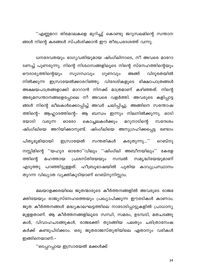''എണ്ണമററ തിരമാലകളെ മുറിച്ചു് കൊണ്ടു ജറുസലമിന്റെ സന്താന ങ്ങൾ നിന്റെ കരങ്ങൾ സ്പർശിക്കാൻ ഈ തീരപ്രദേശത്ത് വന്നു.

ധനദേവതയും ഭാഗ്യവതിയുമായ ഷിംഗ്ലിനാടെ, നീ അവരെ മാറോ ടണച്ച് പുണരുന്നു. നിന്റെ നിശ്വാസങ്ങളിലൂടെ നിന്റെ സ്നേഹത്തിന്റെയും ഔദാര്യത്തിന്റെയും സുഗന്ധവും ഗുണവും അങ്ങ് വിദൂരതയിൽ നിൽക്കുന്ന ഇസ്രായേൽക്കാരറിഞ്ഞു. വിദേശികളുടെ ഭിക്ഷാപാത്രങ്ങൾ അക്ഷയപാത്രങ്ങളാക്കി മാററാൻ നിനക്ക് മാത്രമാണ് കഴിഞ്ഞത്. നിന്റെ അരുമസന്താനങ്ങളെപ്പോലെ നീ അവരെ വളർത്തി. അവരുടെ കളിപ്പാട്ട ങ്ങൾ നിന്റെ ലീലകൾക്കൊപ്പിച്ച് അവർ ചലിപ്പിച്ചു. അങ്ങിനെ സന്തോഷ ത്തിന്റെ– ആഹ്ലാദത്തിന്റെ– ആ ബന്ധം ഇന്നും നിലനിൽക്കുന്നു. ഓടി മറുനാടിന്റെ യോടി കൊച്ചലകൾക്കും വരുന്ന **ഒാരോ** സന്ദേശം ഷിംഗ്ലിയെ അറിയിക്കാനുണ്ട്. ഷിംഗ്ലിയെ അനുഗ്രഹിക്കപ്പെട്ട രണ്ടാം

പിതൃഭൂമിയായി ഇസ്രായേൽ സന്തതികൾ കരുതുന്നു....'' റെബ്നു നസ്സിമിന്റെ ''യഹൂദ ഓതോ''വിലും ''ഷിംഗ്ലി അബീനയിലും'' കേരള പ്രശസ്തിയേയും സമൃദ്ധിയേയുമാണ് ത്തിന്റെ സമ്പൽ മഹത്തായ എടുത്തു പറഞ്ഞിട്ടുള്ളത്. ഹീബ്രൂഭാഷയിൽ പുതിയ കാവ്യപ്രസ്ഥാനം തുറന്ന വിഖ്യാത വ്യക്തികൂടിയാണ് റെബ്നുനിസ്സാം.

മലയാളക്കരയിലെ ജൂതന്മാരുടെ കീർത്തനങ്ങളിൽ അവരുടെ രാജഭ ക്തിയേയും രാജ്യസ്നേഹത്തെയും പ്രഖ്യാപിക്കുന്ന ഈരടികൾ കാണാം. ജൂത കീർത്തനങ്ങൾ മദ്ധ്യകാലഘട്ടത്തിലെ നാടോടിപ്പാട്ടുകളിൽ പ്രാധാന്യ മുളളതാണ്. ആ കീർത്തനങ്ങളിലൂടെ സന്ധി, സമരം, ഉടമ്പടി, മതചടങ്ങു കൾ, വിവാഹചടങ്ങുകൾ, രാജഭക്തി തുടങ്ങിയ പലതും ചരിത്രാന്വേഷ കർക്ക് കണ്ടുപിടിക്കാം. ഒരു ജൂതരാജസ്തുതിയിലെ ഏതാനും വരികൾ ഇങ്ങിനെയാണ്:–

''ഒടപ്പറപ്പായ ഇസ്രായേൽ മക്കൾക്ക്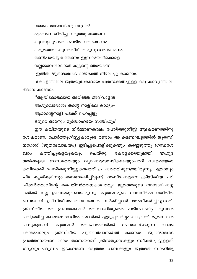നമ്മടെ രാജാവിന്റെ നാളിൽ

എങ്ങനെ മീതിച്ച വരുത്തുടയോനെ

കുറവുകൂടാതെ പെരിമ വതങ്ങെണം

ഒതുമയായ കുലത്തിന് തിരുവുളളമാകെണം

തണിപായിട്ടിരിത്തണം ഇസ്രായേൽമക്കളെ

നല്ലയെറുശാലായി കുട്ടന്റെ ഞായനെ''

ഇതിൽ ജൂതന്മാരുടെ രാജഭക്തി നിഴലിച്ചു കാണാം.

കേരളത്തിലെ ജൂതയുദ്ധകഥയെ പുരസ്ക്കരിച്ചുള്ള ഒരു കാവ്യത്തിലി ങ്ങനെ കാണാം.

"ആതിമൊതലായ അറിഞ്ഞ അറിവാളൻ അശുവെരോശു തന്റെ നാളിലെ കാര്യം– ആരാന്റെനാട്ടി പടക്ക് പെറപ്പിട്ടു

ഒറൂറെ ഓമനും മൂർദ്ധാഹയേ സന്തിഹും''

ഈ കവിതയുടെ നിർമ്മാണകാലം പോർത്തുഗീസ്സ് ആക്രമണത്തിനു ശേഷമാണ്. പോർത്തുഗീസ്സുകാരുടെ രണ്ടാം ആക്രമണഘട്ടത്തിൽ ജൂതസി നഗോഗ് (ജൂതദേവാലയം) ഇടിച്ചുപൊളിക്കുകയും കയ്യെഴുത്തു ഗ്രന്ഥശേ ചെയ്തു. ഖരം കത്തിച്ചുകളയുകയും കേരളക്കരയുമായി യഹൂദ ന്മാർക്കുള്ള ബന്ധത്തെയും വ്യാപാരഉടമ്പടികളെയുംപററി വളരെയേറെ കവിതകൾ പോർത്തുഗീസ്സുകാലത്ത് പ്രചാരത്തിലുണ്ടായിരുന്നു. ഏതാനും ചില കൃതികളിന്നും അവശേഷിച്ചിട്ടുണ്ട്. റാബിപോളെന്ന ക്രിസ്തീയ പരി ഷ്ക്കർത്താവിന്റെ മതപരിവർത്തനകാലത്തും ജൂതന്മാരുടെ നാടോടിപാട്ടു കൾക്ക് നല്ല പ്രചാരമുണ്ടായിരുന്നു. ജൂതന്മാരുടെ ഗാനനിർമ്മാണരീതിത ന്നെയാണ് ക്രിസ്തീയഭക്തിഗാനങ്ങൾ നിർമ്മിച്ചവർ അംഗീകരിച്ചിട്ടുളളത്. ക്രിസ്തീയ മത പ്രചാരകന്മാർ മതസാഹിത്യത്തെ പരിപോഷിപ്പിക്കുവാൻ പരിശ്രമിച്ച കാലഘട്ടങ്ങളിൽ അവർക്ക് എളുപ്പമാർഗ്ഗം കാട്ടിയത് ജൂതനാടൻ ജൂതന്മാർ പാട്ടുകളാണ്. മതാചാരങ്ങൾക്ക് ഉപയോഗിക്കുന്ന വാക്ക ക്രിസ്തീയ പുത്തൻപാനയിൽ ുകൾപോലും കാണാം. ജൂതന്മാരുടെ പ്രാർത്ഥനയുടെ രാഗം തന്നെയാണ് ക്രിസ്ത്യാനികളും സ്വീകരിച്ചിട്ടുളളത്. ഗദൃവും–പദൃവും ഇടകലർന്ന ഒരുതരം ചമ്പുക്കളും ജൂതമത സാഹിതൃ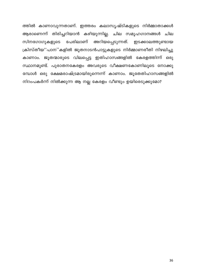ത്തിൽ കാണാവുന്നതാണ്. ഇത്തരം കലാസൃഷ്ടികളുടെ നിർമ്മാതാക്കൾ ആരാണെന്ന് തിരിച്ചറിയാൻ കഴിയുന്നില്ല. ചില സമൂഹഗാനങ്ങൾ ചില സിനഗോഗുകളുടെ പേരിലാണ് അറിയപ്പെടുന്നത്. ഇടക്കാലത്തുണ്ടായ ക്രിസ്തീയ''പാന''കളിൽ ജൂതനാടൻപാട്ടുകളുടെ നിർമ്മാണരീതി നിഴലിച്ചു കാണാം. ജൂതന്മാരുടെ വിലപ്പെട്ട ഇതിഹാസങ്ങളിൽ കേരളത്തിന്ന് ഒരു സ്ഥാനമുണ്ട്. പുരാതനകേരളം അവരുടെ വീക്ഷണകോണിലൂടെ നോക്കു മ്പോൾ ഒരു ക്ഷേമരാഷ്ട്രമായിരുന്നെന്ന് കാണാം. ജൂതേതിഹാസങ്ങളിൽ നിറംപകർന്ന് നിൽക്കുന്ന ആ നല്ല കേരളം വീണ്ടും ഉയിരെടുക്കുമോ?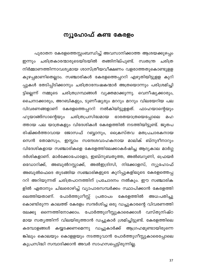#### ന്യൂഹോഫ് കണ്ട കേരളം

<span id="page-37-0"></span>പുരാതന കേരളത്തെസ്സംബന്ധിച്ച് അവസാനിക്കാത്ത ആശയക്കുഴപ്പം ഇന്നും ചരിത്രകാരന്മാരുടെയിടയിൽ തങ്ങിനില്പുണ്ട്. സ്വതന്ത്ര ചരിത്ര നിർമ്മാണത്തിന്നാവശ്യമായ ശാസ്ത്രീയവീക്ഷണം വളരാത്തതുകൊണ്ടുളള കുഴപ്പമാണിതെല്ലാം. സഞ്ചാരികൾ കേരളത്തെപ്പററി എഴുതിയിട്ടുളള കുറി പ്പുകൾ തേടിപ്പിടിക്കാനും ചരിത്രാന്വേഷകന്മാർ അത്രയൊന്നും പരിശ്രമിച്ചി ട്ടില്ലെന്ന് നമ്മുടെ ചരിത്രഗ്രന്ഥങ്ങൾ വ്യക്തമാക്കുന്നു. വെനീഷ്യക്കാരും, ചൈനാക്കാരും, അറബികളും, ടുണീഷ്യരും മററും മററും വിലയേറിയ പല വിവരണങ്ങളാണ് കേരളത്തെപ്പററി നൽകിയിട്ടുളളത്. ഫാഹയാന്റെയും ഹുയാങ്ങ്സാന്റെയും ചരിത്രപ്രസിദ്ധമായ ഭാരതയാത്രയെപ്പോലെ മഹ ത്തായ പല യാത്രകളും വിദേശികൾ കേരളത്തിൽ നടത്തിയിട്ടുണ്ട്. ജൂതപ രിഷ്ക്കർത്താവായ ജോസഫ് റബ്ബാനും, ക്രൈസ്തവ മതപ്രചാരകനായ സെൻ തോമസും, ഇസ്ലാം സന്ദേശവാഹകനായ മാലിക് ബ്നുദീനാറും വിദേശികളായ സഞ്ചാരികളെ കേരളത്തിലേക്കാകർഷിച്ച ആദ്യകാല മാർഗ്ഗ ദർശികളാണ്. മാർക്കോപോളോ, ഇബ്നുബതൂത്ത, അൽബറൂണി, ഫ്രെയർ ഒഡോറിക്ക്, അബുൽറസ്സാക്ക്, അൽഇദ്രിസി, നിക്കോളസ്, ന്യൂഹോഫ് അബുൽഫെദെ തുടങ്ങിയ സഞ്ചാരികളുടെ കുറിപ്പുകളിലൂടെ കേരളത്തെപ്പ ററി അറിയുന്നത് ചരിത്രപഠനത്തിന് പ്രചോദനം നൽകും. ഈ സഞ്ചാരിക ളിൽ ഏതാനും ചിലരൊഴിച്ച് വ്യാപാരസമ്പർക്കം സ്ഥാപിക്കാൻ കേരളത്തി പോർത്തുഗീസ്സ് പ്രതാപം കേരളത്തിൽ ലെത്തിയതാണ്. അധ:പതിച്ചു കൊണ്ടിരുന്ന കാലത്ത് കേരളം സന്ദർശിച്ച ഒരു ഡച്ചുകാരന്റെ വിവരണത്തി ലേക്കു ഒന്നെത്തിനോക്കാം. പോർത്തുഗീസ്സുകാരെക്കാൾ വസ്തുനിഷ്ഠ മായ സത്യത്തിന്ന് വിലയിരുത്താൻ ഡച്ചുകാർ ശ്രമിച്ചിട്ടുണ്ട്. കേരളത്തിലെ കമ്പോളങ്ങൾ കയ്യടക്കണമെന്നു ഡച്ചുകാർക്ക് ആഗ്രഹമുണ്ടായിരുന്നെ ങ്കിലും കൊലയും കൊളളയും നടത്തുവാൻ പോർത്തുഗീസ്സുകാരെപ്പോലെ കുപ്രസിദ്ധി സമ്പാദിക്കാൻ അവർ സാഹസപ്പെട്ടിരുന്നില്ല.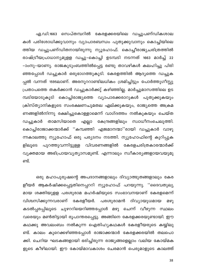ഏ.ഡി.1663 സെപ്തമ്പറിൽ കേരളക്കരയിലെ ഡച്ചുപണ്ഡികശാല കൾ പരിശോധിക്കുവാനും വ്യാപാരബന്ധം പുതുക്കുവാനും കൊച്ചിയിലെ ത്തിയ ഡച്ചുപണ്ഡിതനായിരുന്നു ന്യൂഹോഫ്. കൊച്ചീരാജ്യചരിത്രത്തിൽ രാഷ്ട്രീയപ്രാധാന്യമുളള ഡച്ചു–കൊച്ചി ഉടമ്പടി നടന്നത് 1663 മാർച്ച് 22 –ാംനു–യാണു. രാജകുടുംബത്തിൽപ്പെട്ട രണ്ടു താവഴികൾ കലഹിച്ചു പിരി ഞ്ഞപ്പോൾ ഡച്ചുകാർ ഒരുഭാഗത്തുകൂടി. കേരളത്തിൽ ആദ്യത്തെ ഡച്ചുക പ്പൽ വന്നത് 1595ലാണ്. അരനൂററാണ്ടിലധികം ശ്രമിച്ചിട്ടും പോർത്തുഗീസ്സു പ്രതാപത്തെ തകർക്കാൻ ഡച്ചുകാർക്കു് കഴിഞ്ഞില്ല. മാർച്ചുമാസത്തിലെ ഉട മ്പടിയോടുകൂടി കൊച്ചിരാജ്യത്തെ വ്യാപാരക്കരാറുകൾ പുതുക്കുകയും ക്രിസ്ത്യാനികളുടെ സംരക്ഷണചുമതല ഏല്ക്കുകയും, രാജ്യത്തെ അക്രമ ണങ്ങളിൽനിന്നു രക്ഷിച്ചുകൊള്ളാമെന്ന് വാഗ്ദത്തം നൽകുകയും ചെയ്ത താമസിയാതെ കേന്ദ്രങ്ങളിലും സ്വാധീനംചെലുത്തി. ഡച്ചുകാർ എല്ലാ കൊച്ചിരാജാക്കന്മാർക്ക് ''കമ്പഞ്ഞി എജമാനന്മാ''രായി ഡച്ചുകാർ വാഴു ന്നകാലത്തു ന്യൂഹോഫ് ഒരു പര്യടനം നടത്തി. ന്യൂഹോഫിന്റെ കുറിപ്പുക വിവരണങ്ങളിൽ കേരളചരിത്രകാരന്മാർക്ക് ളിലൂടെ പുറത്തുവന്നിട്ടുള്ള വ്യക്തമായ അഭിപ്രായവ്യത്യാസമുണ്ട്. എന്നാലും സ്വീകാര്യങ്ങളായവയുമു ണ്ട്.

ഒരു മഹാപുരുഷന്റെ അപദാനങ്ങളാലും ദിവ്യാത്ഭുതങ്ങളാലും കേര ളീയർ ആകർഷിക്കപ്പെട്ടതിനെപ്പററി ന്യൂഹോഫ് പറയുന്നു. ''ദൈവതുല്യ മായ ശക്തിയുളള പരശുരാമ മഹർഷിയുടെ സംഭാവനയാണ് കേരളമെന്ന് വിശ്വസിക്കുന്നവരാണ് കേരളീയർ. പരശുരാമൻ ദിവ്യായുധമായ **Ø**�) കടൽപ്പരപ്പിലൂടെ ചുഴററിയെറിഞ്ഞപ്പോൾ മഴു ചെന്ന് വീഴുന്ന സ്ഥലം വരെയും മൺതിട്ടായി രൂപാന്തരപ്പെട്ടു. അങ്ങിനെ കേരളക്കരയുണ്ടായി. ഈ കഥക്കു അവലംബം നൽകുന്ന ഐതിഹ്യകഥകൾ കേരളീയരുടെ കയ്യിലു ണ്ട്. കാലം കുറെക്കഴിഞ്ഞപ്പോൾ രാജാക്കന്മാർ കേരളക്കരയിൽ തലപൊ ക്കി. ചെറിയ ഘടകങ്ങളായി ഭരിച്ചിരുന്ന രാജ്യങ്ങളെല്ലാം വലിയ കോയ്മക ളുടെ കീഴിലായി. ഈ കോയ്മാവകാശം ചേരമാൻ പെരുമാളുടെ കാലത്ത്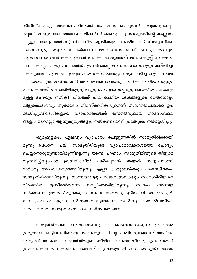ശിഥിലീകരിച്ചു. അറേബ്യയിലേക്ക് ചേരമാൻ പെരുമാൾ യാത്രപുറപ്പെട്ട പ്പോൾ രാജ്യം അനന്തരാവകാശികൾക്ക് കൊടുത്തു. രാജ്യത്തിന്റെ കണ്ണായ കണ്ണൂർ അദ്ദേഹത്തിന്റെ വിശ്വസ്ത മന്ത്രിക്കും, കോഴിക്കോട് സർവ്വാധികാ ര്യക്കാരനും, അടുത്ത കോയ്മാവകാശം ലഭിക്കേണ്ടവന് കൊച്ചിരാജ്യവും, വ്യാപാരസാമ്പത്തികകാര്യങ്ങൾ നോക്കി രാജ്യത്തിന് മുതലെടുപ്പ് സൂക്ഷിച്ച വന് കൊല്ലം രാജ്യവും നൽകി. ഇവർക്കെല്ലാം സ്ഥാനമാനങ്ങളും കല്പിച്ചു കൊടുത്തു. വ്യാപാരതുറമുഖമായ കോഴിക്കോട്ടുരാജ്യം ലഭിച്ച ആൾ സാമൂ തിരിയായി (രാജാധിരാജൻ) അഭിഷേകം ചെയ്തു. ചെറിയ ചെറിയ നാട്ടുപ്ര മാണികൾക്ക് പണക്കിഴികളും, പട്ടും, ബഹുമാനപ്പേരും, രാജകീയ അടയാള മുളള മുദ്രയും നൽകി. ചിലർക്ക് ചില ചെറിയ ദേശങ്ങളുടെ മേൽനോട്ടം വിട്ടുകൊടുത്തു. ആരെയും തിരസ്ക്കരിക്കരുതെന്ന് അനന്തിരവന്മാരെ ഉപ ദേശിച്ചു.വിദേശികളായ വ്യാപാരികൾക്ക് സൌജന്യമായ താമസസ്ഥല ങ്ങളും മറെറല്ലാ ആനുകൂല്യങ്ങളും നൽകണമെന്ന് പ്രത്യേകം നിർദ്ദേശിച്ചു.

കുരുമുളകും ഏലവും വ്യാപാരം ചെയ്യുന്നതിൽ സാമൂതിരിക്കായി രുന്നു പ്രധാന പങ്ക്. സാമൂതിരിയുടെ വ്യാപാരാവകാശത്തെ ചോദ്യം ചെയ്യാനാരുമുണ്ടായിരുന്നില്ലെന്നു തന്നെ പറയാം. സാമൂതിരിയുടെ തീട്ടൂരമ ഉടമ്പടികളിൽ ഏർപ്പെടാൻ നുസരിച്ച്വ്യാപാര അയൽ നാട്ടുപ്രമാണി മാർക്കു അവകാശമുണ്ടായിരുന്നു. എല്ലാ കാര്യങ്ങൾക്കും പരമാധികാരം സാമൂതിരിക്കായിരുന്നു. നാണയങ്ങളും രാജശാസനകളും സാമൂതിരിയുടെ നടപ്പിലാക്കിയിരുന്നു. വിശ്വസ്ത മന്ത്രിമാർതന്നെ സ്വന്തം നാണയ നിർമ്മാണം ഈജിപ്തുകാരുടെ സഹായത്തോടുകൂടിയാണ് ആരംഭിച്ചത്. ഈ പ്രതാപം കുറെ വർഷങ്ങൾക്കുശേഷം തകർന്നു. അയൽനാട്ടിലെ രാജാക്കന്മാർ സാമൂതിരിയെ വകവയ്ക്കാതെയായി.

സാമൂതിരിയുടെ വംശപാരമ്പര്യത്തെ ബഹുമാനിക്കുന്ന ഇടത്തരം പ്രഭുക്കൾ നാട്ടിലെവിടെയും ഭരണകൂടത്തിന്റെ മറപിടിച്ചുകൊണ്ട് അനീതി ചെയ്യാൻ തുടങ്ങി. സാമൂതിരിയുടെ കീഴിൽ ഇണങ്ങിജീവിച്ചിരുന്ന നായർ പ്രമാണികൾ ഈ കാരണം കൊണ്ട് ശത്രുക്കളായി മാറി. ചെറുകിട രാജാ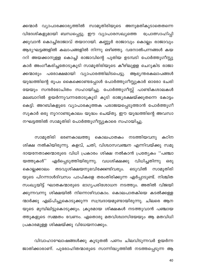ക്കന്മാർ വ്യാപാരക്കാര്യത്തിൽ സാമൂതിരിയുടെ അനുമതികൂടാതെതന്നെ വിദേശികളുമായി ബന്ധപ്പെട്ടു. ഈ വ്യാപാരസഖ്യത്തെ പ്രോത്സാഹിപ്പി ക്കുവാൻ കൊച്ചിരാജാവ് തയാറായി. കണ്ണൂർ രാജാവും കൊല്ലം രാജാവും ആദ്യഘട്ടങ്ങളിൽ കലാപങ്ങളിൽ നിന്നു ഒഴിഞ്ഞു. വനോൽപന്നങ്ങൾ കയ ററി അയക്കാനുള്ള കൊച്ചി രാജാവിന്റെ പുതിയ ഉടമ്പടി പോർത്തുഗീസ്സു കാർ അംഗീകരിച്ചതോടുകൂടി സാമൂതിരിയുടെ കീഴിലുളള ചെറുകിട രാജാ ക്കന്മാരും പരോക്ഷമായി വ്യാപാരത്തിലിടപെട്ടു. ആഭ്യന്തരകലാപങ്ങൾ യുദ്ധത്തിന്റെ രൂപം കൈക്കൊണ്ടപ്പോൾ പോർത്തുഗീസ്സുകാർ ഓരോ ചേരി യേയും സന്ദർഭോചിതം സഹായിച്ചു. പോർത്തുഗീസ്സ് പാണ്ടികശാലകൾ മലബാറിൽ ഉയർന്നുവന്നതോടുകൂടി കൂടി രാജ്യരക്ഷയ്ക്കുതന്നെ കോട്ടം കെട്ടി. അറബികളുടെ വ്യാപാരകുത്തക പരാജയപ്പെടുത്താൻ പോർത്തുഗീ സുകാർ ഒരു നൂററാണ്ടുകാലം യുദ്ധം ചെയ്തു. ഈ യുദ്ധത്തിന്റെ അവസാ നഘട്ടത്തിൽ സാമൂതിരി പോർത്തുഗീസ്സുകാരെ സഹായിച്ചു.

കഠിന സാമൂതിരി ഭരണകാലത്തു കൊലപാതകം നടത്തിയവനു ശിക്ഷ നൽകിയിരുന്നു. കളവ്, ചതി, വിശ്വാസവഞ്ചന എന്നിവയ്ക്കു സമു ദായനേതാക്കന്മാരുടെ വിധി പ്രകാരം ശിക്ഷ നൽകാൻ പ്രത്യേകം ''പഞ്ചാ യത്തുകൾ'' ഏർപ്പെടുത്തിയിരുന്നു. വധശിക്ഷക്കു വിധിച്ചതിന്നു ഒരു തടവുശിക്ഷയനുഭവിക്കേണ്ടിവരും. ഒടുവിൽ സാമൂതിരി കൊല്ലക്കാലം യുടെ പിറന്നാൾദിവസം പാപികളെ തരംതിരിക്കുന്ന ഏർപ്പാടുണ്ട്. നിശ്ചിത സംഖ്യയിട്ട് ഘാതകന്മാരുടെ ഭാഗ്യപരിശോധന നടത്തും. അതിൽ വിജയി ക്കുന്നവന്നു ശിക്ഷയിൽ നിന്നൊഴിവാകാം. കൊലപാതകിയെ കടൽക്കള്ള ന്മാർക്കു ഏല്പിച്ചുകൊടുക്കുന്ന സമ്പ്രദായമുണ്ടായിരുന്നു. ചിലരെ ആന യുടെ മുമ്പിലിട്ടുകൊടുക്കും. ക്രൂരമായ ശിക്ഷകൾ നടത്തുവാൻ പഞ്ചായ ത്തുകളുടെ സമ്മതം വേണം. ഏതൊരു മതവിശ്വാസിയേയും ആ മതവിധി പ്രകാരമുള്ള ശിക്ഷയ്ക്കു വിധേയനാക്കും.

വിവാഹാഘോഷങ്ങൾക്കു കൂടുതൽ പണം ചിലവിടുന്നവർ ഉയർന്ന ജാതിക്കാരാണ്. പുരോഹിതന്മാരുടെ സാന്നിദ്ധ്യത്തിൽ നടത്തപ്പെടുന്ന ആ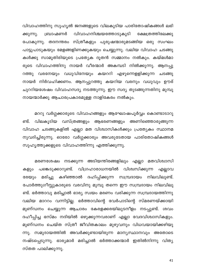വിവാഹത്തിനു സുഹൃൽ ജനങ്ങളുടെ വിലകൂടിയ പാരിതോഷികങ്ങൾ ലഭി വിവാഹനിശ്ചയത്തോടുകൂടി ക്കുന്നു. ബ്രാഹ്മണർ ക്ഷേത്രത്തിലേക്കു പോകുന്നു. തദനന്തരം സ്ത്രീകളും പുരുഷന്മാരുമടങ്ങിയ ഒരു സംഘം പാട്ടുപാടുകയും മേളങ്ങളിണക്കുകയും ചെയ്യുന്നു. വലിയ വിവാഹ ചടങ്ങു കൾക്കു സാമൂതിരിയുടെ പ്രത്യേക ദൂതൻ സമ്മാനം നൽകും. കയ്മൾമാ രുടെ വിവാഹത്തിനു നായർ വീരന്മാർ അകമ്പടി നിൽക്കുന്നു. ആനപ്പു റത്തു വരനേയും വധുവിനേയും കയററി എഴുന്നെളളിക്കുന്ന ചടങ്ങു നായർ നിർവഹിക്കണം. ആനപ്പുറത്തു കയറിയ വരനും വധുവും ഊര് ചുററിയശേഷം വിവാഹസദ്യ നടത്തുന്നു. ഈ സദ്യ തുടങ്ങുന്നതിനു മുമ്പു നായന്മാർക്കു ആചാരപ്രകാരമുള്ള നാളികേരം നൽകും.

മററു വർഗ്ഗക്കാരുടെ വിവാഹങ്ങളും ആഘോഷപൂർവ്വം കൊണ്ടാടാറു ആഭരണങ്ങളും അണിഞ്ഞൊരുങ്ങുന്ന ണ്ട്. വിലകൂടിയ വസ്ത്രങ്ങളും വിവാഹ ചടങ്ങുകളിൽ എല്ലാ മത വിശ്വാസികൾക്കും പ്രത്യേകം സ്ഥാനമ നുവദിച്ചിരുന്നു. ഓരോ വർഗ്ഗക്കാരും അവരുടേതായ പാരിതോഷികങ്ങൾ സുഹൃത്തുക്കളുടെ വിവാഹത്തിന്നു എത്തിക്കുന്നു.

മരണശേഷം നടക്കുന്ന അടിയന്തിരങ്ങളിലും എല്ലാ മതവിശ്വാസി പങ്കെടുക്കാറുണ്ട്. വിഗ്രഹാരാധനയിൽ വിശ്വസിക്കുന്ന കളു൦ എല്ലാവ കഴിഞ്ഞാൽ ദഹിപ്പിക്കുന്ന സമ്പ്രദായം നിലവിലുണ്ട്. മരിച്ചു രേയും പോർത്തുഗീസ്സുകാരുടെ വരവിനു മുമ്പു തന്നെ ഈ സമ്പ്രദായം നിലവിലു ണ്ട്. ഭർത്താവു മരിച്ചാൽ ഭാര്യ സ്വയം മരണം വരിക്കുന്ന സമ്പ്രദായത്തിന്നു വലിയ മാററം വന്നിട്ടില്ല. ഭർത്താവിന്റെ വേർപാടിന്റെ സ്മരണയ്ക്കായി മുണ്ഡനം ചെയ്യുന്ന ആചാരം കേരളക്കരയിലുടനീളം നടപ്പുണ്ട്. ശവം ദഹീപ്പിച്ച ഭസ്മം നദിയിൽ ഒഴുക്കുന്നവരാണ് എല്ലാ വേദവിശ്വാസികളും. മുണ്ഡനം ചെയ്ത സ്ത്രീ ജീവിതകാലം മുഴുവനും വിധവയായിക്കഴിയു ന്നു. സമുദായത്തിൽ അവർക്കുണ്ടായിരുന്ന മാന്യസ്ഥാനവും അതോടെ നഷ്ടപ്പെടുന്നു. ഭാര്യമാർ മരിച്ചാൽ ഭർത്താക്കന്മാർ ഇതിൽനിന്നു വിത്യ സ്തത പാലിക്കുന്നു.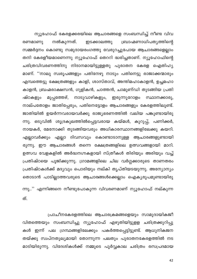ന്യൂഹോഫ് കേരളക്കരയിലെ ആചാരങ്ങളെ സംബന്ധിച്ച് നീണ്ട വിവ നൽകുന്നത്. രണമാണു ഇടക്കാലത്ത<u>ു</u> ബ്രാഹ്മണാധിപത്യത്തിന്റെ സമ്മർദ്ദനം കൊണ്ടു സമുദായരംഗത്തു വേരുറച്ചുപോയ ആചാരങ്ങളെല്ലാം തനി കേരളീയമാണെന്നു ന്യൂഹോഫ് തെററി ദ്ധരിച്ചതാണ്. ന്യൂഹോഫിന്റെ ചരിത്രവിവരണത്തിനു നിദാനമായിട്ടുള്ളതു പുരാതന കേരള ഐതിഹ്യ മാണ്. ''നാലു സ്വരൂപങ്ങളും പതിനേഴു നാടും പതിനെട്ടു രാജാക്കന്മാരും എമ്പത്തെട്ടു ക്ഷേത്രങ്ങളും കാളി, ശാസ്താവ്, അന്തിമഹാകാളൻ, ഉച്ചമഹാ കാളൻ, ബ്രഹ്മരാക്ഷസൻ, ഗുളികൻ, ചാത്തൻ, ചാമുണ്ഡി തുടങ്ങിയ പ്രതി മുപ്പത്തേഴ്, നാടുവാഴികളും, ഇരുന്നൂറോളം ഷ്ഠകളും സ്ഥാനക്കാരു, നാല്പതോളം ജാതിപ്പേരും, പതിനെട്ടോളം ആചാരങ്ങളും കേരളത്തിലുണ്ട്. ജാതിയിൽ ഉയർന്നവരായവർക്കു രാജ്യഭരണത്തിൽ വലിയ പങ്കുണ്ടായിരു ന്നു. ഒടുവിൽ ശൂദ്രകുലത്തിൽപ്പെട്ടവരായ കയ്മൾ, കുറുപ്പ്, പണിക്കർ, നായകർ, മേനോക്കി തുടങ്ങിയവരും അധികാരസ്ഥാനങ്ങളിലേക്കു കയറി. എല്ലാവർക്കും എല്ലാ ദിവസവും കൊണ്ടാടാനുള്ള ആചാരങ്ങളുണ്ടായി രുന്നു. ഈ ആചാരങ്ങൾ തന്നെ ക്ഷേത്രങ്ങളിലെ ഉത്സവങ്ങളായി മാറി. ഉത്സവ വേളകളിൽ അർദ്ധനഗ്നകളായി സ്ത്രീകൾ തിരിയും അരിയും വച്ച് പ്രതിഷ്ഠയെ പൂജിക്കുന്നു. ഗ്രാമങ്ങളിലെ ചില വർഗ്ഗക്കാരുടെ താണതരം പ്രതിഷ്ഠകൾക്ക് മദൃവും പൊരിയും നല്കി തൃപ്തിയടയുന്നു. അന്യോനൃം തൊടാൻ പാടില്ലാത്തവരുടെ ആചാരങ്ങൾക്കെല്ലാം ഐക്യരൂപമുണ്ടായിരു

ന്നു...'' എന്നിങ്ങനെ നീണ്ടുപോകുന്ന വിവരണമാണ് ന്യൂഹോഫ് നല്കുന്ന ത്.

പ്രാചീനകേരളത്തിലെ ആചാരക്രമങ്ങളെയും സാമുദായികജീ

വിതത്തെയും സംബന്ധിച്ചു ന്യൂഹോഫ് എഴുതിയിട്ടുളള ചരിത്രക്കുറിപ്പു കൾ ഇന്ന് പല ഗ്രന്ഥങ്ങളിലേക്കും പകർത്തപ്പെട്ടിട്ടുണ്ട്. ആധുനികജന തയ്ക്കു സ്വപ്നതുല്യമായി തോന്നുന്ന പലതും പുരാതനകേരളത്തിൽ നട മാടിയിരുന്നു. വിദേശികൾക്ക് നമ്മുടെ പൂർവ്വകാല ചരിത്രം രസപ്രദമായ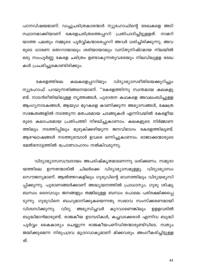പഠനവിഷയമാണ്. ഡച്ചുചരിത്രകാരന്മാർ ന്യൂഹോഫിന്റെ രേഖകളെ അടി സ്ഥാനമാക്കിയാണ് കേരളചരിത്രത്തെപ്പററി പ്രതിപാദിച്ചിട്ടുളളത്. നാമറി യാത്ത പലതും നമ്മുടെ പൂർവ്വികന്മാരെപ്പററി അവർ ധരിച്ചിരിക്കുന്നു. അവ രുടെ ധാരണ തെററായാലും ശരിയായാലും വസ്തുനിഷ്ഠമായ നിലയിൽ ഒരു സംപൂർണ്ണ കേരള ചരിത്രം ഉണ്ടാകുന്നതുവരേയും നിലവിലുളള രേഖ കൾ പ്രചരിച്ചുകൊണ്ടിരിക്കും.

കലകളെപ്പററിയും വിദ്യാഭ്യാസരീതിയെക്കുറിച്ചും കേരളത്തിലെ ന്യൂഹോഫ് പറയുന്നതിങ്ങനെയാണ്. ''കേരളത്തിന്നു സ്വന്തമായ കലകളു ണ്ട്. നാടൻരീതിയിലുള്ള നൃത്തങ്ങൾ, പുരാതന കഥകളെ അവലംബിച്ചുള്ള ആംഗ്യനാടകങ്ങൾ, ആയുധ മുറകളെ കാണിക്കുന്ന അഭ്യാസങ്ങൾ, ക്ഷേത്ര സങ്കേതങ്ങളിൽ നടത്തുന്ന മതപരമായ ചടങ്ങുകൾ എന്നിവയിൽ കേരളീയ രുടെ കലാപരമായ പ്രതിപത്തി നിഴലിച്ചുകാണാം. കലകളുടെ നിർമ്മാണ ത്തിലും നടത്തിപ്പിലും മുഴുകിക്കഴിയുന്ന ജനവിഭാഗം കേരളത്തിലുണ്ട്. ആഘോഷങ്ങൾ നടത്തുമ്പോൾ ഉവരെ ഒന്നിച്ചുകാണാം. രാജാക്കന്മാരുടെ മേൽനോട്ടത്തിൽ പ്രോത്സാഹനം നൽകിവരുന്നു.

വിദ്യാഭ്യാസസമ്പ്രദായം അപരിഷ്കൃതമാണെന്നു ധരിക്കണം. സമുദാ ഉന്നതന്മാരിൽ ചിലർക്കെ വിദ്യാഭ്യാസമുള്ളു. യത്തിലെ വിദ്യാഭ്യാസം സൌജന്യമാണ്. ആൽത്തറകളിലും ഗുരുവിന്റെ ഭവനത്തിലും വിദ്യയഭ്യസി പ്പിക്കുന്നു. പുരാണങ്ങൾക്കാണ് അദ്ധ്യയനത്തിൽ പ്രാധാന്യം. ഗുരു ശിഷ്യ ബന്ധം ദൈവവും ജനങ്ങളും തമ്മിലുള്ള ബന്ധം പോലെ പരിരക്ഷിക്കപ്പെ ടുന്നു. ഗുരുവിനെ ബഹുമാനിക്കുകയെന്നതു സ്വഭാവ സംസ്ക്കരണമായി അഭ്യസിച്ചവർ വിദ്യ വിശ്വസിക്കുന്നു. കുറവാണെങ്കിലും ഉള്ളവരിൽ ബുദ്ധിമാൻമാരുണ്ട്. രാജകീയ ഉടമ്പടികൾ, കച്ചവടക്കരാർ എന്നിവ ബുദ്ധി പൂർവ്വം കൈകാര്യം ചെയ്യുന്ന രാജകീയപണ്ഡിതന്മാരുണ്ടിവിടെ. സത്യം ജയിക്കുമെന്ന നിരുപദ്രവ മുദ്രാവാകൃമാണ് മിക്കവരും അംഗീകരിച്ചിട്ടുള്ള ത്.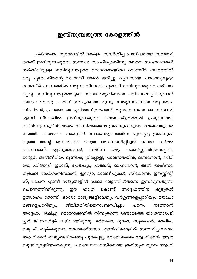#### ഇബ്നുബതൂത്ത കേരളത്തിൽ

<span id="page-44-0"></span>പതിനാലാം നൂററാണ്ടിൽ കേരളം സന്ദർശിച്ച പ്രസിദ്ധനായ സഞ്ചാരി യാണ് ഇബ്നുബതൂത്ത. സഞ്ചാര സാഹിത്യത്തിന്നു കനത്ത സംഭാവനകൾ നൽകിയിട്ടുള്ള ഇബ്നുബതൂത്ത മൊറോക്കയിലെ ററാഞ്ചീർ നഗരത്തിൽ ഒരു പുരോഹിതന്റെ മകനായി 1304ൽ ജനിച്ചു. വ്യവസായ പ്രാധാന്യമുള്ള ററാഞ്ചീർ പട്ടണത്തിൽ വരുന്ന വിദേശികളുമായി ഇബ്നുബതൂത്ത പരിചയ പ്പെട്ടു. ഇബ്നുബതൂത്തയുടെ സഞ്ചാരതൃഷ്ണയെ പരിപോഷിപ്പിക്കുവാൻ അദ്ദേഹത്തിന്റെ പിതാവ് ഉത്സുകനായിരുന്നു. സത്യസന്ധനായ ഒരു മതപ ണ്ഡിതൻ, പ്രഗത്ഭനായ ഭൂമിശാസ്ത്രജഞൻ, ത്യാഗസന്നദ്ധനായ സഞ്ചാരി ഇബ്നുബതൂത്ത ലോകചരിത്രത്തിൽ എന്നീ നിലകളിൽ പ്രമുഖനായി ത്തീർന്നു. സുദീർഘമായ 29 വർഷക്കാലം ഇബ്നുബതൂത്ത ലോകപര്യടനം നടത്തി. 22–ാമത്തെ വയസ്സിൽ ലോകപര്യടനത്തിനു പുറപ്പെട്ട ഇബ്നുബ അവസാനിപ്പിച്ചത് തന്റെ ഒന്നാമത്തെ യാത്ര ഒമ്പതു വർഷം തൂത്ത കൊണ്ടാണ്. കാൺസ്റ്റാൻടിനോപ്പിൾ, ദക്ഷിണ റഷ്യ, ഏഷ്യാമൈനർ, ടാർട്ടർ, അൽജീരിയ. ടൂണിഷ്, ട്രിപ്പോളി, പാലസ്തയിൻ, ലബ്നോൻ, സിറി യാ, ഹിജാസ്, ഇറാഖ്, പേർഷ്യാ, ഹർമസ്, ബഹറൈൻ, അൽ അഹ്സാ, തുർക്കി അഫ്ഗാനിസ്ഥാൻ, ഇന്ത്യാ, മാലദ്വീപുകൾ, സിലോൺ, ഈസ്റ്റിന്റീ സ്, ചൈന എന്നീ രാജ്യങ്ങളിൽ പ്രഥമ ഘട്ടത്തിൽതന്നെ ഇബ്നുബതൂത്ത ചെന്നെത്തിയിരുന്നു. അദ്ദേഹത്തിന് കൊണ്ട് ഈ യാത്ര കൂടുതൽ ഉത്സാഹം തോന്നി. ഓരോ രാജ്യങ്ങളിലേയും വർഗ്ഗങ്ങളെപ്പററിയും മതാചാ രങ്ങളെപററിയും, ജീവിതരീതിയെസംബന്ധിച്ചും നടത്താൻ പഠനം അദ്ദേഹം ശ്രമിച്ചു. മൊറോക്കയിൽ നിന്നുതന്നെ രണ്ടാമത്തെ യാത്രയാരംഭി ച്ചത് ജിബ്രാൾട്ടർ വഴിയായിരുന്നു. മർബലാ, റൂന്താ, സുഹൈർ, മാലിഖ, ബല്ലഷ്. ഖുർത്തുബാ, സലാമക്ക്നസാ എന്നിവിടങ്ങളിൽ സഞ്ചരിച്ചശേഷം ആഫ്രിക്കൻ രാജ്യങ്ങളിലേക്കു പുറപ്പെട്ടു. അക്കാലത്തെ ആഫ്രിക്കൻ യാത്ര ബുദ്ധിമുട്ടേറിയതാകുന്നു. പക്ഷെ സാഹസികനായ ഇബ്നുബതൂത്ത ആഫ്രി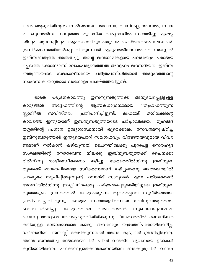ക്കൻ മരുഭൂമിയിലൂടെ സൽജമാസാ, തഗാസാ, താസ്റഹ്ല, ഈവൽ, സാഗ രി, ഖുറാമൻസി, ദാറുത്തമ തുടങ്ങിയ രാജ്യങ്ങളിൽ സഞ്ചരിച്ചു. ഏഷ്യ യിലും, യൂറോപ്പിലും, ആഫ്രിക്കയിലും പര്യടനം ചെയ്തശേഷം ലോകചരി ത്രനിർമ്മാണത്തിലേർപ്പെട്ടിരിക്കുമ്പോൾ എഴുപത്തിനാലാമത്തെ വയസ്സിൽ ഇബ്നുബതൂത്ത അന്തരിച്ചു. തന്റെ മുൻഗാമികളായ പലരേയും പരാജയ പ്പെടുത്തിക്കൊണ്ടാണ് ലോകപര്യടനത്തിൽ അദ്ദേഹം മുന്നേറിയത്. ഇബ്നു സമകാലീനരായ ചരിത്രപണ്ഡിതന്മാർ ബതൂത്തയുടെ അദ്ദേഹത്തിന്റെ സാഹസിക യാത്രയെ വാനോളം പുകഴ്ത്തിയിട്ടുണ്ട്.

ഇബ്നുബതൂത്തക്ക് അനുഭവപ്പെട്ടിട്ടുള്ള ഭാരത പര്യടനകാലത്തു അദ്ദേഹത്തിന്റെ ആത്മകഥാഗ്രന്ഥമായ ''തുഹ്ഫത്തുന്ന കാര്യങ്ങൾ സവിസ്തരം മുഹമ്മദ് തഗിലക്കിന്റെ സ്സാറി''ൽ പ്രതിപാദിച്ചിട്ടുണ്ട്. കാലത്തെ ഇന്ത്യയാണ് ഇബ്നുബതൂത്തയുടെ ചർച്ചാവിഷയം. മുഹമ്മദ് തഗ്ലക്കിന്റെ പ്രധാന ഉദ്യോഗസ്ഥനായി കുറെക്കാലം സേവനമനുഷ്ഠിച്ച ഇബ്നുബതൂത്തക്ക് ഇന്ത്യയെപററി സമഗ്രഹവും വിജ്ഞേയവുമായ വിവര ണമാണ് നൽകാൻ കഴിയുന്നത്. ചൈനയിലേക്കു പുറപ്പെട്ട സൌഹൃദ സംഘത്തിന്റെ നേതാവെന്ന നിലക്കു ഇബ്നുബതൂത്തക്ക് ചൈനക്കാ ലഭിച്ചു. ഗംഭീരസ്വീകരണം രിൽനിന്നു കേരളത്തിൽനിന്നു ഇബ്നുബ തൂത്തക്ക് രാജോചിതമായ സ്വീകരണമാണ് ലഭിച്ചതെന്നു ആത്മകഥയിൽ പ്രത്യേകം സൂചിപ്പിക്കുന്നുണ്ട്. റവറൻട് സാമുവൽ എന്ന ചരിത്രകാരൻ അറബിയിൽനിന്നു ഇംഗ്ലീഷിലേക്കു പരിഭാഷപ്പെടുത്തിയിട്ടുള്ള ഇബ്നുബ തൂത്തയുടെ ഗ്രന്ഥത്തിൽ കേരളപര്യടനകാര്യത്തെപ്പററി സുദീർഘമായി പ്രതിപാദിച്ചിരിക്കുന്നു. കേരളം സഞ്ചാരപ്രിയനായ ഇബ്നുബതുത്തയെ ഹഠാദാകർഷിച്ചു. കേരളത്തിലെ രാജാക്കൻമാർ സുഖലോലുപന്മാരാ ണെന്നു അദ്ദേഹം രേഖപ്പെടുത്തിയിരിക്കുന്നു. ''കേരളത്തിൽ സൈനികശ ക്തിയുള്ള രാജാക്കന്മാരെ കണ്ടു. അവരാരും യുദ്ധതല്പരരായിരുന്നില്ല. ഡർബാറിലെ അന്തസ്സ് രക്ഷിക്കുന്നതിൽ അവർ കൂടുതൽ ശ്രദ്ധിച്ചിരുന്നു. ഞാൻ സന്ദർശിച്ച രാജാക്കന്മാരിൽ ചിലർ വൻകിട വ്യവസായ ഉടമകൾ കൂടിയായിരുന്നു. ഫാക്കന്നൂ(തെക്കൻകാനറയിലെ ബർക്കൂർ)രിൽ വാസു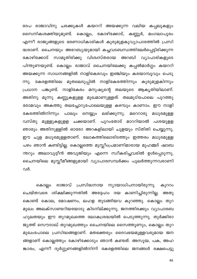ദേപ രാജാവിനു ചരക്കുകൾ കയററി അയക്കുന്ന വലിയ കപ്പലുകളും സൈനികശക്തിയുമുണ്ട്. കൊല്ലം, കോഴിക്കോട്, കണ്ണൂർ, മംഗലാപുരം എന്നീ രാജ്യങ്ങളുടെ ഭരണാധികാരികൾ കുരുമുളകുവ്യാപാരത്തിൽ പ്രസി ദ്ധരാണ്. ചൈനയും അറേബ്യയുമായി കച്ചവടബന്ധത്തിലേർപ്പെട്ടിരിക്കുന്ന കോഴിക്കോട് സാമൂതിരിക്കു വിശ്വസ്തരായ അറബി വ്യാപാരികളുടെ പിന്തുണയുണ്ട്. കൊല്ലം രാജാവ് ചൈനയിലേക്കു കപ്പൽമാർഗ്ഗം കയററി അയക്കുന്ന സാധനങ്ങളിൽ നാളികേരവും ഇഞ്ചിയും കരയാമ്പൂവും പെടു ന്നു. കേരളത്തിലെ മുതലെടുപ്പിൽ നാളികേരത്തിന്നും കുരുമുളകിന്നും പ്രധാന പങ്കുണ്ട്. നാളികേരം മനുഷ്യന്റെ തലയുടെ ആകൃതിയിലാണ്. അതിനു മൂന്നു കണ്ണുകളുളള മുഖമാണുള്ളത്. തലമുടിപോലെ പുറത്തു രോമവും അകത്തു തലച്ചോറുപോലെയുള്ള കഴമ്പും കാണാം. ഈ നാളി കേരത്തിൽനിന്നും പാലും നെയ്യും ലഭിക്കുന്നു. മറെറാരു മധുരമുള്ള വസ്തു മുള്ളുകളുളള ചക്കയാണ്. പുറംതോട് മാററിയാൽ പശയുളള ഞാരും അതിനുള്ളിൽ ഓരോ അറകളിലായി ചുളയും സ്തിതി ചെയ്യുന്നു. ഈ ചുള മധുരമുള്ളതാണ്. ലോകത്തിലൊരിടത്തും ഇത്തരം മധുരമുള്ള പഴം ഞാൻ കണ്ടിട്ടില്ല. കൊല്ലത്തെ മുസ്ലീംപ്രമാണിമാരായ മുഹമ്മദ് ഷാബ ന്തറും അലാവുദ്ദീൻ അവുജിയും എന്നെ സ്വീകരിച്ചവരിൽ ഉൾപ്പെടുന്നു. ചൈനയിലെ മുസ്ലീമീങ്ങളുമായി വ്യാപാരസമ്പർക്കം പുലർത്തുന്നവരാണി വർ.

രാജാവ് പ്രസിദ്ധനായ ന്യായാധിപനായിരുന്നു. കുററം കൊല്ലം ചെയ്തവരെ ശിക്ഷിക്കുന്നതിൽ അദ്ദേഹം ദയ കാണിച്ചിരുന്നില്ല. അതു കൊണ്ട് കൊല, മോഷണം, ലഹള തുടങ്ങിയവ കുറഞ്ഞു. കൊല്ലം തുറ മുഖം അലക്സാണ്ടറിയയോടു കിടനില്ക്കുന്നു. ജനത്തിരക്കും വ്യാപാരബ ഹുലതയും ഈ തുറമുഖത്തെ ലോകശ്രദ്ധയിൽ പെടുത്തുന്നു. തുർക്കിരാ ജ്യത്ത് സൌദാഖ് തുറമുഖത്തും ചൈനയിലെ സൈത്തൂണും, കൊല്ലം തുറ മുഖംപോലെ പ്രസിദ്ധങ്ങളാണ്. മതഭക്തരും ദൈവഭയമുള്ളവരുമായ ജന ങ്ങളാണ് കൊല്ലത്തും കോഴിക്കോടും ഞാൻ കണ്ടത്. അസൂയ, പക, അഹ ങ്കാരം, എന്നീ ദുർഗ്ഗുണങ്ങളിൽനിന്ന് കേരളത്തിലെ ജനങ്ങൾ രക്ഷപെട്ടു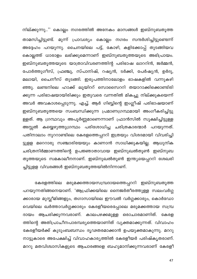നില്ക്കുന്നു...'' കൊല്ലം നഗരത്തിൽ അനേകം മാസങ്ങൾ ഇബ്നുബതൂത്ത താമസിച്ചിട്ടുണ്ട്. മുന്ന് പ്രാവശ്യം കൊല്ലം നഗരം സന്ദർശിച്ചിട്ടുണ്ടെന്ന് അദ്ദേഹം പറയുന്നു. ചൈനയിലെ പട്ട്, കോഴി, കളിക്കോപ്പ് തുടങ്ങിയവ കൊല്ലത്ത് ധാരാളം ലഭിക്കുമെന്നാണ് ഇബ്നുബതൂത്തയുടെ അഭിപ്രായം. ഇബ്നുബതൂത്തയുടെ യാത്രാവിവരണത്തിന്റ പരിഭാഷ ലാററിൻ, ജർമ്മൻ, പോർത്തുഗീസ്, ഫ്രഞ്ചു, സ്പാനിഷ്, റഷ്യൻ, ടർക്കി, പേർഷ്യൻ, ഉർദു, മലായി, ചൈനീസ് തുടങ്ങി. ഇരുപത്തിനാലോളം ഭാഷകളിൽ വന്നുകഴി ഞ്ഞു. ലണ്ടനിലെ ഹാക്ക് ലൂയിററ് സൊസൈററി തയാറാക്കിക്കൊണ്ടിരി ക്കുന്ന പരിഭാഷയായിരിക്കും ഇതുവരെ വന്നതിൽ മികച്ചു നില്ക്കുകയെന്ന് അവർ അവകാശപ്പെടുന്നു. എച്ച്. ആർ ഗിബ്ബിന്റെ ഇംഗ്ലീഷ് പരിഭാഷയാണ് ഇബ്നുബതൂത്തയെ സംബന്ധിക്കുന്ന പ്രമാണഗ്രന്ഥമായി അംഗീകരിച്ചിട്ടു ള്ളത്. ആ ഗ്രന്ഥവും അപൂർണ്ണമാണെന്നാണ് ഫ്രാൻസിൽ സൂക്ഷിച്ചിട്ടുള്ള അസ്സൽ കയ്യെഴുത്തുഗ്രന്ഥം പരിശോധിച്ച ചരിത്രകാരന്മാർ പറയുന്നത്. പതിനാലാം നൂററാണ്ടിലെ കേരളത്തെപ്പററി ഇത്രയും വിശദമായി വിവരിച്ചി ട്ടുളള മറെറാരു സഞ്ചാരിയേയും കാണാൻ സാധിക്കുകയില്ല. ആധുനിക ചരിത്രനിർമ്മാണത്തിന്റെ ഉപജ്ഞാതാവായ ഇബ്നുഖൽതൂൺ ഇബ്നുബ തൂത്തയുടെ സമകാലീനനാണ്. ഇബ്നുഖൽതൂൺ ഇന്ത്യയെപ്പററി ശേഖരി ച്ചിട്ടുളള വിവരങ്ങൾ ഇബ്നുബതൂത്തയിൽനിന്നാണ്.

കേരളത്തിലെ മരുമക്കത്തായസമ്പ്രദായത്തെപ്പററി ഇബ്നുബതൂത്ത പറയുന്നതിങ്ങനെയാണ്. 'ആഫ്രിക്കയിലെ നൈജർതീരത്തുള്ള സലംവർഗ്ഗ ക്കാരായ മുസ്ലീമിങ്ങളും, തഗാസായിലെ ഈവൽ വർഗ്ഗക്കാരും, കൊർഡോ വെയിലെ ഖർത്താവർഗ്ഗക്കാരും കേരളീയരെപ്പോലെ മരുമക്കത്തായ സമ്പ്ര ദായം ആചരിക്കുന്നവരാണ്. കാലപഴക്കമുള്ള ഒരാചാരമാണിത്. കേരള ത്തിന്റെ അതിപ്രാചീനപാരമ്പര്യത്തെയാണിത് വ്യക്തമാക്കുന്നത്. വിവാഹം കേരളീയർക്ക് കുടുംബബന്ധം ദൃഢതരമാക്കാൻ ഉപയുക്തമാകുന്നു. മററു നാട്ടുകാരെ അപേക്ഷിച്ച് വിവാഹകാര്യത്തിൽ കേരളീയർ പരിഷ്കൃതരാണ്. മററു മതവിശ്വാസികളുടെ ആചാരങ്ങളെ ബഹുമാനിക്കുന്നവരാണ് കേരളീ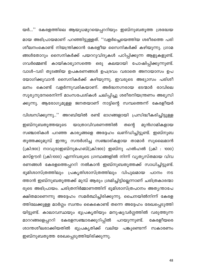യർ....'' കേരളത്തിലെ ആയുധമുറയെപ്പററിയും ഇബ്നുബതൂത്ത ശ്രദ്ധേയ മായ അഭിപ്രായമാണ് പറഞ്ഞിട്ടുള്ളത്. ''വളർച്ചെയെത്തിയ ശരീരത്തെ പരി ശീലനംകൊണ്ട് നിയന്ത്രിക്കാൻ കേരളീയ സൈനികർക്ക് കഴിയുന്നു. ഗ്രാമ ങ്ങൾതോറും സൈനികർക്ക് പയററുവിദ്യകൾ പഠിപ്പിക്കുന്ന ആളുകളുണ്ട്. ഗവർമ്മെണ്ട് കായികാഭ്യാസത്തെ ഒരു കലയായി പോഷിപ്പിക്കുന്നുണ്ട്. വാൾ-വടി തുടങ്ങിയ ഉപകരണങ്ങൾ ഉപദ്രവം വരാതെ അനായാസം ഉപ യോഗിക്കുവാൻ സൈനികർക്ക് കഴിയുന്നു. ഇവരുടെ അഭ്യാസം പരിശീ ലനം കൊണ്ട് വളർന്നുവരികയാണ്. അർദ്ധനഗ്നരായ ഭടന്മാർ രാവിലെ സൂര്യനുനേരെനിന്ന് മാംസപേശികൾ ചലിപ്പിച്ചു ശരീരനിയന്ത്രണം അഭ്യസി ക്കുന്നു. ആരോഗ്യമുള്ള ജനതയാണ് നാട്ടിന്റെ സമ്പത്തെന്ന് കേരളീയർ

വിശ്വസിക്കുന്നു...'' അറബിയിൽ രണ്ട് ഭാഗങ്ങളായി പ്രസിദ്ധീകരിച്ചിട്ടുള്ള ഇബ്നുബതുത്തയുടെ യാത്രാവിവരണത്തിൽ മുൻഗാമികളായ തന്റെ സഞ്ചാരികൾ പറഞ്ഞ കാര്യങ്ങളെ അദ്ദേഹം ഖണ്ഡിച്ചിട്ടുണ്ട്. ഇബ്നുബ തൂത്തക്കുമുമ്പ് ഇന്ത്യ സന്ദർശിച്ച സഞ്ചാരികളായ താമാർ സുലൈമാൻ (ക്രി:900) നാവുദാഇബ്നുമഹബ്(ക്രി:900) ഇബ്നു ഹൽഹൽ (ക്രി : 1000) മസ്ഊദി (ക്രി:1000) എന്നിവരുടെ ഗ്രന്ഥങ്ങളിൽ നിന്ന് വ്യത്യസ്തമായ വിവ രണങ്ങൾ കേരളത്തെപ്പററി നൽകാൻ ഇബ്നുബതൂത്തക്ക് സാധിച്ചിട്ടുണ്ട്. ഭൂമിശാസ്ത്രത്തിലും പ്രകൃതിശാസ്ത്രത്തിലും വിപുലമായ പഠനം നട ത്താൻ ഇബ്നുബതൂത്തക്ക് മുമ്പ് ആരും ശ്രമിച്ചിട്ടില്ലെന്നാണ് ചരിത്രകാരന്മാ രുടെ അഭിപ്രായം. ചരിത്രനിർമ്മാണത്തിന് ഭൂമിശാസ്ത്രപഠനം അത്യന്താപേ ക്ഷിതമാണെന്നു അദ്ദേഹം സമർത്ഥിച്ചിരിക്കുന്നു. ചൈനയിൽനിന്ന് കേരള ത്തിലേക്കുള്ള മാർഗ്ഗം സ്വന്തം കൈകൊണ്ട് തന്നെ അദ്ദേഹം രേഖപ്പെടുത്തി യിട്ടുണ്ട്. കാലാവസ്ഥയും ഭൂപ്രകൃതിയും മനുഷ്യവർഗ്ഗത്തിൽ വരുത്തുന്ന മാററങ്ങളെപ്പററി കേരളീയരെ കേരളസഞ്ചാരക്കുറിപ്പിൽ പറയുന്നുണ്ട്. ശാന്തശീലരാക്കിയതിൽ ഭൂപ്രകൃതിക്ക് വലിയ പങ്കുണ്ടെന്ന് സകാരണം ഇബ്നുബതൂത്ത രേഖപ്പെടുത്തിയിരിക്കുന്നു.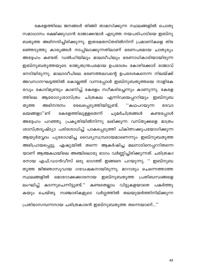കേരളത്തിലെ ജനങ്ങൾ തിങ്ങി താമസിക്കുന്ന സ്ഥലങ്ങളിൽ പൊതു സമാധാനം രക്ഷിക്കുവാൻ രാജാക്കന്മാർ എടുത്ത നയപരിപാടിയെ ഇബ്ന<mark>ു</mark> ബതൂത്ത അഭിനന്ദിച്ചിരിക്കുന്നു. ഇതരമതസ്തരിൽനിന്ന് പ്രമാണികളെ തിര ഞ്ഞെടുത്തു കാര്യങ്ങൾ നടപ്പിലാക്കുന്നതിലാണ് ഭരണപരമായ ചാതുര്യം അദ്ദേഹം കണ്ടത്. ഡൽഹിയിലും മാലദ്വീപിലും ഭരണാധികാരിയായിരുന്ന ഇബ്നുബതൂത്തയുടെ രാജ്യതന്ത്രപരമായ ഉപദേശം കോഴിക്കോട് രാജാവ് നേടിയിരുന്നു. മാലാദ്വീപിലെ ഭരണത്തലവന്റെ ഉപദേശകനെന്ന നിലയ്ക്ക് അവസാനഘട്ടത്തിൽ കൊല്ലത്ത് വന്നപ്പോൾ ഇബ്നുബതൂത്തയെ നാളികേ രവും കോടിമുണ്ടും കാണിച്ച് കേരളം സ്വീകരിച്ചെന്നും കാണുന്നു. കേരള ആരോഗ്യശാസ്ത്രം ചിത്രകല എന്നിവയെപ്പററിയും ഇബ്നുബ ത്തിലെ രേഖപ്പെടുത്തിയിട്ടുണ്ട്. അഭിനന്ദനം ''കഥപറയുന്ന തൂത്ത ദേവാ ചുമർചിത്രങ്ങൾ ലയങ്ങളാ''ണ് കേരളത്തിലുള്ളതെന്ന് കണ്ടപ്പോൾ അദ്ദേഹം പറഞ്ഞു. പ്രകൃതിയിൽനിന്നു ലഭിക്കുന്ന വസ്തുക്കളെ മാത്രം ശാസ്ത്രദൃഷ്ട്യാ പരിശോധിച്ച് പാകപ്പെടുത്തി ചികിത്സക്കുപയോഗിക്കുന്ന ആയുർവ്വേദം പുരോഗമിച്ച വൈദ്യസമ്പ്രദായമാണെന്നും ഇബ്നുബതൂത്ത അഭിപ്രായപ്പെട്ടു. ഏഷ്യയിൽ തന്നെ ആകർഷിച്ച മലനാടിനെപ്പററിതന്നെ യാണ് ആത്മകഥയിലെ അഞ്ചിലൊരു ഭാഗം വർണ്ണിച്ചിരിക്കുന്നത്. ചരിത്രകാ രനായ എഫ്.ഡാൻവീസ് ഒരു ഭാഗത്ത് ഇങ്ങനെ പറയുന്നു. '' ഇബ്നുബ തൂത്ത ജിജ്ഞാസുവായ ഗവേഷകനായിരുന്നു. മററാരും ചെന്നെത്താത്ത ഇബ്നുബതൂത്ത പ്രതിബന്ധങ്ങളെ മൊറോക്കക്കാരനായ സ്ഥലങ്ങളിൽ ലംഘിച്ച് കടന്നുചെന്നിട്ടുണ്ട്.'' കണ്ടതെല്ലാം വിട്ടുകളയാതെ പകർത്തു കയും ചെയ്തു. സഞ്ചാരികളുടെ വർഗ്ഗത്തിൽ തലയുയർത്തിനില്ക്കുന്ന

പ്രതിഭാസമ്പന്നനായ ചരിത്രകാരൻ ഇബ്നുബതൂത്ത തന്നെയാണ്....''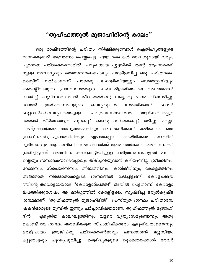### <span id="page-50-0"></span>''തുഹ്ഫത്തുൽ മുജാഹിദിന്റെ കാലം''

ഒരു രാഷ്ട്രത്തിന്റെ ചരിത്രം നിർമ്മിക്കുമ്പോൾ ഐതിഹ്യങ്ങളുടെ മാറാലകളാൽ ആവരണം ചെയ്യപ്പെട്ട പഴയ രേഖകൾ ആവശ്യമായി വരും. പുരാതന ചരിത്രകാരന്മാരിൽ പ്രമുഖനായ പ്ലൂട്ടാർക്ക് തന്റെ ആഹാരത്തി നുള്ള സമ്പാദ്യവും താമസസ്ഥലംപോലും പഴകിദ്രവിച്ച ഒരു ചരിത്രരേഖ നൽകാമെന്ന് ഫോളിബിയസ്സും ക്കെട്ടിന് പറഞ്ഞു. ഡെമാസ്റ്റനിസ്സും ആതന്റീറായുടെ പ്രാന്തദേശത്തുള്ള കരിങ്കൽപ്രതിമയിലെ അക്ഷരങ്ങൾ വായിച്ച് ഹൃദിസ്ഥമാക്കാൻ ജീവിതത്തിന്റെ നല്ലൊരു ഭാഗം ചിലവഴിച്ചു. ശേഖരിക്കാൻ ചെപ്പേടുകൾ റോമൻ ഇതിഹാസങ്ങളുടെ ഫാദർ ഫ്യൂവാർക്കിനെപ്പോലെയുള്ള ചരിത്രാന്വേഷകന്മാർ ആഴികൾക്കപ്പുറ തീർത്ഥയാത്ര പുറപ്പെട്ട് കൊടുങ്കാററിലകപ്പെട്ട് മരിച്ചു. ത്തേക്ക് എല്ലാ രാഷ്ട്രങ്ങൾക്കും അവ്യക്തമെങ്കിലും അവഗണിക്കാൻ കഴിയാത്ത ഒരു പ്രാചീനചരിത്രമുണ്ടായിരിക്കും. എഴുതപ്പെടാത്തതായിരിക്കാം അവയിൽ ഭൂരിഭാഗവും. ആ അലിഖിതസംഭവങ്ങൾക്ക് രൂപം നൽകാൻ പൌരാണികർ ശ്രമിച്ചിട്ടുണ്ട്. അങ്ങിനെ കണ്ടുകിട്ടിയിട്ടുള്ള ചരിത്രഗ്നന്ഥങ്ങളിൽ പലതി ന്റെയും സമ്പാദകന്മാരെപ്പോലും തിരിച്ചറിയുവാൻ കഴിയുന്നില്ല. ഗ്രീക്കിനും, റോമിനും, സ്പെയിനിനും, തീബത്തിനും, കാശ്മീരിനും, കേരളത്തിനും ലഭിച്ചിട്ടുണ്ട്. നിർമ്മാതാക്കളുടെ അജ്ഞാത ഗ്രന്ഥങ്ങൾ കേരളചരിത്ര ത്തിന്റെ തറവാട്ടമ്മയായ ''കേരളോല്പത്തി'' അതിൽ പെട്ടതാണ്. കേരളോ ല്പത്തിക്കുശേഷം ആ മാർഗ്ഗത്തിൽ കോളിളക്കം സൃഷ്ടിച്ച ഒരുൽകൃഷ്ട ഗ്രന്ഥമാണ് ''തുഹ്ഫത്തുൽ മുജാഹിദിൻ''. പ്രസ്തുത ഗ്രന്ഥം ചരിത്രാന്വേ ഷകൻമാരുടെ മുമ്പിൽ ഇന്നും ചർച്ചാവിഷയമാണ്. തുഹ്ഫത്തുൽ മുജാഹി ദിൻ എഴുതിയ കാലഘട്ടത്തിനും വളരെ വ്യത്യാസമുണ്ടെന്നും അതു കൊണ്ട് ആ ഗ്രന്ഥം അറബികളൊ സ്പാനിഷ്കാരോ എഴുതിയതാണെന്നും ഒരഭിപ്രായം ചരിത്രകാരൻമാരും ഈജിപ്തു മ്യൂസിയം ലബനോൺ പുറപ്പെടുവിച്ചു. തെളിവുകളുടെ തൂക്കത്തേക്കാൾ അവർ ക്യൂറോട്ടരും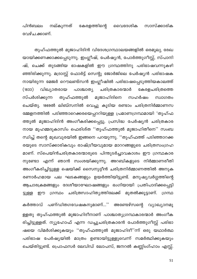പിൻബലം കേരളത്തിന്റെ സാസ്ക്കാരിക നല്കുന്നത് വൈദേശിക വേഴ്ച.ക്കാണ്.

തുഹ്ഫത്തുൽ മുജാഹിദിൻ വിദേശഗ്രന്ഥാലയങ്ങളിൽ ഒരമൂല്യ രേഖ യായിക്കണക്കാക്കപ്പെടുന്നു. ഇംഗ്ലീഷ്, പേർഷ്യൻ, പോർത്തുഗീസ്സ്, സ്പാനി ഷ്, ചെക്ക് തുടങ്ങിയ ഭാഷകളിൽ ഈ ഗ്രന്ഥത്തിനു പരിഭാഷവന്നുകഴി ഞ്ഞിരിക്കുന്നു. മദ്രാസ്സ് ഫോർട്ട് സെന്റു ജോർജിലെ പേർഷ്യൻ പരിഭാഷക നായിരുന്ന മേജർ റൌലണ്ട്സൻ ഇംഗ്ലീഷിൽ പരിഭാഷപ്പെടുത്തിയകാലത്ത് ചരിത്രകാരന്മാർ  $(1833)$ വിഖ്യാതരായ പാശ്ചാത്യ കേരളചരിത്രത്തെ സ്പർശിക്കുന്ന തുഹ്ഫത്തുൽ മുജാഹിദിനെ സഹർഷം സ്വാഗതം ചെയ്തു. 1869ൽ ലിബ്സനിൽ വെച്ചു കൂടിയ രണ്ടാം ചരിത്രനിർമ്മാണസ മ്മേളനത്തിൽ പടിഞ്ഞാറെക്കരയെപ്പററിയുള്ള പ്രമാണഗ്രന്ഥമായി 'തുഹ്ഫ ത്തുൽ മുജാഹിദിൻ അംഗീകരിക്കപ്പെട്ടു. പ്രസിദ്ധ പേർഷ്യൻ ചരിത്രകാര നായ മുഹമ്മദുകാസിം ഫെരിശ്ത ''തുഹ്ഫത്തുൽ മുജാഹിതീനെ'' സംബ ന്ധിച്ച് തന്റെ മുഖവുരയിൽ ഇങ്ങനെ പറയുന്നു. ''തുഹ്ഫത്ത് പടിഞ്ഞാറക്ക രയുടെ സാസ്ക്കാരികവും രാഷ്ട്രീയവുമായ മാററങ്ങളുടെ ചരിത്രസംഗ്രഹ മാണ്. സ്പെയിൻചരിത്രകാരന്മാരുടെ പിന്തുടർച്ചാവകാശം ഈ ഗ്രന്ഥകാര നുണ്ടോ എന്ന് ഞാൻ സംശയിക്കുന്നു. അറബികളുടെ നിർമ്മാണരീതി അംഗീകരിച്ചിട്ടുള്ള ഷെയിക്ക് സൈനുദ്ദീൻ ചരിത്രനിർമ്മാണത്തിൽ അനുക രണാർഹമായ പല ഘടകങ്ങളും ഉയർത്തിയിട്ടുണ്ട്. മനുഷ്യവർഗ്ഗത്തിന്റെ ആചാരക്രമങ്ങളും ദേശീയാഘോഷങ്ങളും ഭംഗിയായി പ്രതിപാദിക്കപ്പെട്ട<mark>ി</mark> ഗ്രന്ഥം ചരിത്രസാഹിതൃത്തിലേക്ക് മുതൽക്കൂട്ടാണ്. ഗ്രന്ഥ ற ട്ടുള്ള

കർത്താവ് പണ്ഡിതഗവേഷകനുമാണ്....'' അണ്ടേഴ്സന്റെ വ്യാഖ്യാനമു ള്ളതു തുഹ്ഫത്തുൽ മുജാഹിദീനാണ് പാശ്ചാത്യഗ്രന്ഥകാരന്മാർ അംഗീക രിച്ചിട്ടുള്ളത്. ന്യൂഹോഫ് എന്ന ഡച്ചുചരിത്രകാരൻ പോർത്തുഗീസ്സ് പരിഭാ ഷയെ വിമർശിക്കുകയും ''തുഹ്ഫത്തുൽ മുജാഹിദീ''ന്ന് ഒരു യഥാർത്ഥ പരിഭാഷ പേർഷ്യയിൽ മാത്രം ഉണ്ടായിട്ടുള്ളുവെന്ന് സമർത്ഥിക്കുകയും ചെയ്തിട്ടുണ്ട്. പ്രൊഫസർ ലേവിഡ് ലോപസ്, ജനറൽ കണ്ണിംഗ്ഹാം എസ്സ്.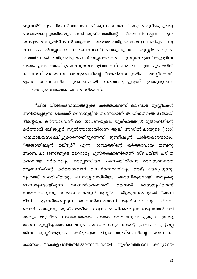ഷുവാർട്ട് തുടങ്ങിയവർ അവർക്കിഷ്ടമുള്ള ഭാഗങ്ങൾ മാത്രം മുറിച്ചെടുത്തു പരിഭാഷപ്പെടുത്തിയതുകൊണ്ട് തുഹ്ഫത്തിന്റെ കർത്താവിനെപ്പററി ആശ യക്കുഴപ്പം സൃഷ്ടിക്കാൻ മാത്രമേ അത്തരം പരിശ്രമങ്ങൾ ഉപകരിച്ചതെന്നു ഡോ: ജമാൽറസ്സാക്കിയ (ലെബനോൺ) പറയുന്നു. ലോകമുസ്ലീം ചരിത്രപ ഠനത്തിന്നായി പരിശ്രമിച്ച ജമാൽ റസ്സാക്കിയ പത്തുനൂറ്റാണ്ടുകൾക്കുള്ളിലു ണ്ടായിട്ടുള്ള അഞ്ച് പ്രമാണഗ്രന്ഥങ്ങളിൽ ഒന്ന് തുഹ്ഫത്തുൽ മുജാഹിദീ നാണെന്ന് പറയുന്നു. അദ്ദേഹത്തിന്റെ ''ദക്ഷിണേന്ത്യയിലെ മുസ്ലീംകൾ'' ലേഖനത്തിൽ പ്രധാനമായി സ്പർശിച്ചിട്ടുള്ളത് പ്രകൃതഗ്രന്ഥ എന്ന ത്തെയും ഗ്രന്ഥകാരനെയും പററിയാണ്.

''ചില വിശിഷ്ടഗ്രന്ഥങ്ങളുടെ കർത്താവെന്ന് മലബാർ മുസ്ലീംകൾ അറിയപ്പെടുന്ന ഷൈക്ക് സൈനുദ്ദീൻ തന്നെയാണ് തുഹ്ഫത്തുൽ മുജാഹി ദീന്റെയും കർത്താവെന്ന് ഒരു ധാരണയുണ്ട്. തുഹ്ഫത്തുൽ മുജാഹിദീന്റെ കർത്താവ് ബീജപ്പൂർ സുൽത്താനായിരുന്ന ആലി അഡിൽഷായുടെ (1560) ഗ്രന്ഥാലയസൂക്ഷിപ്പുകാരനായിരുന്നെന്ന് ടുണീഷ്യൻ ചരിത്രകാരന്മാരും, ''അജായിബുൻ മഖ്ദൂർ'' എന്ന ഗ്രന്ഥത്തിന്റെ കർത്താവായ ഇബ്നു ആരബ്ഷാ (1476)യുടെ മറെറാരു പുസ്തകമാണിതെന്ന് സ്പെയിൻ ചരിത്ര കാരനായ മർഫെയും, അബ്ബാസിയാ പരമ്പരയിൽപെട്ട അവസാനത്ത<mark>െ</mark> ആളാണിതിന്റെ കർത്താവെന്ന് ഷെഫ്റസ്ഥാനിയും അഭിപ്രായപ്പെടുന്നു. മുഹമ്മദ് ഫെരിഷ്തയും ഷംസുല്ലഖാദിരിയും അറബികളുമായി അടുത്തു മലബാർകാരനാണ് ബന്ധമുണ്ടായിരുന്ന സൈനുദ്ദീനെന്ന് ഷൈക്ക് സമർത്ഥിക്കുന്നു. ഇൻഡോനേഷ്യൻ മുസ്ലീം ചരിത്രഗ്രന്ഥങ്ങളിൽ "മാബ രിസ്'' എന്നറിയപ്പെടുന്ന മലബാർകാരനാണ് തുഹ്ഫത്തിന്റെ കർത്താ വെന്ന് പറയുന്നു. തുഹ്ഫത്തിലെ ഉളളടക്കം ചികഞ്ഞുനോക്കുമ്പോൾ ഒരി ക്കലും ആയിരം സംവത്സരത്തെ പഴക്കം അതിനനുവദിച്ചുകൂടാ. ഇന്ത്യ യിലെ മുസ്ലീംപ്രതാപകാലവും അധ:പതനവും നേരിട്ട് പ്രതിപാദിച്ചിട്ടില്ലെ ങ്കിലും മുസ്ലീംകളുടെ തകർച്ചയുടെ ചിത്രം തുഹ്ഫത്തിന്റെ അവസാന<mark>ം</mark> കാണാം.....''കേരളചരിത്രനിർമ്മാണത്തിനായി തുഹ്ഫത്തിലെ കാര്യമായ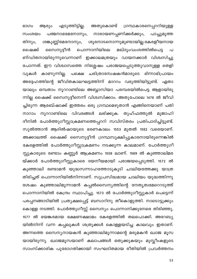എടുത്തിട്ടില്ല. അതുകൊണ്ട് ഗ്രന്ഥകാരനെപ്പററിയുള്ള GO<sub>0</sub>o ആരും പത്മനാഭമേനോനും, നാരായണപ്പണിക്കർക്കും, പാച്ചുമൂത്ത സംശയം ശൂരനാടനൊന്നുമുണ്ടായില്ല.കേരളീയനായ ശങ്കുണ്ണിമേനോനും, തിനും, സൈനുദ്ദീൻ പൊന്നാനിയിലെ ഷൈക്ക് മഖ്ദൂംവംശത്തിൽപെട്ട \_പ ണ്ഡിതനായിരുന്നുവെന്നാണ് ഇക്കാലമത്രയും വായനക്കാർ വിശ്വസിച്ചു പോന്നത്. ഈ വിശ്വാസത്തെ നിശ്ശേഷം പരാജയപ്പെടുത്തുവാനുള്ള തെളി വുകൾ കാണുന്നില്ല. പക്ഷെ ചരിത്രാന്വേഷകൻമാരുടെ ഭിന്നാഭിപ്രായം അദ്ദേഹത്തിന്റെ ജീവിതകാലഘട്ടത്തിന്ന് മാററം വരുത്തിയിട്ടുണ്ട്. ഏതാ യാലും ഒമ്പതാം നൂററാണ്ടിലെ അബ്ബാസിയാ പരമ്പരയിൽപെട്ട ആളായിരു ന്നില്ല ഷൈക്ക് സൈനുദ്ദീനെന്ന് വിശ്വസിക്കാം. അതുപോലെ 1476 ൽ ജീവി ച്ചിരുന്ന ആരബ്ഷാക്ക് ഇത്തരം ഒരു ഗ്രന്ഥമെഴുതാൻ എങ്ങിനെയാണ് പതി നൂററാണ്ടിലെ വിവരങ്ങൾ ലഭിക്കുക. **MOOOO** തുഹ്ഫത്തുൽ മുജാഹി ദീനിൽ പോർത്തുഗീസ്സാക്രമണത്തെപ്പററി സവിസ്തരം പ്രതിപാദിച്ചിട്ടുണ്ട്. സുൽത്താൻ ആദിൽഷായുടെ ഭരണകാലം 1553 മുതൽ 1582 വരെയാണ്. അക്കാലത്ത് ഷൈക്ക് സൈനുദ്ദീൻ ഗ്രന്ഥസൂക്ഷിപ്പുകാരനായിരുന്നെങ്കിൽ കേരളത്തിൽ പോർത്തുഗീസ്സാക്രമണം നടക്കുന്ന കാലമാണ്. പോർത്തുഗീ സ്സുകാരുടെ രണ്ടാം കണ്ണൂർ ആക്രമണം 1558 ലാണ്. 1569 ൽ കുഞ്ഞാലിമര യ്ക്കാർ പോർത്തുഗീസ്സുകാരെ ദയനീയമായി പരാജയപ്പെടുത്തി. 1572 ൽ കുഞ്ഞാലി രണ്ടാമൻ യുദ്ധസന്നാഹത്തോടുകൂടി ചാലിയത്തേക്കു യാത്ര തിരിച്ചത് പൊന്നാനിയിൽനിന്നാണ്. സുപ്രസിദ്ധമായ ചാലിയം യുദ്ധത്തിന്നു ശേഷം കുഞ്ഞാലിമൂന്നാമൻ കപ്പൽസൈന്യത്തിന്റെ നേതൃത്വമേറെറടുത്ത് പൊന്നാനിയിൽ കേന്ദ്രം സ്ഥാപിച്ചു. 1573 ൽ പോർത്തുഗീസ്സുകാർ പെട്ടെന്ന് പരപ്പനങ്ങാടിയിൽ പ്രത്യക്ഷപ്പെട്ട് ബസാറിനു തീകൊളുത്തി. നാടൊട്ടുക്കും കൊള്ള നടത്തി. പോർത്തുഗീസ്സ് സൈന്യം പൊന്നാനിക്കുനേരെ തിരിഞ്ഞു. 1577 ൽ ഭയങ്കരമായ ഭക്ഷണക്ഷാമം കേരളത്തിൽ തലപൊക്കി. അറേബ്യ യിൽനിന്ന് വന്ന കപ്പലുകൾ ശത്രുക്കൾ കൊള്ളയടിച്ച കാലവും ഇതാണ്. അന്നത്തെ സൈന്യനായകൻ കുഞ്ഞാലിമൂന്നാമന്റെ മരുമകൻ ഖ്വാജ മൂസ യായിരുന്നു. ഖ്വാജമൂസയാണ് കലാപങ്ങൾ ഒതുക്കുകയും മുസ്ലീംകളുടെ സാംസ്ക്കാരിക പുരോഗതിക്കായി സംഘടിതമായ രീതിയിൽ പ്രവർത്തനം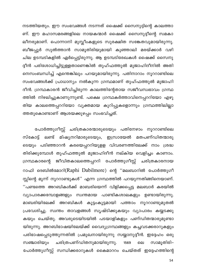നടത്തിയതും. ഈ സംഭവങ്ങൾ നടന്നത് ഷൈക്ക് സൈനുദ്ദിന്റെ കാലത്താ ണ്. ഈ മഹാസമരങ്ങളിലെ നായകന്മാർ ഷൈക്ക് സൈനുദ്ദീന്റെ സമകാ ലീനരുമാണ്. പൊന്നാനി മുസ്ലീംകളുടെ സുരക്ഷിത സങ്കേതവുമായിരുന്നു. ബീജപ്പൂർ സുൽത്താൻ സാമൂതിരിയുമായി കുഞ്ഞാലി മരയ്ക്കാർ വഴി ചില ഉടമ്പടികളിൽ ഏർപ്പെട്ടിരുന്നു. ആ ഉടമ്പടിരേഖകൾ ഷൈക്ക് സൈനു ദ്ദീൻ പരിശോധിച്ചിട്ടുള്ളതാണെങ്കിൽ തുഹ്ഫത്തുൽ മുജാഹിദീനിൽ അതി നെസംബന്ധിച്ച് എന്തെങ്കിലും പറയുമായിരുന്നു. പതിനാറാം നൂററാണ്ടിലെ സംഭവങ്ങൾക്ക് പ്രാധാന്യം നൽകുന്ന ഗ്രന്ഥമാണ് തുഹ്ഫത്തുൽ മുജാഹി ദീൻ. ഗ്രന്ഥകാരൻ ജീവിച്ചിരുന്ന കാലത്തിന്റേതായ സജീവസ്വഭാവം ഗ്രന്ഥ ത്തിൽ നിഴലിച്ചുകാണുന്നുണ്ട്. പക്ഷെ ഗ്രന്ഥകർത്താവിനെപ്പററിയോ എഴു തിയ കാലത്തെപ്പററിയോ വ്യക്തമായ കുറിപ്പുകളൊന്നും ഗ്രന്ഥത്തിലില്ലാ ത്തതുകൊണ്ടാണ് ആശയക്കുഴപ്പം സംഭവിച്ചത്.

പോർത്തുഗീസ്സ് ചരിത്രകാരന്മാരുടെയും പതിനേഴാം നൂററാണ്ടിലെ മിഷ്യനറിമാരുടെയും, ഇസ്രായേൽ മതപണ്ഡിതന്മാരു സ്കോട്ട് ലണ്ട് ടെയും പടിഞ്ഞാറൻ കരയെപ്പററിയുളള വിവരണത്തിലേക്ക് നാം ശ്രദ്ധ തിരിക്കുമ്പോൾ തുഹ്ഫത്തുൽ മുജാഹിദീൻ നല്കിയ വെളിച്ചം കാണാം. ഗ്രന്ഥകാരന്റെ ജീവിതകാലത്തെപ്പററി പോർത്തുഗീസ്സ് ചരിത്രകാരനായ റാഫി ദെബിൽമോറി(Raphi Dabilmore) ന്റെ ''മലബാറിൽ പോർത്തുഗീ സ്സിന്റെ മൂന്ന് നൂററാണ്ടുകൾ'' എന്ന ഗ്രന്ഥത്തിൽ പറയുന്നതിങ്ങിനെയാണ്. ''പണ്ടത്തെ അറബികൾക്ക് മാബരിയെന്ന് വിളിക്കപ്പെട്ട മലബാർ കരയിൽ വ്യാപാരക്കമ്പോളങ്ങളും സ്വന്തമായ പാണ്ടികശാലകളും ഉണ്ടായിരുന്നു. മാബരിയിലേക്ക് അറബികൾ കൂട്ടംകൂട്ടമായി പത്താം നൂററാണ്ടുമുതൽ പ്രവേശിച്ചു. സ്വന്തം താവളങ്ങൾ സൃഷ്ടിക്കുകയും വ്യാപാരം കയ്യടക്കു കയും ചെയ്തു. അവരുടെയിടയിൽ പടയാളികളും പണ്ഡിതന്മാരുമുണ്ടാ യിരുന്നു. അറബിഭാഷയിലേയ്ക്ക് വൈദ്യഗ്രന്ഥങ്ങളും കച്ചവടക്കരാറുകളും പരിഭാഷപ്പെടുത്തുന്നതിൽ പ്രമുഖനായിരുന്നു സയ്യാനുദ്ദീൻ. ഇദ്ദേഹം ഒരു ചരിത്രപണ്ഡിതനുമായിരുന്നു. സഞ്ചാരിയും 1569 ലെ സാമൂതിരി– പോർത്തുഗീസ്സ് സന്ധിക്കരാറുകൾ കൈമാററം ചെയ്തത് ഇദ്ദേഹത്തിന്റെ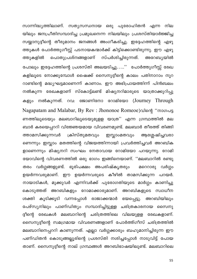സാന്നിദ്ധ്യത്തിലാണ്. സത്യസന്ധനായ ഒരു പുരോഹിതൻ എന്ന നില യിലും ജനപ്രീതിസമ്പാദിച്ച പ്രമുഖനെന്ന നിലയിലും പ്രശസ്തിയാർജ്ജിച്ച സയ്യാനുദ്ദീന്റെ തീരുമാനം ജനങ്ങൾ അംഗീകരിച്ചു. ഇദ്ദേഹത്തിന്റെ എഴു ത്തുകൾ പോർത്തുഗീസ്സ് പടനായകന്മാർക്ക് കിട്ടിക്കൊണ്ടിരുന്നു. ഈ എഴു ത്തുകളിൽ പൊതുപ്രശ്നങ്ങളാണ് സ്പർശിച്ചിരുന്നത്. അറേബ്യയിൽ പോലും ഇദ്ദേഹത്തിന്റെ പ്രശസ്തി അലയടിച്ചു $\,\ldots\!$ ് പോർത്തുഗീസ്സ് രേഖ കളിലൂടെ നോക്കുമ്പോൾ ഷൈക്ക് സൈനുദ്ദീന്റെ കാലം പതിനാറാം നൂറ റാണ്ടിന്റെ മദ്ധ്യഘട്ടമാണെന്ന് കാണാം. ഈ അഭിപ്രായത്തിന്ന് പിൻബലം നൽകുന്ന രേഖകളാണ് സ്കോട്ട്ലണ്ട് മിഷ്യനറിമാരുടെ യാത്രാക്കുറിപ്പു കളും നൽകുന്നത്. റവ: ജോണിനോ റോമിയോ (Journey Through Nagapatam and Malabar, By Rev: Jhononoe Romeoe)വിന്റെ "നാഗപട്ട ണത്തിലൂടെയും മലബാറിലൂടെയുമുളള യാത്ര'' എന്ന ഗ്രന്ഥത്തിൽ മല ബാർ കരയെപ്പററി വിജ്ഞേയമായ വിവരണമുണ്ട്. മലബാർ തീരത്ത് തിങ്ങി ക്രിസ്തുമതവും ആശ്ലേഷിച്ചവരാ ത്താമസിക്കുന്നവർ ഇസ്ലാംമതവും ണെന്നും ഇസ്ലാം മതത്തിന്റെ വിജയത്തിന്നായി പ്രവർത്തിച്ചവർ അറബിക ളാണെന്നും മിഷ്യനറി സംഘം നേതാവായ റോമിയോ പറയുന്നു. റോമി യോവിന്റെ വിവരണത്തിൽ ഒരു ഭാഗം ഇങ്ങിനെയാണ്. ''മലബാറിൽ രണ്ടു തരം വർഗ്ഗങ്ങളുണ്ട്. ഭൂരിപക്ഷം അപരിഷ്കൃതരും മറെറാരു വർഗ്ഗം ഉയർന്നവരുമാണ്. ഈ ഉയർന്നവരുടെ കീഴിൽ താമസിക്കുന്ന പറയർ. നായാടികൾ, മുക്കുവർ എന്നിവർക്ക് പുരോഗതിയുടെ മാർഗ്ഗം കാണിച്ചു കൊടുത്തത് അറബികളും റോമാക്കാരുമാണ്. അറബികളുടെ സ്വാധീന ശക്തി കൂടിക്കൂടി വന്നപ്പോൾ രാജാക്കന്മാർ ഭയപ്പെട്ടു. അറബിയിലും പേഴ്സ്യനിലും പാണ്ഡിത്യം സമ്പാദിച്ചിട്ടുള്ള ചരിത്രകാരനായ സൈനു ദ്ദീന്റെ രേഖകൾ മലബാറിന്റെ ചരിത്രത്തിലെ വിലയുളള രേഖകളാണ്. സൈനുദ്ദീന്റെ സമഗ്രമായ വിവരണങ്ങളാണ് പോർത്ത്ഗീസ് ചരിത്രത്തിൽ മലബാറിനെപ്പററി കാണുന്നത്. എല്ലാ വർഗ്ഗക്കാരും ബഹുമാനിച്ചിരുന്ന ഈ പണ്ഡിതൻ കൊടുങ്ങല്ലൂരിന്റെ പ്രശസ്തി നശിച്ചപ്പോൾ നാടുവിട്ട് പോയ താണ്. സൈനുദ്ദീന്റെ നാല് ഗ്രന്ഥങ്ങൾ അറബിഭാഷയിലുണ്ട്. മലബാറിലെ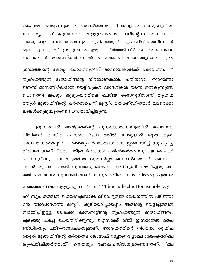ആചാരം. പെരുമാളുടെ മതപരിവർത്തനം, വിവാഹക്രമം, സാമൂഹൃനീതി ഇവയെല്ലാമാണ്ആ ഗ്രന്ഥത്തിലെ ഉളളടക്കം. മലബാറിന്റെ സ്ഥിതിവിവരക്ക സ്ഥലനാമങ്ങളും തുഹ്ഫത്തുൽ മുജാഹിദീനിൽനിന്നാണ് ണക്കുകളും എനിക്കു കിട്ടിയത്. ഈ ഗ്രന്ഥം എഴുതിത്തീർത്തത് ദീർഘകാലം കൊണ്ടാ ണ്. 1617 ൽ പോർത്ത്ഗൽ സന്ദർശിച്ച മലബാറിലെ ദൌതൃസംഘം ഈ

ഗ്രന്ഥത്തിന്റെ കോപ്പി പോർത്തുഗീസ് ഭരണാധികാരിക്ക് കൊടുത്തു.......'' തുഹ്ഫത്തുൽ മുജാഹിദീന്റെ നിർമ്മാണകാലം പതിനാറാം നൂററാണ്ടാ ണെന്ന് അസന്നിഗ്ദ്ധമായ തെളിവുകൾ വിദേശികൾ തന്നെ നൽകുന്നുണ്ട്. പൊന്നാനി മഖ്ദൂം കുടുംബത്തിലെ ചെറിയ സൈനുദ്ദീനാണ് തുഹ്ഫ ത്തുൽ മുജാഹിദീന്റെ കർത്താവെന്ന് മുസ്ലീം മതപണ്ഡിതന്മാർ വളരെക്കാ ലങ്ങൾക്കുമുമ്പുതന്നെ പ്രസ്താവിച്ചിട്ടുണ്ട്.

രാഷ്ട്രത്തിന്റെ പുനരുദ്ധാരണവേളയിൽ ഇസ്രായേൽ മഹാനായ ഇന്ത്യയിൽ ജൂതന്മാരുടെ പ്രസംഗ (1951) ത്തിൽ വിസ്മാൻ ചെയ്ത അധ:പതനത്തെപ്പററി പറഞ്ഞപ്പോൾ കേരളക്കരയെസ്സംബന്ധിച്ച് സൂചിപ്പിച്ച തിങ്ങനെയാണ്. ''ഒരു ചരിത്രചിന്തകനും പരിഷ്ക്കർത്താവുമായ ഷൈക്ക് സൈനുദ്ദീന്റെ കാലഘട്ടത്തിൽ ജൂതവർഗ്ഗം മലബാർകരയിൽ അധ:പതി ക്കാൻ തുടങ്ങി. പത്ത് നൂററാണ്ടുകാലത്തെ അഭിവൃദ്ധി ക്ഷയിച്ചുതുടങ്ങി യത് പതിനാറാം നൂററാണ്ടിലാണ്. ഇന്നും പടിഞ്ഞാറൻ തീരത്തു ജൂതസം

സ്ക്കാരം നിലകൊള്ളുന്നുണ്ട്...."1904ൽ "Fine Judische Hochschole"എന്ന ഹീബ്രൂപത്രത്തിൽ ഹെയിഐസാക്ക് ലീവെഴുതിയ ലേഖനത്തിൽ പടിഞ്ഞാ റൻ തീരപ്രദേശത്ത് മുസ്ലീം കുടിയേറിപ്പാർപ്പും അതിന്റെ വെളിച്ചത്തിൽ നിർമ്മിച്ചിട്ടുള്ള ഷൈക്കു സൈനുദ്ദീന്റെ തുഹ്ഫത്തുൽ മുജാഹിദീനും എടുത്തു ചർച്ച ചെയ്തിരിക്കുന്നു. ഐസാക്ക് ലീവ് ഇസ്രായേൽ മതപ ണ്ഡിതനും ചരിത്രാന്വേഷകനുമാണ്. അദ്ദേഹത്തിന്റെ നിഗമനം തുഹ്ഫ ത്തുൽ മുജാഹിദീന്റെ കർത്താവ് ജോസഫ് റബ്ബാനെപ്പോലെ (കേരളത്തിലെ ജൂതപരിഷ്ക്കർത്താവ്) ഉന്നതനും ലോകപ്രസിദ്ധനുമാണെന്നാണ്. ് മല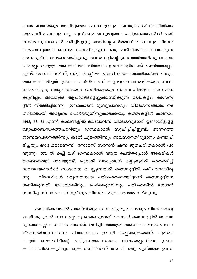ബാർ കരയേയും അവിടുത്തെ ജനങ്ങളേയും അവരുടെ ജീവിതരീതിയെ യുംപററി ഏററവും നല്ല പുസ്തകം ഒന്നുമാത്രമേ ചരിത്രകാരന്മാർക്ക് പതി നേഴാം നൂററാണ്ടിൽ ലഭിച്ചിട്ടുള്ളു. അതിന്റെ കർത്താവ് മലബാറും വിദേശ രാജ്യങ്ങളുമായി ബന്ധം സ്ഥാപിച്ചിട്ടുള്ള ഒരു പരിഷ്ക്കർത്താവായിരുന്ന സൈനുദ്ദീൻ രണ്ടാമനായിരുന്നു. സൈനുദ്ദീന്റെ ഗ്രന്ഥത്തിൽനിന്നു മലബാ റിനെപ്പററിയുള്ള രേഖകൾ മുന്നൂറിൽപരം ഗ്രന്ഥങ്ങളിലേക്ക് പകർത്തപ്പെട്ടി ട്ടുണ്ട്. പോർത്തുഗീസ്, ഡച്ച്, ഇംഗ്ലീഷ്, എന്നീ വിദേശശക്തികൾക്ക് ചരിത്ര രേഖകൾ ലഭിച്ചത് ഗ്രന്ഥത്തിൽനിന്നാണ്. ഒരു ഭൂവിവരണപട്ടികയും, സ്ഥല നാമചാർട്ടും, വർഗ്ഗങ്ങളെയും ജാതികളെയും സംബന്ധിക്കുന്ന അനുമാന ക്കുറിപ്പും അവരുടെ ആചാരങ്ങളെസ്സംബന്ധിക്കുന്ന രേഖകളും സൈനു ദ്ദീൻ നിർമ്മിച്ചിരുന്നു. ഗ്രന്ഥകാരൻ മൂന്നുപ്രാവശ്യം വിദേശസഞ്ചാരം നട ത്തിയതായി അദ്ദേഹം പോർത്തുഗീസ്സുകാർക്കയച്ച കത്തുകളിൽ കാണാം. 1563, 73, 81 എന്നീ കാലങ്ങളിൽ മലബാറിന്ന് വിദേശവുമായി ഉണ്ടായിട്ടുളള വ്യാപാരബന്ധത്തെപ്പററിയും ഗ്രന്ഥകാരൻ സൂചിപ്പിച്ചിട്ടുണ്ട്. അന്നത്തെ നാണയപ്രശ്നത്തിന്നും കടൽ ചുങ്കത്തിന്നും അവസാനതീരുമാനം കണ്ടുപി ടിച്ചതും ഇദ്ദേഹമാണെന്ന് സോമസ് സാസൻ എന്ന ജൂതചരിത്രകാരൻ പറ യുന്നു. 1572 ൽ കച്ച് വഴി ഗ്രന്ഥകാരൻ യാത്ര ചെയ്തപ്പോൾ അക്രമികൾ തടഞ്ഞതായി രേഖയുണ്ട്. ഖുറാൻ വാകൃങ്ങൾ കല്ലൂകളിൽ കൊത്തിച്ച് ദേവാലയങ്ങൾക്ക് സംഭാവന ചെയ്യുന്നതിൽ സൈനുദ്ദീൻ തല്പരനായിരു വിദേശികൾ ഒരുന്നതനായ ചരിത്രകാരനായിട്ടാണ് സൈനുദ്ദീനെ **ന്നു.** ഗണിക്കുന്നത്. യാക്കൂത്തിനും, ഖൽത്തൂണിന്നും ചരിത്രത്തിൽ നേടാൻ സാധിച്ച സ്ഥാനം സൈനുദ്ദീനും വിദേശചരിത്രകാരന്മാർ നല്കുന്നു.

അറബിഭാഷയിൽ പാണ്ഡിത്യം സമ്പാദിച്ചതു കൊണ്ടും വിദേശങ്ങളു മായി കൂടുതൽ ബന്ധപ്പെട്ടതു കൊണ്ടുമാണ് ഷൈക്ക് സൈനുദ്ദീൻ മലബാ റുകാരനല്ലെന്ന ധാരണ പരന്നത്. ലഭിച്ചിടത്തോളം രേഖകൾ അദ്ദേഹം കേര ളീയനായിരുന്നുവെന്ന വിശ്വാസത്തെ ഊന്നി ഉറപ്പിക്കുകയാണ്. തുഹ്ഫ മുജാഹിദീന്റെ ചരിത്രസംബന്ധമായ വിലയെപ്പററിയും ത്തുൽ ഗ്രന്ഥ കർത്താവിനെക്കുറിച്ചും മുക്ക്ഡനിൽനിന്ന് 1873 ൽ ഒരു പുസ്തകം പ്രസി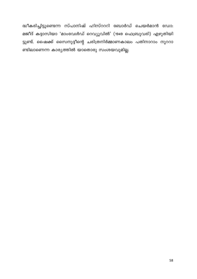ദ്ധീകരിച്ചിട്ടുണ്ടെന്ന സ്പാനിഷ് ഹിസ്റററി ബോർഡ് ചെയർമാൻ ഡോ: മജീദ് കദ്ദാസിയാ 'മാംവേൾഡ് റെവ്യൂവിൽ' (1949 ഫെബ്രുവരി) എഴുതിയി ട്ടുണ്ട്. ഷൈക്ക് സൈനുദ്ദീന്റെ ചരിത്രനിർമ്മാണകാലം പതിനാറാം നൂററാ ണ്ടിലാണെന്ന കാര്യത്തിൽ യാതൊരു സംശയവുമില്ല.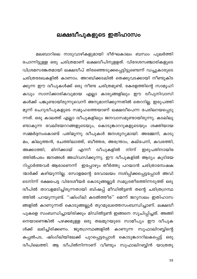#### ലക്ഷദ്വീപുകളുടെ ഇതിഹാസം

<span id="page-59-0"></span>മലബാറിലെ നാടുവാഴികളുമായി ദീർഘകാലം ബന്ധം പുലർത്തി പോന്നിട്ടുള്ള ഒരു ചരിത്രമാണ് ലക്ഷദ്വീപിനുളളത്. വിദേശസഞ്ചാരികളുടെ വിശ്രമസങ്കേതമായി ലക്ഷദ്വീപ് തിരഞ്ഞെടുക്കപ്പെട്ടിട്ടുണ്ടെന്ന് ഡച്ചുകാരുടെ ചരിത്രരേഖകളിൽ കാണാം. അറബിക്കടലിൽ തെക്കുവടക്കായി നീണ്ടുകിട ക്കുന്ന ഈ ദ്വീപുകൾക്ക് ഒരു നീണ്ട ചരിത്രമുണ്ട്. കേരളത്തിന്റെ സാമൂഹി കവും സാസ്ക്കാരികവുമായ എല്ലാ കാര്യങ്ങളിലും ഈ ദ്വീപുനിവാസി കൾക്ക് പങ്കുണ്ടായിരുന്നുവെന്ന് അനുമാനിക്കുന്നതിൽ തെററില്ല. ഇരുപത്തി മൂന്ന് ചെറുദ്വീപുകളുടെ സമൂഹത്തെയാണ് ലക്ഷദ്വീപെന്ന പേരിലറയപ്പെടു ന്നത്. ഒരു കാലത്ത് എല്ലാ ദ്വീപുകളിലും ജനവാസമുണ്ടായിരുന്നു. കടലിലു ണ്ടാകുന്ന വേലിയേററങ്ങളുടെയും, കൊടുങ്കാററുകളുടെയും ശക്തിയായ സമ്മർദ്ദനംകൊണ്ട് പതിമൂന്നു ദ്വീപുകൾ ജനശൂന്യമായി. അമ്മേനി, കാടു മം, കിലുത്തൻ, ചേത്തിലാത്ത്, ബീത്തര, അന്ത്രോം, കല്പേനി, കവരത്തി, എന്നീ അക്കാത്തി, മിനിക്കായ് ദ്വീപുകളിൽ ഇരുപതിനായിര നിന്ന് ത്തിൽപരം ജനങ്ങൾ അധിവസിക്കുന്നു. ഈ ദ്വീപുകളിൽ ആദ്യം കുടിയേ റിപ്പാർത്തവർ ആരാണെന്ന് ഇപ്പോഴും തീർത്തു പറയാൻ ചരിത്രാന്വേഷക ന്മാർക്ക് കഴിയുന്നില്ല. സോളമന്റെ ദേവാലയം നശിപ്പിക്കപ്പെട്ടപ്പോൾ അവി ടെനിന്ന് രക്ഷപെട്ട വിദേശീയർ കൊടുങ്ങല്ലൂർ സമുദ്രതീരത്തിന്നടുത്ത് ഒരു ദ്വീപിൽ താവളമടിച്ചിരുന്നതായി ബിഷപ്പ് മീഡിൽട്ടൺ തന്റെ ചരിത്രഗ്രന്ഥ ത്തിൽ പറയുന്നുണ്ട്. ''ഷിംഗ്ലി കടൽത്തീര'' മെന്ന് ജറുസലം ഇതിഹാസ ങ്ങളിൽ കാണുന്നത് കൊടുങ്ങല്ലൂർ തുറമുഖത്തെസംബന്ധിച്ചാണ്. ലക്ഷദ്വീ പുകളെ സംബന്ധിച്ചായിരിക്കും മിഡിൽട്ടൺ ഇങ്ങനെ സൂചിപ്പിച്ചത്. അങ്ങി നെയാണെങ്കിൽ പഴക്കമുള്ള ഒരു തലമുറയുടെ സാമീപ്യം ഈ ദ്വീപുക ലഭിച്ചിരിക്കണം. ജൂതഗ്രന്ഥങ്ങളിൽ കാണുന്ന സൂഫാലിറബ്ബിന്റെ ൾക്ക് കപ്പൽപട, ഷിംഗ്ലിയിലേക്ക് പുറപ്പെട്ടപ്പോൾ കൊടുങ്കാററിലകപ്പെട്ട് ഒരു ദ്വീപിലെത്തി. ആ ദ്വീപിൽനിന്നാണ് വീണ്ടും സുഫാലിറബ്ബിൻ യാത്രതു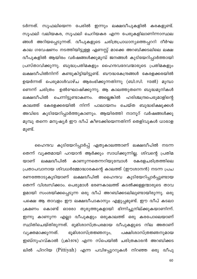ടർന്നത്. സൂഫലിയെന്ന പേരിൽ ഇന്നും ലക്ഷദ്വീപുകളിൽ കരകളുണ്ട്. സൂഫലി വലിയകര, സൂഫലി ചെറിയകര എന്ന പേരുകളിലാണിന്നാസ്ഥല ങ്ങൾ അറിയപ്പെടുന്നത്. ദ്വീപുകളുടെ ചരിത്രപ്രാധാന്യത്തെപ്പററി ദീർഘ കാല ഗവേഷണം നടത്തിയിട്ടുള്ള ഏണസ്റ്റ് മാക്കെ അറബിക്കടലിലെ ലക്ഷ ദ്വീപുകളിൽ ആയിരം വർഷങ്ങൾക്കുമുമ്പ് ജനങ്ങൾ കുടിയേറിപ്പാർത്തായി പ്രസ്താവിക്കുന്നു. ബുദ്ധപ്രതിമകളും ഹൈന്ദവദേവന്മാരുടെ പ്രതിമകളും ലക്ഷദ്വീപിൽനിന്ന് കണ്ടുകിട്ടിയിട്ടുണ്ട്. ബൗദ്ധകേന്ദ്രങ്ങൾ കേരളക്കരയിൽ ഉയർന്നത് പെരുമാൾവാഴ്ച ആരംഭിക്കുന്നതിന്നു (ബി.സി. 113ൽ) മുമ്പാ ഉൽഘോഷിക്കുന്നു. ആ കാലത്തുതന്നെ ബുദ്ധമുനികൾ ണെന്ന് ചരിത്രം ചെന്നിട്ടുണ്ടാകണം. അല്ലെങ്കിൽ ഹരിശ്ചന്ദ്രപെരുമാളിന്റെ ലക്ഷദ്വീപിൽ കാലത്ത് കേരളക്കരയിൽ നിന്ന് പാലായനം ചെയ്ത ബുദ്ധഭിക്ഷുക്കൾ അവിടെ കുടിയേറിപ്പാർത്തുകാണും. ആയിരത്തി നാനൂറ് വർഷങ്ങൾക്കു മുമ്പു തന്നെ മനുഷ്യർ ഈ ദ്വീപ് കീഴടക്കിയെന്നതിന്ന് തെളിവുകൾ ധാരാള മുണ്ട്.

ഹൈന്ദവ കുടിയേറിപ്പാർപ്പ് ഏതുകാലത്താണ് ലക്ഷദ്വീപിൽ നടന്ന തെന്ന് വ്യക്തമായി പറയാൻ ആർക്കും സാധിക്കുന്നില്ല. ശിവന്റെ പ്രതിമ ലക്ഷദ്വീപിൽ കേരളചരിത്രത്തിലെ യാണ് കാണുന്നതെന്നറിയുമ്പോൾ പ്രതാപവാനായ ശിവധർമ്മോദ്ധാരകന്റെ കാലത്ത് (ഈശാനൻ) നടന്ന പ്രച രണത്തോടുകൂടിയാണ് ലക്ഷദ്വീപിൽ ഹൈന്ദവ കുടിയേറിപ്പാർപ്പുണ്ടായ തെന്ന് വിശ്വസിക്കാം. പെരുമാൾ ഭരണകാലത്ത് കടൽക്കള്ളന്മാരുടെ താവ ളമായി സംശയിക്കപ്പെടുന്ന ഒരു ദ്വീപ് അറബിക്കടലിലുണ്ടായിരുന്നു. ഒരു പക്ഷെ ആ താവളം ഈ ലക്ഷദ്വീപാകാനും എളുപ്പമുണ്ട്. ഈ ദ്വീപ് കടലാ ക്രമണം കൊണ്ട് ഓരോ തുരുത്തുകളായി ഭിന്നിച്ചുനില്ക്കുകയാണിന്ന്. ഇന്നു കാണുന്ന എല്ലാ ദ്വീപുകളും ഒരുകാലത്ത് ഒരു കരപോലെയാണ് സ്ഥിതിചെയ്തിരുന്നത്. ഭൂമിശാസ്ത്രപരമായ ദ്വീപുകളുടെ നില അതാണ് ഭൂമിശാസ്ത്രജ്ഞനും, വൃക്തമാക്കുന്നത്. പക്ഷിശാസ്ത്രജ്ഞനുമായ ഇബ്നുഹവ്കാൽ (ക്രി:976) എന്ന സ്പെയിൽ ചരിത്രകാരൻ അറബിക്കട ലിൽ പിററിയ (Pittiyah) എന്ന പവിഴപ്പുററുകൾ നിറഞ്ഞ ഒരു ദ്വീപു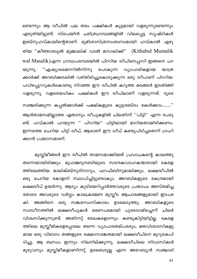ണ്ടെന്നും ആ ദ്വീപിൽ പല തരം പക്ഷികൾ കൂട്ടമായി വളരുന്നുണ്ടെന്നും എഴുതിയിട്ടുണ്ട്. സ്പെയിൻ ചരിത്രഗ്രന്ഥങ്ങളിൽ വിലപ്പെട്ട സൃഷ്ടികൾ ഇബ്നുഹവ്കാലിന്റെതാണ്. ഭൂമിശാസ്ത്രസംബന്ധമായി ഹവ്കാൽ എഴു തിയ "കീത്താബുൽ മുമ്മാലിക് വാൽ മസാലിക്ക്" (Kithabul Mumalik wal Masalik)എന്ന ഗ്രന്ഥപരമ്പരയിൽ പിററിയ ദ്വീപിനെപ്പററി ഇങ്ങനെ പറ ് ഏഷ്യാമൈനറിൽനിന്നു യുന്നു. പോകുന്ന വ്യാപാരികളായ യാത്ര ക്കാർക്ക് അറബിക്കടലിൽ വഴിതിരിച്ചുകൊടുക്കുന്ന ഒരു ദ്വീപാണ് പിററിയ. പവിഴപ്പുററുകൾകൊണ്ടു നിറഞ്ഞ ഈ ദ്വീപിൽ കറുത്ത മരങ്ങൾ ഇടതിങ്ങി വളരുന്നു. വളരെയധികം പക്ഷികൾ ഈ ദ്വീപിലാണ് വളരുന്നത്. ദുരെ സഞ്ചരിക്കുന്ന കപ്പൽക്കാർക്ക് പക്ഷികളുടെ കൂട്ടശബ്ദം കേൾക്കാം.........''

ആൾതാമസമില്ലാത്ത ഏതാനും ദ്വീപുകളിൽ ചിലതിന്ന് ''പിട്ടി'' എന്ന പേരു ണ്ട്. ഹവ്കാൽ പറയുന്ന '' പിററിയ'' പിട്ടിയായി മാറിയതായിരിക്കണം. ഇന്നത്തെ ചെറിയ പിട്ടി ദ്വീപ്, ആരാണ് ഈ ദ്വീപ് കണ്ടുപിടിച്ചതെന്ന് ഗ്രഹി ക്കാൻ പ്രയാസമാണ്.

മുസ്ലിമീങ്ങൾ ഈ ദ്വീപിൽ താമസമാക്കിയത് പ്രവാചകന്റെ കാലത്തു തന്നെയായിരിക്കും. മുഹമ്മദുനബിയുടെ സന്ദേകവാഹകന്മാരായി കേരള ത്തിലെത്തിയ മാലിക്ബ്നുദിനാറും, ഫറഫ്ബിനുമാലിക്കും, ലക്ഷദ്വീപിൽ ഒരു ചെറിയ കോളനി സ്ഥാപിച്ചിട്ടുണ്ടാകും. അറബികളുടെ കേന്ദ്രമായി ലക്ഷദ്വീപ് ഉയർന്നു. ആദ്യം കുടിയേറിപ്പാർത്തവരുടെ പ്രതാപം അസ്തമിച്ച തോടെ അവരുടെ വർഗ്ഗം കാലക്രമേണ മുസ്ലീം ആചാരങ്ങളുമായി ഇടപഴ സങ്കരസംസ്ക്കാരം ഉടലെടുത്തു. കി. അങ്ങിനെ ഒരു അറബികളുടെ സ്വാധീനത്തിൽ ലക്ഷദ്വീപുകൾ ഭരണപരമായി പുരോഗമിച്ചെന്ന് ചിലർ വിശ്വസിക്കുന്നുണ്ട്. അതിന്നു് രേഖകളൊന്നും കണ്ടുകിട്ടിയിട്ടില്ല. കേരള ത്തിലെ മുസ്ലീമികളെപ്പോലെ തന്നെ വ്യാപാരതല്പരരും, മതവിശ്വാസികളു മായ ഒരു വിഭാഗം തങ്ങളുടെ രക്ഷാസങ്കേതമായി ലക്ഷദ്വീപിനെ മുറുകെപി ടിച്ചു. ആ ബന്ധം ഇന്നും നിലനില്ക്കുന്നു. ലക്ഷദ്വീപിലെ നിവാസികൾ മുഴുവനും മുസ്ലിമീകളാണിന്നു്. ഉബൈദുല്ല എന്ന അറേബ്യൻ സഞ്ചാരി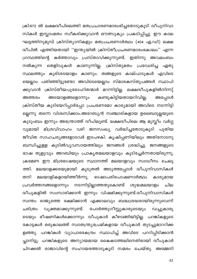ക്രി:672 ൽ ലക്ഷദ്വീപിലെത്തി മതപ്രചാരണമാരംഭിച്ചതോടുകൂടി ദ്വീപുനിവാ സികൾ ഇസ്ലാംമതം സ്വീകരിക്കുവാൻ ഔത്സുക്യം പ്രകടിപ്പിച്ചു. ഈ കാല ഘട്ടത്തിനുമുമ്പ് ക്രിസ്ത്യാനികളും മതപ്രചരണാർത്ഥം (404 ഏ.ഡി) ലക്ഷ ദ്വീപിൽ എത്തിയതായി ''ഇന്ത്യയിൽ ക്രിസ്തീപ്രചരണമാരംഭകാലം'' എന്ന ഗ്രന്ഥത്തിന്റെ കർത്താവും പ്രസ്താവിക്കുന്നുണ്ട്. ഇതിന്നു അവലംബം തെളിവുകൾ കാണുന്നില്ല. ക്രിസ്തുമതം പ്രവേശിച്ച ഏതു നൽകുന്ന സ്ഥലത്തും കുരിശടയാളം കാണും. തങ്ങളുടെ കാല്പാടുകൾ എവിടെ യെല്ലാം പതിഞ്ഞിട്ടുണ്ടോ അവിടെയെല്ലാം സ്മാരകസ്തൂപങ്ങൾ സ്ഥാപി ക്കുവാൻ ക്രിസ്തീയപുരോഹിതന്മാർ മറന്നിട്ടില്ല. ലക്ഷദ്വീപുകളിൽനിന്നു് കണ്ടുകിട്ടിയതായറിവില്ല. അടയാളങ്ങളൊന്നും അത്തരം അപ്പോൾ ക്രിസ്തീയ കുടിയേറിപ്പാർപ്പോ പ്രചരണമോ കാര്യമായി അവിടെ നടന്നിട്ടി ല്ലെന്നു തന്നെ വിശ്വസിക്കാം.അറേബ്യൻ സഞ്ചാരികളായ ഉബൈദുല്ലയുടെ കുടുംബം ഇന്നും അന്ത്രോത്ത് ദ്വീപിലുണ്ട്. ലക്ഷദ്വീപിലെ ആ മുസ്ല<mark>ീ</mark>ം വർഗ്ഗ വുമായി മിശ്രവിവാഹം വഴി ജനസംഖ്യ വർദ്ധിച്ചതോടുകൂടി പുതിയ ജീവിത സാഹചര്യങ്ങളോടവർ ഇടപഴകി. കൃഷിപ്പണിയിലും അതിനോടനു ബന്ധിച്ചുള്ള കുടിൽവ്യവസായത്തിലും ജനങ്ങൾ ശ്രദ്ധിച്ചു. ജനങ്ങളുടെ ഭാഷ തുളുവും അറബിയും പ്രാകൃതമലയാളവും കൂടിച്ചേർന്നതായിരുന്നു. ക്രമേണ ഈ മിശ്രഭാഷയുടെ സ്ഥാനത്ത് മലയാളവും സ്വാധീനം ചെലു ത്തി. മലയാളക്കരയുമായി കൂടുതൽ അടുത്തപ്പോൾ ദ്വീപുനിവാസികൾ മലയാളികളായിത്തീർന്നു. ഭാഷാപരിപോഷണാർത്ഥം കാര്യമായ തനി പ്രവർത്തനങ്ങളൊന്നും നടന്നിട്ടില്ലാത്തതുകൊണ്ട് ശുദ്ധമലയാളം ചില ദ്വീപുകളിൽ സംസാരിക്കാൻ ഇന്നും വിഷമിക്കുന്നുണ്ട്.ദ്വീപുനിവാസികൾ സ്വന്തം രാജ്യത്തെ രക്ഷിക്കാൻ എക്കാലവും ബദ്ധശ്രദ്ധരായിരുന്നുവെന്ന് പോർത്തുഗീസ്സുകാരുടെയും വൃക്തമാക്കുന്നുണ്ട്. ചരിത്രം ഡച്ചുകാരു ടെയും ഭീഷണികൾക്കൊന്നും ദ്വീപുകാർ കീഴടങ്ങിയിട്ടില്ല. പറങ്കികളുടെ കോട്ടകൾ ഒരുകാലത്ത് സ്വാതന്ത്ര്യപ്രേമികളായ ദ്വീപുകാർ തുടച്ചുമാററിക്ക ളഞ്ഞു. പറങ്കികൾ വ്യാപാരകേന്ദ്രം സ്ഥാപിച്ച് അവിടെ പററിപ്പിടിക്കാൻ പ്ലാനിട്ടു. പറങ്കികളുടെ അന്യായമായ കൈകടത്തലിനെതിരായി ദ്വീപുകാർ ചിറക്കൽ രാജാവിന്റെ സഹായത്തോടുകൂടി സമരം ചെയ്തു. അമ്മേനി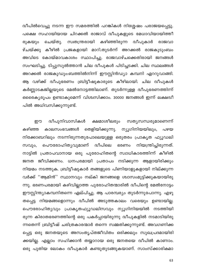ദ്വീപിൽവെച്ചു നടന്ന ഈ സമരത്തിൽ പറങ്കികൾ നിശ്ശേഷം പരാജയപ്പെട്ടു. പക്ഷെ സഹായിയായ ചിറക്കൽ രാജാവ് ദ്വീപുകളുടെ മേധാവിയായിത്തീ സ്വതന്ത്രരായി കഴിഞ്ഞിരുന്ന ദ്വീപുകാർ ചെയ്തു. രുകയും രാജവാ കീഴിൽ പ്രജകളായി മാറി.തുടർന്ന് അറക്കൽ രാജകുടുംബം ഴ്ചയ്ക്കു അവിടെ കോയ്മാവകാശം സ്ഥാപിച്ചു. രാജവാഴ്ചക്കെതിരായി ജനങ്ങൾ സംഘടിച്ചു. ടിപ്പുസുൽത്താൻ ചില ദ്വീപുകൾ പിടിച്ചടക്കി. ചില സ്ഥലങ്ങൾ അറക്കൽ രാജകുഡും:ബത്തിൽനിന്ന് ഈസ്റ്റിൻഡ്യാ കമ്പനി ഏററുവാങ്ങി. ആ വഴിക്ക് ദ്വീപുഭരണം ബ്രിട്ടീഷുകാരുടെ കീഴിലായി. ചില ദ്വീപുകൾ കർണ്ണാടകജില്ലയുടെ മേൽനോട്ടത്തിലാണ്. തുടർന്നുള്ള ദ്വീപുഭരണത്തിന്ന് ഒരൈക്യരൂപം ഉണ്ടാകുമെന്ന് വിശ്വസിക്കാം. 30000 ജനങ്ങൾ ഇന്ന് ലക്ഷദ്വീ പിൽ അധിവസിക്കുന്നുണ്ട്.

ക്ഷമാശീലരും ദ്വീപുനിവാസികൾ സത്യസന്ധരുമാണെന്ന് றை കഴിഞ്ഞ തെളിയിക്കുന്നു. ന്യൂഗിനിയയിലും, കാലസംഭവങ്ങൾ പഴയ നിക്കോബറിലും നടന്നിരുന്നതുപോലെയുള്ള ഒരുതരം പ്രാകൃത ഫ്യൂഡലി പൌരോഹിതൃവുമാണ് നിയന്ത്രിച്ചിരുന്നത്. ദ്വീപിലെ സവും, ഭരണം നാട്ടിൽ പ്രതാപവാനായ ഒരു പുരോഹിതന്റെ സ്വാധികാരത്തിന്ന് കീഴിൽ ജീവിക്കണം. ധനപരമായി പ്രതാപം നടിക്കുന്ന ആളായിരിക്കും ജനത നിയമം നടത്തുക. ബ്രിട്ടീഷുകാർ തങ്ങളുടെ പിണിയാളുകളായി നില്ക്കുന്ന വർക്ക് ''ആമിൻ'' സ്ഥാനവും നല്കി ജനങ്ങളെ ശ്വാസംമുട്ടിക്കുകയായിരു ന്നു. ഭരണപരമായി കഴിവില്ലാത്ത പുരോഹിതന്മാരിൽ ദ്വീപിന്റെ മേൽനോട്ടം ഈസ്റ്റിന്ത്യാകമ്പനിതന്നെ ഏല്പിച്ചു. ആ പാരമ്പര്യം തുടർന്നുപോന്നു. എഴു തപ്പെട്ട നിയമങ്ങളൊന്നും ദ്വീപിൽ അടുത്തകാലം വരെയും ഉണ്ടായില്ല. പൌരോഹിത്യവും പ്രാകൃതഫ്യൂഡലിസവും ന്യൂഗിനിയയിൽ നടത്തിയി രുന്ന കിരാതഭരണത്തിന്റെ ഒരു പകർപ്പായിരുന്നു ദ്വീപുകളിൽ നടമാടിയിരു ന്നതെന്ന് ബ്രിട്ടീഷ് ചരിത്രകാരന്മാർ തന്നെ സമ്മതിക്കുന്നുണ്ട്. അവഗണിക്ക പ്പെട്ട ഒരു ജനതയുടെ അസംതൃപ്തജീവിതം ഒരിക്കലും സുഖപ്രദമായിരി ക്കയില്ല. എല്ലാം സഹിക്കാൻ തയ്യാറായ ഒരു ജനതയെ ദ്വീപിൽ കാണാം. ഒരു പുതിയ ലോകം ദ്വീപുകാർ കണ്ടുതുടങ്ങുകയാണ്. സാംസ്ക്കാരികമാ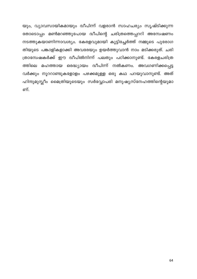യും, വ്യാവസായികമായും ദ്വീപിന്ന് വളരാൻ സാഹചര്യം സൃഷ്ടിക്കുന്ന തോടൊപ്പം മൺമറഞ്ഞുപോയ ദ്വീപിന്റെ ചരിത്രത്തെപ്പററി അന്വേഷണം നടത്തുകയാണിന്നാവശ്യം. കേരളവുമായി കൂട്ടിച്ചേർത്ത് നമ്മുടെ പുരോഗ തിയുടെ പങ്കാളികളാക്കി അവരേയും ഉയർത്തുവാൻ നാം മടിക്കരുത്. ചരി ത്രാന്വേഷകർക്ക് ഈ ദ്വീപിൽനിന്ന് പലതും പഠിക്കാനുണ്ട്. കേരളചരിത്ര ത്തിലെ മഹത്തായ ഒരദ്ധ്യായം ദ്വീപിന്ന് നൽകണം. അവഗണിക്കപ്പെട്ട വർക്കും നൂററാണ്ടുകളോളം പഴക്കമുള്ള ഒരു കഥ പറയുവാനുണ്ട്. അത് ഹിന്ദുമുസ്ലീം മൈത്രിയുടെയും സർവ്വോപരി മനുഷ്യസ്നേഹത്തിന്റെയുമാ ണ്.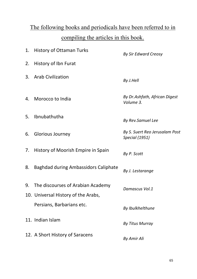## The following books and periodicals have been referred to in compiling the articles in this book.

| 1. | <b>History of Ottaman Turks</b>                                          | <b>By Sir Edward Creosy</b>                             |
|----|--------------------------------------------------------------------------|---------------------------------------------------------|
| 2. | History of Ibn Furat                                                     |                                                         |
| 3. | <b>Arab Civilization</b>                                                 | By J.Hell                                               |
| 4. | Morocco to India                                                         | By Dr.Ashfath, African Digest<br>Volume 3.              |
| 5. | Ibnubathutha                                                             | By Rev.Samuel Lee                                       |
| 6. | <b>Glorious Journey</b>                                                  | By S. Suert Reo Jerusalam Post<br><b>Special (1951)</b> |
| 7. | History of Moorish Empire in Spain                                       | By P. Scott                                             |
| 8. | <b>Baghdad during Ambassidors Caliphate</b>                              | By J. Lestarange                                        |
| 9. | The discourses of Arabian Academy<br>10. Universal History of the Arabs, | Damascus Vol.1                                          |
|    | Persians, Barbarians etc.                                                | By Ibulkhelthune                                        |
|    | 11. Indian Islam                                                         | <b>By Titus Murray</b>                                  |
|    | 12. A Short History of Saracens                                          | <b>By Amir Ali</b>                                      |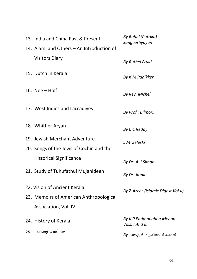|     | 13. India and China Past & Present        | By Rahul (Patrika)<br>Sangeerhyayan        |
|-----|-------------------------------------------|--------------------------------------------|
|     | 14. Alami and Others – An Introduction of |                                            |
|     | <b>Visitors Diary</b>                     | By Ruthel Fruid.                           |
|     | 15. Dutch in Kerala                       | By K M Panikker                            |
|     | 16. Nee $-$ Holf                          | By Rev. Michel                             |
|     | 17. West Indies and Laccadives            | By Prof : Bilmori.                         |
|     | 18. Whither Aryan                         | By CC Reddy                                |
|     | 19. Jewish Merchant Adventure             | L M Zeleski                                |
|     | 20. Songs of the Jews of Cochin and the   |                                            |
|     | <b>Historical Significance</b>            | By Dr. A. I.Simon                          |
|     | 21. Study of Tuhufathul Mujahideen        | By Dr. Jamil                               |
|     | 22. Vision of Ancient Kerala              | By Z-Azeez (Islamic Digest Vol.II)         |
|     | 23. Memoirs of American Anthropological   |                                            |
|     | Association, Vol. IV.                     |                                            |
|     | 24. History of Kerala                     | By K P Padmanabha Menon<br>Vols. I And II. |
| 25. | കേരളചരിതം                                 | ആറ്റൂർ കൃഷ്ണപിഷാരടി<br>By                  |